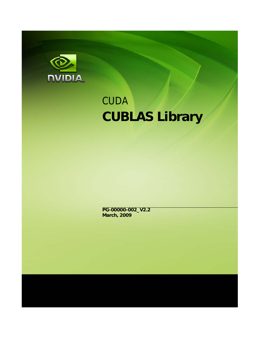

# **CUDA CUBLAS Library**

**PG-00000-002\_V2.2 March, 2009**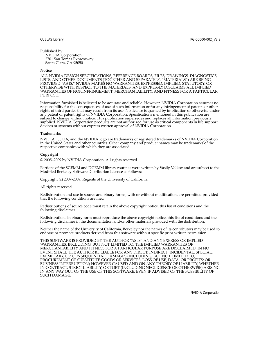Published by NVIDIA Corporation 2701 San Tomas Expressway Santa Clara, CA 95050

#### **Notice**

ALL NVIDIA DESIGN SPECIFICATIONS, REFERENCE BOARDS, FILES, DRAWINGS, DIAGNOSTICS, LISTS, AND OTHER DOCUMENTS (TOGETHER AND SEPARATELY, "MATERIALS") ARE BEING PROVIDED "AS IS." NVIDIA MAKES NO WARRANTIES, EXPRESSED, IMPLIED, STATUTORY, OR OTHERWISE WITH RESPECT TO THE MATERIALS, AND EXPRESSLY DISCLAIMS ALL IMPLIED WARRANTIES OF NONINFRINGEMENT, MERCHANTABILITY, AND FITNESS FOR A PARTICULAR PURPOSE.

Information furnished is believed to be accurate and reliable. However, NVIDIA Corporation assumes no responsibility for the consequences of use of such information or for any infringement of patents or other rights of third parties that may result from its use. No license is granted by implication or otherwise under any patent or patent rights of NVIDIA Corporation. Specifications mentioned in this publication are subject to change without notice. This publication supersedes and replaces all information previously supplied. NVIDIA Corporation products are not authorized for use as critical components in life support devices or systems without express written approval of NVIDIA Corporation.

#### **Trademarks**

NVIDIA, CUDA, and the NVIDIA logo are trademarks or registered trademarks of NVIDIA Corporation in the United States and other countries. Other company and product names may be trademarks of the respective companies with which they are associated.

#### **Copyright**

© 2005–2009 by NVIDIA Corporation. All rights reserved.

Portions of the SGEMM and DGEMM library routines were written by Vasily Volkov and are subject to the Modified Berkeley Software Distribution License as follows:

Copyright (c) 2007‐2009, Regents of the University of California

All rights reserved.

Redistribution and use in source and binary forms, with or without modification, are permitted provided that the following conditions are met:

Redistributions of source code must retain the above copyright notice, this list of conditions and the following disclaimer.

Redistributions in binary form must reproduce the above copyright notice, this list of conditions and the following disclaimer in the documentation and/or other materials provided with the distribution.

Neither the name of the University of California, Berkeley nor the names of its contributors may be used to endorse or promote products derived from this software without specific prior written permission.

THIS SOFTWARE IS PROVIDED BY THE AUTHOR "AS IS" AND ANY EXPRESS OR IMPLIED WARRANTIES, INCLUDING, BUT NOT LIMITED TO, THE IMPLIED WARRANTIES OF MERCHANTABILITY AND FITNESS FOR A PARTICULAR PURPOSE ARE DISCLAIMED. IN NO EVENT SHALL THE AUTHOR BE LIABLE FOR ANY DIRECT, INDIRECT, INCIDENTAL, SPECIAL, EXEMPLARY, OR CONSEQUENTIAL DAMAGES (INCLUDING, BUT NOT LIMITED TO, PROCUREMENT OF SUBSTITUTE GOODS OR SERVICES; LOSS OF USE, DATA, OR PROFITS; OR BUSINESS INTERRUPTION) HOWEVER CAUSED AND ON ANY THEORY OF LIABILITY, WHETHER IN CONTRACT, STRICT LIABILITY, OR TORT (INCLUDING NEGLIGENCE OR OTHERWISE) ARISING IN ANY WAY OUT OF THE USE OF THIS SOFTWARE, EVEN IF ADVISED OF THE POSSIBILITY OF SUCH DAMAGE.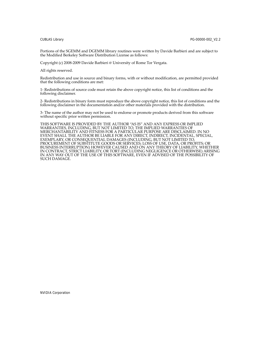Portions of the SGEMM and DGEMM library routines were written by Davide Barbieri and are subject to the Modified Berkeley Software Distribution License as follows:

Copyright (c) 2008‐2009 Davide Barbieri @ University of Rome Tor Vergata.

All rights reserved.

Redistribution and use in source and binary forms, with or without modification, are permitted provided that the following conditions are met:

1‐ Redistributions of source code must retain the above copyright notice, this list of conditions and the following disclaimer.

2‐ Redistributions in binary form must reproduce the above copyright notice, this list of conditions and the following disclaimer in the documentation and/or other materials provided with the distribution.

3‐ The name of the author may not be used to endorse or promote products derived from this software without specific prior written permission.

THIS SOFTWARE IS PROVIDED BY THE AUTHOR "AS IS" AND ANY EXPRESS OR IMPLIED WARRANTIES, INCLUDING, BUT NOT LIMITED TO, THE IMPLIED WARRANTIES OF MERCHANTABILITY AND FITNESS FOR A PARTICULAR PURPOSE ARE DISCLAIMED. IN NO EVENT SHALL THE AUTHOR BE LIABLE FOR ANY DIRECT, INDIRECT, INCIDENTAL, SPECIAL, EXEMPLARY, OR CONSEQUENTIAL DAMAGES (INCLUDING, BUT NOT LIMITED TO, PROCUREMENT OF SUBSTITUTE GOODS OR SERVICES; LOSS OF USE, DATA, OR PROFITS; OR BUSINESS INTERRUPTION) HOWEVER CAUSED AND ON ANY THEORY OF LIABILITY, WHETHER IN CONTRACT, STRICT LIABILITY, OR TORT (INCLUDING NEGLIGENCE OR OTHERWISE) ARISING IN ANY WAY OUT OF THE USE OF THIS SOFTWARE, EVEN IF ADVISED OF THE POSSIBILITY OF SUCH DAMAGE.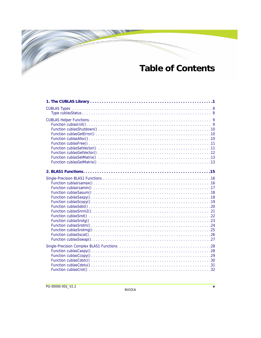## **Table of Contents**

 $\overline{\mathscr{C}}$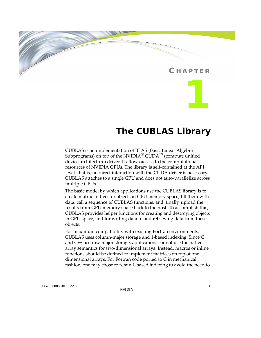### **C HAPTER**

**1**

### **The CUBLAS Library**

<span id="page-8-0"></span>CUBLAS is an implementation of BLAS (Basic Linear Algebra Subprograms) on top of the NVIDIA<sup>®</sup> CUDA<sup>™</sup> (compute unified device architecture) driver. It allows access to the computational resources of NVIDIA GPUs. The library is self‐contained at the API level, that is, no direct interaction with the CUDA driver is necessary. CUBLAS attaches to a single GPU and does not auto‐parallelize across multiple GPUs.

The basic model by which applications use the CUBLAS library is to create matrix and vector objects in GPU memory space, fill them with data, call a sequence of CUBLAS functions, and, finally, upload the results from GPU memory space back to the host. To accomplish this, CUBLAS provides helper functions for creating and destroying objects in GPU space, and for writing data to and retrieving data from these objects.

For maximum compatibility with existing Fortran environments, CUBLAS uses column‐major storage and 1‐based indexing. Since C and C++ use row‐major storage, applications cannot use the native array semantics for two‐dimensional arrays. Instead, macros or inline functions should be defined to implement matrices on top of one‐ dimensional arrays. For Fortran code ported to C in mechanical fashion, one may chose to retain 1‐based indexing to avoid the need to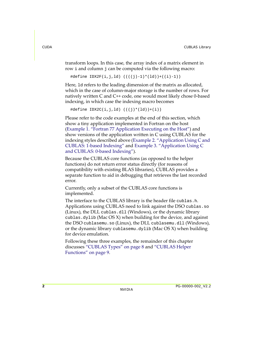transform loops. In this case, the array index of a matrix element in row i and column j can be computed via the following macro:

```
#define IDX2F(i,j,ld) ((((j)-1)*(ld))+((i)-1))
```
Here, ld refers to the leading dimension of the matrix as allocated, which in the case of column‐major storage is the number of rows. For natively written C and C++ code, one would most likely chose 0‐based indexing, in which case the indexing macro becomes

```
\#define IDX2C(i,j,ld) (((j)*(ld))+(i))
```
Please refer to the code examples at the end of this section, which show a tiny application implemented in Fortran on the host (Example 1. "Fortran 77 [Application](#page-10-0) Executing on the Host") and show versions of the application written in C using CUBLAS for the indexing styles described above (Example 2. ["Application](#page-11-0) Using C and CUBLAS: 1‐based [Indexing"](#page-11-0) and Example 3. ["Application](#page-13-0) Using C and CUBLAS: 0‐based [Indexing"\)](#page-13-0).

Because the CUBLAS core functions (as opposed to the helper functions) do not return error status directly (for reasons of compatibility with existing BLAS libraries), CUBLAS provides a separate function to aid in debugging that retrieves the last recorded error.

Currently, only a subset of the CUBLAS core functions is implemented.

The interface to the CUBLAS library is the header file cublas.h. Applications using CUBLAS need to link against the DSO cublas.so (Linux), the DLL cublas.dll (Windows), or the dynamic library cublas.dylib (Mac OS X) when building for the device, and against the DSO cublasemu.so (Linux), the DLL cublasemu.dll (Windows), or the dynamic library cublasemu.dylib (Mac OS X) when building for device emulation.

Following these three examples, the remainder of this chapter discusses ["CUBLAS](#page-15-2) Types" on page 8 and ["CUBLAS](#page-16-2) Helper [Functions"](#page-16-2) on page 9.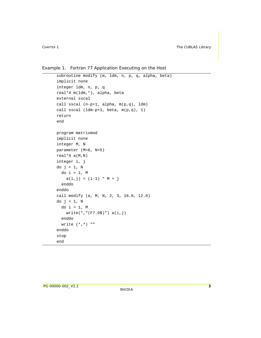<span id="page-10-0"></span>Example 1. Fortran 77 Application Executing on the Host

```
 subroutine modify (m, ldm, n, p, q, alpha, beta)
 implicit none
 integer ldm, n, p, q
 real*4 m(ldm,*), alpha, beta
 external sscal
 call sscal (n-p+1, alpha, m(p,q), ldm)
 call sscal (ldm-p+1, beta, m(p,q), 1)
 return
 end
 program matrixmod
 implicit none
 integer M, N
 parameter (M=6, N=5)
real*4 a(M,N) integer i, j
do j = 1, N
  do i = 1, M
    a(i,j) = (i-1) * M + j enddo
 enddo
 call modify (a, M, N, 2, 3, 16.0, 12.0)
do j = 1, Ndo i = 1, M
     write(*,"(F7.0$)") a(i,j)
   enddo
  write (*, *) ""
 enddo
 stop
 end
```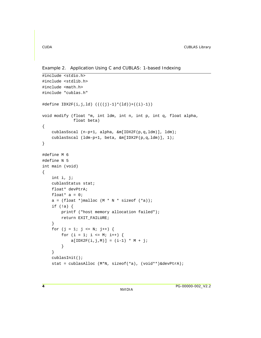<span id="page-11-0"></span>Example 2. Application Using C and CUBLAS: 1-based Indexing

```
#include <stdio.h>
#include <stdlib.h>
#include <math.h>
#include "cublas.h"
\#define IDX2F(i,j,ld) ((((j)-1)*(ld))+((i)-1))void modify (float *m, int ldm, int n, int p, int q, float alpha,
              float beta)
{
     cublasSscal (n-p+1, alpha, &m[IDX2F(p,q,ldm)], ldm);
     cublasSscal (ldm-p+1, beta, &m[IDX2F(p,q,ldm)], 1);
}
#define M 6
#define N 5
int main (void)
{
     int i, j;
     cublasStatus stat;
     float* devPtrA;
    float* a = 0;
    a = (float *)malloc (M * N * sizeof (*a));if (!a) {
         printf ("host memory allocation failed");
         return EXIT_FAILURE;
     }
    for (j = 1; j \le N; j++) {
        for (i = 1; i <= M; i++) {
            a[IDX2F(i,j,M)] = (i-1) * M + j; }
     }
     cublasInit();
     stat = cublasAlloc (M*N, sizeof(*a), (void**)&devPtrA);
```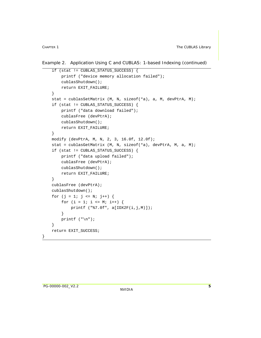Example 2. Application Using C and CUBLAS: 1-based Indexing (continued)

```
 if (stat != CUBLAS_STATUS_SUCCESS) {
        printf ("device memory allocation failed");
        cublasShutdown();
        return EXIT_FAILURE;
     }
    stat = cublasSetMatrix (M, N, sizeof(*a), a, M, devPtrA, M);
    if (stat != CUBLAS_STATUS_SUCCESS) {
         printf ("data download failed");
         cublasFree (devPtrA);
        cublasShutdown();
        return EXIT_FAILURE;
     }
    modify (devPtrA, M, N, 2, 3, 16.0f, 12.0f);
    stat = cublasGetMatrix (M, N, sizeof(*a), devPtrA, M, a, M);
    if (stat != CUBLAS_STATUS_SUCCESS) {
        printf ("data upload failed");
         cublasFree (devPtrA);
        cublasShutdown();
        return EXIT_FAILURE;
     }
    cublasFree (devPtrA);
    cublasShutdown();
   for (i = 1; j \le N; j++)for (i = 1; i \leq M; i++) {
             printf ("%7.0f", a[IDX2F(i,j,M)]);
 }
       printf ("n");
     }
    return EXIT_SUCCESS;
```
}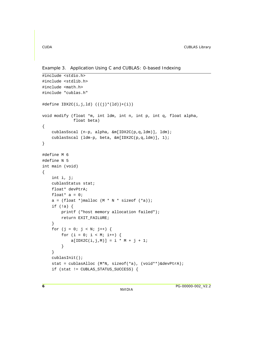<span id="page-13-0"></span>Example 3. Application Using C and CUBLAS: 0-based Indexing

```
#include <stdio.h>
#include <stdlib.h>
#include <math.h>
#include "cublas.h"
#define IDX2C(i,j,ld) (((j)*(ld))+(i))
void modify (float *m, int ldm, int n, int p, int q, float alpha,
              float beta)
{
     cublasSscal (n-p, alpha, &m[IDX2C(p,q,ldm)], ldm);
     cublasSscal (ldm-p, beta, &m[IDX2C(p,q,ldm)], 1);
}
#define M 6
#define N 5
int main (void)
{
     int i, j;
     cublasStatus stat;
     float* devPtrA;
    float* a = 0;
    a = (float *)malloc (M * N * sizeof (*a));if (!a) {
         printf ("host memory allocation failed");
         return EXIT_FAILURE;
     }
    for (j = 0; j < N; j++) {
        for (i = 0; i < M; i++) {
            a[IDX2C(i,j,M)] = i * M + j + 1; }
     }
     cublasInit();
     stat = cublasAlloc (M*N, sizeof(*a), (void**)&devPtrA);
     if (stat != CUBLAS_STATUS_SUCCESS) {
```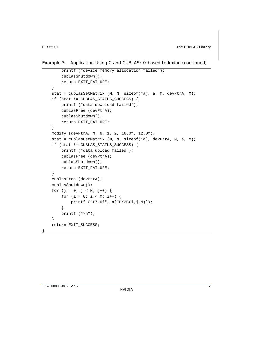Example 3. Application Using C and CUBLAS: 0-based Indexing (continued)

```
 printf ("device memory allocation failed");
         cublasShutdown();
        return EXIT_FAILURE;
     }
    stat = cublasSetMatrix (M, N, sizeof(*a), a, M, devPtrA, M);
    if (stat != CUBLAS_STATUS_SUCCESS) {
        printf ("data download failed");
         cublasFree (devPtrA);
        cublasShutdown();
        return EXIT_FAILURE;
     }
    modify (devPtrA, M, N, 1, 2, 16.0f, 12.0f);
    stat = cublasGetMatrix (M, N, sizeof(*a), devPtrA, M, a, M);
    if (stat != CUBLAS_STATUS_SUCCESS) {
        printf ("data upload failed");
        cublasFree (devPtrA);
        cublasShutdown();
        return EXIT_FAILURE;
     }
    cublasFree (devPtrA);
    cublasShutdown();
   for (j = 0; j < N; j++) {
       for (i = 0; i < M; i++) {
             printf ("%7.0f", a[IDX2C(i,j,M)]);
 }
       printf ("n");
     }
    return EXIT_SUCCESS;
```
}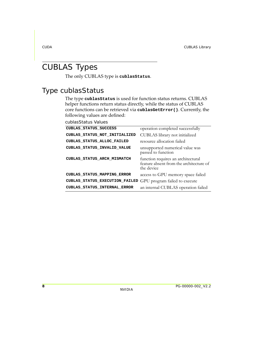### <span id="page-15-2"></span><span id="page-15-0"></span>CUBLAS Types

The only CUBLAS type is **cublasStatus**.

### <span id="page-15-1"></span>Type cublasStatus

The type **cublasStatus** is used for function status returns. CUBLAS helper functions return status directly, while the status of CUBLAS core functions can be retrieved via **cublasGetError()**. Currently, the following values are defined:

cublasStatus Values

| CUBLAS STATUS SUCCESS          | operation completed successfully                                                            |
|--------------------------------|---------------------------------------------------------------------------------------------|
| CUBLAS STATUS NOT INITIALIZED  | CUBLAS library not initialized                                                              |
| CUBLAS STATUS ALLOC FAILED     | resource allocation failed                                                                  |
| CUBLAS STATUS INVALID VALUE    | unsupported numerical value was<br>passed to function                                       |
| CUBLAS STATUS ARCH MISMATCH    | function requires an architectural<br>feature absent from the architecture of<br>the device |
| CUBLAS STATUS MAPPING ERROR    | access to GPU memory space failed                                                           |
| CUBLAS_STATUS_EXECUTION_FAILED | GPU program failed to execute                                                               |
| CUBLAS STATUS INTERNAL ERROR   | an internal CUBLAS operation failed                                                         |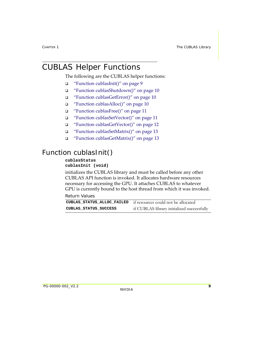### <span id="page-16-2"></span><span id="page-16-0"></span>CUBLAS Helper Functions

The following are the CUBLAS helper functions:

- "Function [cublasInit\(\)"](#page-16-3) on page 9
- "Function [cublasShutdown\(\)"](#page-17-3) on page 10
- "Function [cublasGetError\(\)"](#page-17-4) on page 10
- "Function [cublasAlloc\(\)"](#page-17-5) on page 10
- "Function [cublasFree\(\)"](#page-18-2) on page 11
- "Function [cublasSetVector\(\)"](#page-18-3) on page 11
- "Function [cublasGetVector\(\)"](#page-19-1) on page 12
- "Function [cublasSetMatrix\(\)"](#page-20-2) on page 13
- "Function [cublasGetMatrix\(\)"](#page-20-3) on page 13

### <span id="page-16-3"></span><span id="page-16-1"></span>Function cublasInit()

### **cublasStatus**

#### **cublasInit (void)**

initializes the CUBLAS library and must be called before any other CUBLAS API function is invoked. It allocates hardware resources necessary for accessing the GPU. It attaches CUBLAS to whatever GPU is currently bound to the host thread from which it was invoked.

Return Values

|                       | <b>CUBLAS STATUS ALLOC FAILED</b> if resources could not be allocated |
|-----------------------|-----------------------------------------------------------------------|
| CUBLAS STATUS SUCCESS | if CUBLAS library initialized successfully                            |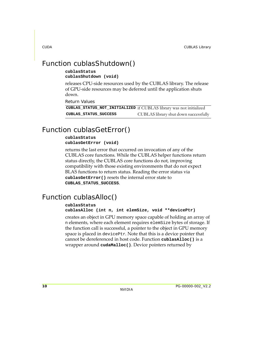### <span id="page-17-3"></span><span id="page-17-0"></span>Function cublasShutdown()

#### **cublasStatus cublasShutdown (void)**

releases CPU‐side resources used by the CUBLAS library. The release of GPU‐side resources may be deferred until the application shuts down.

Return Values

| CUBLAS_STATUS_NOT_INITIALIZED if CUBLAS library was not initialized |                                       |
|---------------------------------------------------------------------|---------------------------------------|
| CUBLAS STATUS SUCCESS                                               | CUBLAS library shut down successfully |

### <span id="page-17-4"></span><span id="page-17-1"></span>Function cublasGetError()

#### **cublasStatus cublasGetError (void)**

returns the last error that occurred on invocation of any of the CUBLAS core functions. While the CUBLAS helper functions return status directly, the CUBLAS core functions do not, improving compatibility with those existing environments that do not expect BLAS functions to return status. Reading the error status via **cublasGetError()** resets the internal error state to **CUBLAS\_STATUS\_SUCCESS**.

### <span id="page-17-5"></span><span id="page-17-2"></span>Function cublasAlloc()

#### **cublasStatus**

#### **cublasAlloc (int n, int elemSize, void \*\*devicePtr)**

creates an object in GPU memory space capable of holding an array of n elements, where each element requires elemSize bytes of storage. If the function call is successful, a pointer to the object in GPU memory space is placed in devicePtr. Note that this is a device pointer that cannot be dereferenced in host code. Function **cublasAlloc()** is a wrapper around **cudaMalloc()**. Device pointers returned by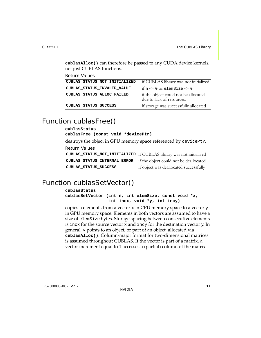**cublasAlloc()** can therefore be passed to any CUDA device kernels, not just CUBLAS functions.

Return Values

| CUBLAS STATUS NOT INITIALIZED | if CUBLAS library was not initialized                             |
|-------------------------------|-------------------------------------------------------------------|
| CUBLAS_STATUS_INVALID_VALUE   | if $n \le 0$ or elemSize $\le 0$                                  |
| CUBLAS STATUS ALLOC FAILED    | if the object could not be allocated<br>due to lack of resources. |
| CUBLAS STATUS SUCCESS         | if storage was successfully allocated                             |

### <span id="page-18-2"></span><span id="page-18-0"></span>Function cublasFree()

### **cublasStatus cublasFree (const void \*devicePtr)**  destroys the object in GPU memory space referenced by devicePtr. Return Values **CUBLAS\_STATUS\_NOT\_INITIALIZED** if CUBLAS library was not initialized **CUBLAS\_STATUS\_INTERNAL\_ERROR** if the object could not be deallocated **CUBLAS\_STATUS\_SUCCESS** if object was deallocated successfully

### <span id="page-18-3"></span><span id="page-18-1"></span>Function cublasSetVector()

#### **cublasStatus**

**cublasSetVector (int n, int elemSize, const void \*x, int incx, void \*y, int incy)**

copies n elements from a vector  $x$  in CPU memory space to a vector  $y$ in GPU memory space. Elements in both vectors are assumed to have a size of elemSize bytes. Storage spacing between consecutive elements is incx for the source vector  $x$  and incy for the destination vector  $y$ . In general, y points to an object, or part of an object, allocated via **cublasAlloc()**. Column‐major format for two‐dimensional matrices is assumed throughout CUBLAS. If the vector is part of a matrix, a vector increment equal to 1 accesses a (partial) column of the matrix.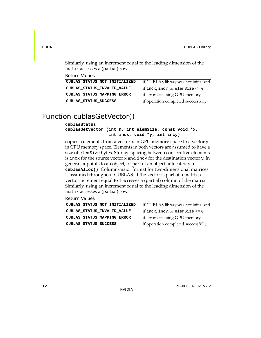Similarly, using an increment equal to the leading dimension of the matrix accesses a (partial) row.

| Return Values                      |                                       |
|------------------------------------|---------------------------------------|
| CUBLAS STATUS NOT INITIALIZED      | if CUBLAS library was not initialized |
| CUBLAS STATUS INVALID VALUE        | if incx, incy, or elemSize $\leq 0$   |
| <b>CUBLAS STATUS MAPPING ERROR</b> | if error accessing GPU memory         |
| CUBLAS STATUS SUCCESS              | if operation completed successfully   |

### <span id="page-19-1"></span><span id="page-19-0"></span>Function cublasGetVector()

#### **cublasStatus**

#### **cublasGetVector (int n, int elemSize, const void \*x, int incx, void \*y, int incy)**

copies n elements from a vector  $x$  in GPU memory space to a vector  $y$ in CPU memory space. Elements in both vectors are assumed to have a size of elemSize bytes. Storage spacing between consecutive elements is incx for the source vector  $x$  and incy for the destination vector  $y$ . In general, x points to an object, or part of an object, allocated via **cublasAlloc()**. Column‐major format for two‐dimensional matrices is assumed throughout CUBLAS. If the vector is part of a matrix, a vector increment equal to 1 accesses a (partial) column of the matrix. Similarly, using an increment equal to the leading dimension of the matrix accesses a (partial) row.

Return Values

| CUBLAS_STATUS_NOT_INITIALIZED | if CUBLAS library was not initialized |
|-------------------------------|---------------------------------------|
| CUBLAS_STATUS_INVALID_VALUE   | if incx, incy, or elemSize $\leq 0$   |
| CUBLAS STATUS MAPPING ERROR   | if error accessing GPU memory         |
| CUBLAS STATUS SUCCESS         | if operation completed successfully   |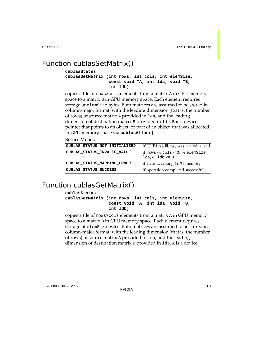### <span id="page-20-2"></span><span id="page-20-0"></span>Function cublasSetMatrix()

```
cublasStatus 
cublasSetMatrix (int rows, int cols, int elemSize, 
                   const void *A, int lda, void *B, 
                   int ldb)
```
copies a tile of rows×cols elements from a matrix A in CPU memory space to a matrix B in GPU memory space. Each element requires storage of elemSize bytes. Both matrices are assumed to be stored in column‐major format, with the leading dimension (that is, the number of rows) of source matrix A provided in lda, and the leading dimension of destination matrix B provided in ldb. B is a device pointer that points to an object, or part of an object, that was allocated in GPU memory space via **cublasAlloc()**.

Return Values

| CUBLAS STATUS NOT INITIALIZED | if CUBLAS library was not initialized                    |
|-------------------------------|----------------------------------------------------------|
| CUBLAS STATUS INVALID VALUE   | if rows or cols < 0; or elemSize,<br>1da, or $1db \le 0$ |
| CUBLAS_STATUS_MAPPING_ERROR   | if error accessing GPU memory                            |
| CUBLAS STATUS SUCCESS         | if operation completed successfully                      |

### <span id="page-20-3"></span><span id="page-20-1"></span>Function cublasGetMatrix()

#### **cublasStatus**

**cublasGetMatrix (int rows, int cols, int elemSize, const void \*A, int lda, void \*B, int ldb)**

copies a tile of rows×cols elements from a matrix A in GPU memory space to a matrix B in CPU memory space. Each element requires storage of elemSize bytes. Both matrices are assumed to be stored in column‐major format, with the leading dimension (that is, the number of rows) of source matrix A provided in lda, and the leading dimension of destination matrix B provided in ldb. A is a device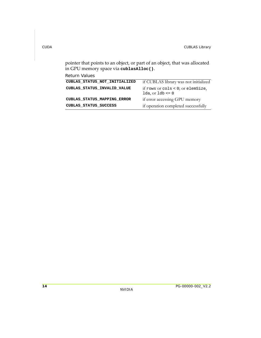pointer that points to an object, or part of an object, that was allocated in GPU memory space via **cublasAlloc()**.

Return Values

| if CUBLAS library was not initialized                    |
|----------------------------------------------------------|
| if rows or cols < 0; or elemSize,<br>1da, or $1db \le 0$ |
| if error accessing GPU memory                            |
| if operation completed successfully                      |
|                                                          |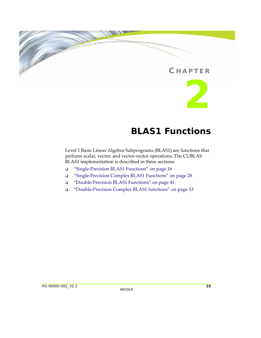### **C HAPTER**



### **BLAS1 Functions**

<span id="page-22-0"></span>Level 1 Basic Linear Algebra Subprograms (BLAS1) are functions that perform scalar, vector, and vector‐vector operations. The CUBLAS BLAS1 implementation is described in these sections:

- "Single‐Precision BLAS1 [Functions"](#page-23-2) on page 16
- "Single‐Precision Complex BLAS1 [Functions"](#page-35-2) on page 28
- "Double‐Precision BLAS1 [Functions"](#page-48-2) on page 41
- "Double‐Precision Complex BLAS1 [functions"](#page-60-1) on page 53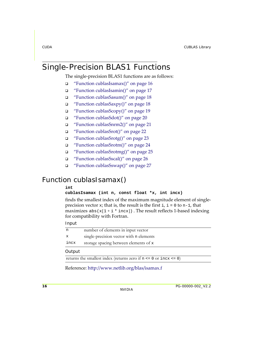### <span id="page-23-2"></span><span id="page-23-0"></span>Single-Precision BLAS1 Functions

The single-precision BLAS1 functions are as follows:

- "Function [cublasIsamax\(\)"](#page-23-3) on page 16
- □ "Function [cublasIsamin\(\)"](#page-24-1) on page 17
- "Function [cublasSasum\(\)"](#page-25-2) on page 18
- $\Box$  "Function [cublasSaxpy\(\)"](#page-25-3) on page 18
- "Function [cublasScopy\(\)"](#page-26-1) on page 19
- "Function [cublasSdot\(\)"](#page-27-1) on page 20
- "Function [cublasSnrm2\(\)"](#page-28-1) on page 21
- "Function [cublasSrot\(\)"](#page-29-1) on page 22
- "Function [cublasSrotg\(\)"](#page-30-1) on page 23
- □ "Function [cublasSrotm\(\)"](#page-31-1) on page 24
- "Function [cublasSrotmg\(\)"](#page-32-1) on page 25
- "Function [cublasSscal\(\)"](#page-33-1) on page 26
- "Function [cublasSswap\(\)"](#page-34-1) on page 27

### <span id="page-23-3"></span><span id="page-23-1"></span>Function cublasIsamax()

#### **int**

**cublasIsamax (int n, const float \*x, int incx)**

finds the smallest index of the maximum magnitude element of single‐ precision vector x; that is, the result is the first  $i, i = 0$  to  $n-1$ , that maximizes  $abs(x[1 + i * incx])$  . The result reflects 1-based indexing for compatibility with Fortran.

#### Input

| n    | number of elements in input vector      |
|------|-----------------------------------------|
| X    | single-precision vector with n elements |
| incx | storage spacing between elements of x   |
|      |                                         |

#### **Output**

returns the smallest index (returns zero if  $n \le 0$  or  $incx \le 0$ )

Reference: http://www.netlib.org/blas/isamax.f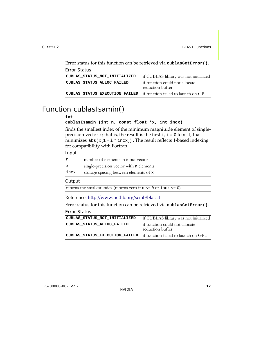Error status for this function can be retrieved via **cublasGetError()**. Error Status

| if CUBLAS library was not initialized                              |
|--------------------------------------------------------------------|
| if function could not allocate<br>reduction buffer                 |
| CUBLAS_STATUS_EXECUTION_FAILED if function failed to launch on GPU |
|                                                                    |

### <span id="page-24-1"></span><span id="page-24-0"></span>Function cublasIsamin()

#### **int**

```
cublasIsamin (int n, const float *x, int incx)
```
finds the smallest index of the minimum magnitude element of singleprecision vector  $x$ ; that is, the result is the first  $i$ ,  $i = 0$  to n-1, that minimizes  $\texttt{abs(x[1 + i * incx])}$  . The result reflects 1-based indexing for compatibility with Fortran.

#### Input

| n    | number of elements in input vector      |
|------|-----------------------------------------|
| x    | single-precision vector with n elements |
| incx | storage spacing between elements of x   |
|      |                                         |

#### **Output**

returns the smallest index (returns zero if  $n \le 0$  or  $\text{incx} \le 0$ )

#### Reference: http://www.netlib.org/scilib/blass.f

Error status for this function can be retrieved via **cublasGetError()**.

Error Status

| CUBLAS STATUS NOT INITIALIZED                                      | if CUBLAS library was not initialized              |
|--------------------------------------------------------------------|----------------------------------------------------|
| CUBLAS STATUS ALLOC FAILED                                         | if function could not allocate<br>reduction buffer |
| CUBLAS_STATUS_EXECUTION_FAILED if function failed to launch on GPU |                                                    |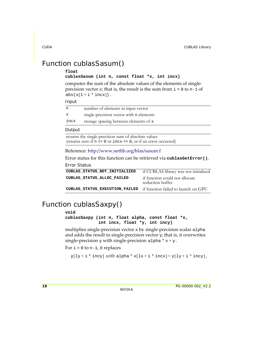### <span id="page-25-2"></span><span id="page-25-0"></span>Function cublasSasum()

#### **float**

#### **cublasSasum (int n, const float \*x, int incx)**

computes the sum of the absolute values of the elements of single‐ precision vector x; that is, the result is the sum from  $i = 0$  to n-1 of  $abs(x[1 + i * incx])$ .

#### Input

|              | number of elements in input vector      |
|--------------|-----------------------------------------|
| $\mathbf{x}$ | single-precision vector with n elements |
| incx         | storage spacing between elements of x   |

#### **Output**

returns the single-precision sum of absolute values (returns zero if n <= 0 or incx <= 0, or if an error occurred)

#### Reference: http://www.netlib.org/blas/sasum.f

Error status for this function can be retrieved via **cublasGetError()**.

Error Status

| if CUBLAS library was not initialized                              |
|--------------------------------------------------------------------|
| if function could not allocate<br>reduction buffer                 |
| CUBLAS_STATUS_EXECUTION_FAILED if function failed to launch on GPU |
|                                                                    |

### <span id="page-25-3"></span><span id="page-25-1"></span>Function cublasSaxpy()

#### **void**

**cublasSaxpy (int n, float alpha, const float \*x, int incx, float \*y, int incy)**

multiplies single‐precision vector x by single‐precision scalar alpha and adds the result to single-precision vector  $y$ ; that is, it overwrites single-precision  $\mathrm y$  with single-precision <code>alpha</code> \*  $\mathrm x$  +  $\mathrm y$  .

For  $i = 0$  to n-1, it replaces

 $\text{y}[\text{ly}+\text{i}*\text{inv}]\text{ with } \text{alpha}*\text{x}[\text{lx}+\text{i}*\text{incx}]+\text{y}[\text{ly}+\text{i}*\text{incy}],$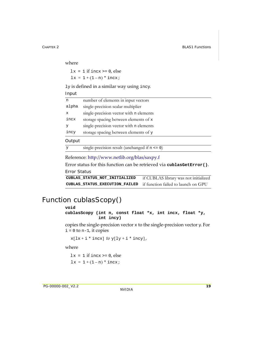where

 $lx = 1$  if incx  $>= 0$ , else  $lx = 1 + (1 - n) * incx;$ 

ly is defined in a similar way using incy.

Input

| n           | number of elements in input vectors     |
|-------------|-----------------------------------------|
| alpha       | single-precision scalar multiplier      |
| $\mathbf x$ | single-precision vector with n elements |
| incx        | storage spacing between elements of x   |
| У           | single-precision vector with n elements |
| incy        | storage spacing between elements of y   |
| Output      |                                         |

y single-precision result (unchanged if n <= 0)

Reference: http://www.netlib.org/blas/saxpy.f

Error status for this function can be retrieved via **cublasGetError()**.

Error Status

**CUBLAS\_STATUS\_NOT\_INITIALIZED** if CUBLAS library was not initialized **CUBLAS\_STATUS\_EXECUTION\_FAILED** if function failed to launch on GPU

### <span id="page-26-1"></span><span id="page-26-0"></span>Function cublasScopy()

#### **void**

**cublasScopy (int n, const float \*x, int incx, float \*y, int incy)**

copies the single-precision vector  $x$  to the single-precision vector  $y$ . For  $i = 0$  to n-1, it copies

```
x[lx + i * incx] to y[ly + i * incy],
```
where

 $lx = 1$  if incx  $>= 0$ , else  $lx = 1 + (1 - n) * incx;$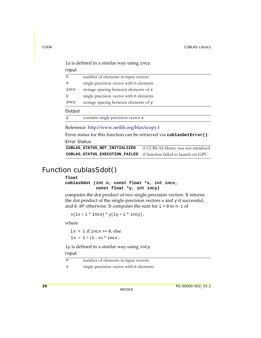ly is defined in a similar way using incy.

Input

| n            | number of elements in input vectors     |
|--------------|-----------------------------------------|
| $\mathbf{x}$ | single-precision vector with n elements |
| incx         | storage spacing between elements of x   |
| v            | single-precision vector with n elements |
| incy         | storage spacing between elements of y   |
|              |                                         |

#### **Output**

y contains single-precision vector x

Reference: http://www.netlib.org/blas/scopy.f

Error status for this function can be retrieved via **cublasGetError()**.

Error Status

**CUBLAS\_STATUS\_NOT\_INITIALIZED** if CUBLAS library was not initialized **CUBLAS\_STATUS\_EXECUTION\_FAILED** if function failed to launch on GPU

### <span id="page-27-1"></span><span id="page-27-0"></span>Function cublasSdot()

#### **float**

**cublasSdot (int n, const float \*x, int incx, const float \*y, int incy)**

computes the dot product of two single‐precision vectors. It returns the dot product of the single-precision vectors  $x$  and  $y$  if successful, and  $0.0f$  otherwise. It computes the sum for  $i = 0$  to n-1 of

 $x[lx + i * incx] * y[ly + i * incy],$ 

where

 $lx = 1$  if incx  $> = 0$ , else  $lx = 1 + (1 - n) * incx;$ 

ly is defined in a similar way using incy.

| n            | number of elements in input vectors     |
|--------------|-----------------------------------------|
| $\mathbf{x}$ | single-precision vector with n elements |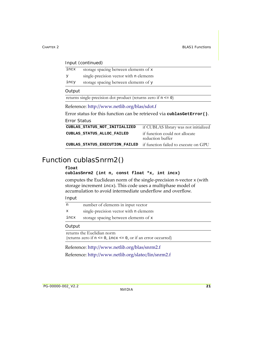| Input (continued)                                                     |                                                                   |                                                    |
|-----------------------------------------------------------------------|-------------------------------------------------------------------|----------------------------------------------------|
| incx                                                                  | storage spacing between elements of x                             |                                                    |
| У                                                                     | single-precision vector with n elements                           |                                                    |
| incy                                                                  | storage spacing between elements of y                             |                                                    |
| Output                                                                |                                                                   |                                                    |
|                                                                       | returns single-precision dot product (returns zero if $n \le 0$ ) |                                                    |
| Reference: http://www.netlib.org/blas/sdot.f                          |                                                                   |                                                    |
| Error status for this function can be retrieved via cublasGetError(). |                                                                   |                                                    |
| Error Status                                                          |                                                                   |                                                    |
|                                                                       | CUBLAS STATUS NOT INITIALIZED                                     | if CUBLAS library was not initialized              |
|                                                                       | CUBLAS STATUS ALLOC FAILED                                        | if function could not allocate<br>reduction buffer |

### <span id="page-28-1"></span><span id="page-28-0"></span>Function cublasSnrm2()

#### **float**

```
cublasSnrm2 (int n, const float *x, int incx)
```
computes the Euclidean norm of the single‐precision n‐vector x (with storage increment incx). This code uses a multiphase model of accumulation to avoid intermediate underflow and overflow.

**CUBLAS\_STATUS\_EXECUTION\_FAILED** if function failed to execute on GPU

#### Input

| n           | number of elements in input vector      |
|-------------|-----------------------------------------|
| $\mathbf x$ | single-precision vector with n elements |
| incx        | storage spacing between elements of x   |
|             |                                         |

#### **Output**

returns the Euclidian norm (returns zero if n <= 0, incx <= 0, or if an error occurred)

Reference: http://www.netlib.org/blas/snrm2.f Reference: http://www.netlib.org/slatec/lin/snrm2.f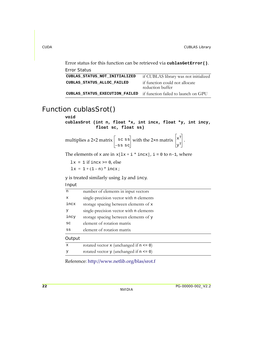Error status for this function can be retrieved via **cublasGetError()**. Error Status

| LITUL JIAIUS.                                                      |                                                    |
|--------------------------------------------------------------------|----------------------------------------------------|
| CUBLAS STATUS NOT INITIALIZED                                      | if CUBLAS library was not initialized              |
| CUBLAS STATUS ALLOC FAILED                                         | if function could not allocate<br>reduction buffer |
| CUBLAS_STATUS_EXECUTION_FAILED if function failed to launch on GPU |                                                    |

### <span id="page-29-1"></span><span id="page-29-0"></span>Function cublasSrot()

#### **void**

**cublasSrot (int n, float \*x, int incx, float \*y, int incy, float sc, float ss)**

multiplies a 2×2 matrix  $|s \circ s|$  with the 2×n matrix  $|x^*|$ . –ss sc xT yT

The elements of x are in  $x[lx + i * incx]$  ,  $i = 0$  to n-1, where

 $lx = 1$  if incx  $>= 0$ , else  $lx = 1 + (1 - n) * incx;$ 

y is treated similarly using ly and incy.

#### Input

| n           | number of elements in input vectors          |
|-------------|----------------------------------------------|
| $\mathbf x$ | single-precision vector with n elements      |
| incx        | storage spacing between elements of x        |
| У           | single-precision vector with n elements      |
| incy        | storage spacing between elements of y        |
| SC          | element of rotation matrix                   |
| SS          | element of rotation matrix                   |
| Output      |                                              |
| $\mathbf x$ | rotated vector $x$ (unchanged if $n \le 0$ ) |
| У           | rotated vector $y$ (unchanged if $n \le 0$ ) |
|             |                                              |

Reference: http://www.netlib.org/blas/srot.f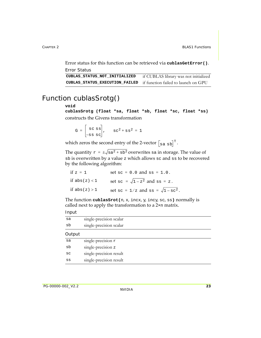Error status for this function can be retrieved via **cublasGetError()**. Error Status

**CUBLAS\_STATUS\_NOT\_INITIALIZED** if CUBLAS library was not initialized **CUBLAS\_STATUS\_EXECUTION\_FAILED** if function failed to launch on GPU

### <span id="page-30-1"></span><span id="page-30-0"></span>Function cublasSrotg()

#### **void**

**cublasSrotg (float \*sa, float \*sb, float \*sc, float \*ss)** constructs the Givens transformation

$$
G = \begin{bmatrix} sc \text{ ss} \\ -ss \text{ ss} \end{bmatrix}, \quad sc^2 + ss^2 = 1
$$

which zeros the second entry of the 2-vector  $\begin{bmatrix} \mathbf{s}_{\text{a s b}} \end{bmatrix}^{\text{T}}$ .

The quantity  $\texttt{r}$  =  $\pm \sqrt{\texttt{s}}$ a $^2$  +  $\texttt{s}$ b $^2$  overwrites  $\texttt{s}$ a in storage. The value of sb is overwritten by a value z which allows sc and ss to be recovered by the following algorithm:

| if $z = 1$      | set $\text{sc} = 0.0$ and $\text{ss} = 1.0$ .        |
|-----------------|------------------------------------------------------|
| if $abs(z) < 1$ | set $\text{sc} = \sqrt{1-z^2}$ and $\text{ss} = z$ . |
| if $abs(z) > 1$ | set sc = $1/z$ and ss = $\sqrt{1 - sc^2}$ .          |

The function **cublasSrot(**n, x, incx, y, incy, sc, ss**)** normally is called next to apply the transformation to a 2×n matrix.

| sa     | single-precision scalar |
|--------|-------------------------|
| sb     | single-precision scalar |
| Output |                         |
| sa     | single-precision $r$    |
| sb     | single-precision z      |
| SC     | single-precision result |
| SS     | single-precision result |
|        |                         |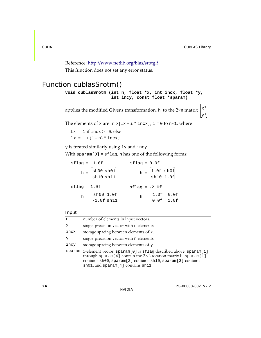### Reference: http://www.netlib.org/blas/srotg.f

This function does not set any error status.

### <span id="page-31-1"></span><span id="page-31-0"></span>Function cublasSrotm() **void cublasSrotm (int n, float \*x, int incx, float \*y, int incy, const float \*sparam)**

applies the modified Givens transformation,  $h$ , to the 2×n matrix  $\left| \mathbf{x}^{\mathrm{T}} \right|$ yT

The elements of x are in  $x[lx + i * incx]$  ,  $i = 0$  to n-1, where

 $lx = 1$  if incx >= 0, else  $lx = 1 + (1 - n) * incx;$ 

y is treated similarly using ly and incy.

With  $span[0] = sflag, h$  has one of the following forms:

| $stlag = -1.0f$                                                                          | $stlaq = 0.0f$                                                            |
|------------------------------------------------------------------------------------------|---------------------------------------------------------------------------|
| $h = \begin{bmatrix} \text{sh}00 \text{ sh}01 \\ \text{sh}10 \text{ sh}11 \end{bmatrix}$ | $h = \begin{bmatrix} 1.0f \text{ sh01} \\ \text{sh10 1.0f} \end{bmatrix}$ |
| $stlag = 1.0f$                                                                           | $stlaq = -2.0f$                                                           |
| $h = \begin{bmatrix} \texttt{sh00 1.0f} \\ -1.0 \texttt{f} \texttt{sh11} \end{bmatrix}$  | $h = \begin{bmatrix} 1.0f & 0.0f \\ 0.0f & 1.0f \end{bmatrix}$            |

| n            | number of elements in input vectors.                                                                                                                                                                                                                                         |
|--------------|------------------------------------------------------------------------------------------------------------------------------------------------------------------------------------------------------------------------------------------------------------------------------|
| $\mathbf{x}$ | single-precision vector with n elements.                                                                                                                                                                                                                                     |
| incx         | storage spacing between elements of x.                                                                                                                                                                                                                                       |
| У            | single-precision vector with n elements.                                                                                                                                                                                                                                     |
| incy         | storage spacing between elements of y.                                                                                                                                                                                                                                       |
|              | sparam 5-element vector. sparam <sup>[0]</sup> is sflag described above. sparam <sup>[1]</sup><br>through sparam[4] contain the $2\times 2$ rotation matrix h: sparam[1]<br>contains sh00, sparam[2] contains sh10, sparam[3] contains<br>sh01, and sparam[4] contains sh11. |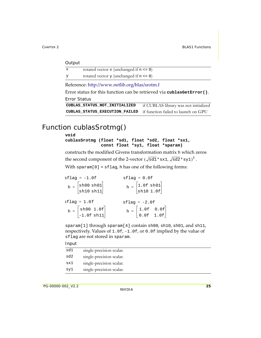| Output |  |
|--------|--|
|        |  |

| X | rotated vector $x$ (unchanged if $n \le 0$ ) |
|---|----------------------------------------------|
| У | rotated vector $y$ (unchanged if $n \le 0$ ) |

Reference: http://www.netlib.org/blas/srotm.f

Error status for this function can be retrieved via **cublasGetError()**. Error Status

```
CUBLAS_STATUS_NOT_INITIALIZED if CUBLAS library was not initialized
CUBLAS_STATUS_EXECUTION_FAILED if function failed to launch on GPU
```
### <span id="page-32-1"></span><span id="page-32-0"></span>Function cublasSrotmg()

#### **void**

**cublasSrotmg (float \*sd1, float \*sd2, float \*sx1, const float \*sy1, float \*sparam)**

constructs the modified Givens transformation matrix h which zeros the second component of the 2-vector  $(\sqrt{\mathtt{sd1}}\ast\mathtt{sx1},\sqrt{\mathtt{sd2}}\ast\mathtt{sy1})^{\mathtt{T}}$  .

With sparam $[0]$  = sflag, h has one of the following forms:

| $stlag = -1.0f$                                                                         | $stlaq = 0.0f$                                                                                      |
|-----------------------------------------------------------------------------------------|-----------------------------------------------------------------------------------------------------|
| $h = \begin{bmatrix} \texttt{sh00 sh01} \\ \texttt{sh10 sh11} \end{bmatrix}$            | $h = \begin{bmatrix} 1.0f \text{ sh01} \\ \text{sh10 1.0f} \end{bmatrix}$                           |
| $stlag = 1.0f$                                                                          | $sflag = -2.0f$                                                                                     |
| $h = \begin{bmatrix} \texttt{sh00 1.0f} \\ -1.0 \texttt{f} \texttt{sh11} \end{bmatrix}$ | $\mathbf{h} = \begin{bmatrix} 1.0\text{f} & 0.0\text{f} \\ 0.0\text{f} & 1.0\text{f} \end{bmatrix}$ |
|                                                                                         |                                                                                                     |

sparam[1] through sparam[4] contain sh00, sh10, sh01, and sh11, respectively. Values of 1.0f, -1.0f, or 0.0f implied by the value of sflag are not stored in sparam.

| sd1 | single-precision scalar. |
|-----|--------------------------|
| sd2 | single-precision scalar. |
| sx1 | single-precision scalar. |
| sy1 | single-precision scalar. |
|     |                          |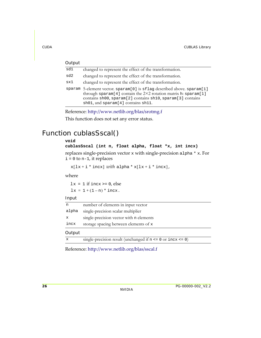| Output |                                                                                                                                                                                                                                                      |
|--------|------------------------------------------------------------------------------------------------------------------------------------------------------------------------------------------------------------------------------------------------------|
| sd1    | changed to represent the effect of the transformation.                                                                                                                                                                                               |
| sd2    | changed to represent the effect of the transformation.                                                                                                                                                                                               |
| sx1    | changed to represent the effect of the transformation.                                                                                                                                                                                               |
|        | sparam 5-element vector. sparam[0] is sflag described above. sparam[1]<br>through sparam[4] contain the $2\times 2$ rotation matrix h: sparam[1]<br>contains sh00, sparam[2] contains sh10, sparam[3] contains<br>sh01, and sparam[4] contains sh11. |

Reference: http://www.netlib.org/blas/srotmg.f

This function does not set any error status.

### <span id="page-33-1"></span><span id="page-33-0"></span>Function cublasSscal()

#### **void**

**cublasSscal (int n, float alpha, float \*x, int incx)** replaces single‐precision vector x with single‐precision alpha \* x. For  $i = 0$  to n-1, it replaces

 $x[lx + i * incx]$  with alpha  $* x[lx + i * incx]$ ,

where

 $lx = 1$  if incx  $>= 0$ , else  $lx = 1 + (1 - n) * incx.$ 

Input

| n            | number of elements in input vector      |
|--------------|-----------------------------------------|
| alpha        | single-precision scalar multiplier      |
| $\mathbf{x}$ | single-precision vector with n elements |
| incx         | storage spacing between elements of x   |
| Output       |                                         |

 $x$  single-precision result (unchanged if  $n \leq 0$  or  $\text{incx} \leq 0$ )

Reference: http://www.netlib.org/blas/sscal.f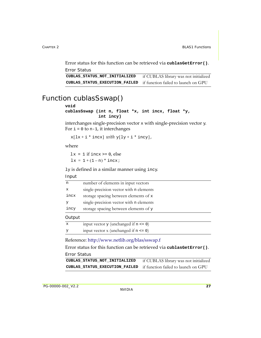Error status for this function can be retrieved via **cublasGetError()**. Error Status

**CUBLAS\_STATUS\_NOT\_INITIALIZED** if CUBLAS library was not initialized **CUBLAS\_STATUS\_EXECUTION\_FAILED** if function failed to launch on GPU

### <span id="page-34-1"></span><span id="page-34-0"></span>Function cublasSswap()

#### **void**

```
cublasSswap (int n, float *x, int incx, float *y,
              int incy)
```
interchanges single‐precision vector x with single‐precision vector y. For  $i = 0$  to  $n-1$ , it interchanges

 $x[lx + i * incx] with y[ly + i * incy],$ 

where

 $lx = 1$  if incx  $> = 0$ , else  $lx = 1 + (1 - n) * incx;$ 

ly is defined in a similar manner using incy.

#### Input

| incy | storage spacing between elements of y   |
|------|-----------------------------------------|
| У    | single-precision vector with n elements |
| incx | storage spacing between elements of x   |
| x    | single-precision vector with n elements |
| n    | number of elements in input vectors     |

#### **Output**

| X | input vector $y$ (unchanged if $n \le 0$ ) |
|---|--------------------------------------------|
| У | input vector $x$ (unchanged if $n \le 0$ ) |

Reference: http://www.netlib.org/blas/sswap.f

Error status for this function can be retrieved via **cublasGetError()**. Error Status

```
CUBLAS_STATUS_NOT_INITIALIZED if CUBLAS library was not initialized
CUBLAS_STATUS_EXECUTION_FAILED if function failed to launch on GPU
```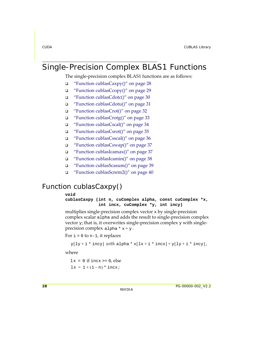### <span id="page-35-2"></span><span id="page-35-0"></span>Single-Precision Complex BLAS1 Functions

The single-precision complex BLAS1 functions are as follows:

- $\Box$  "Function [cublasCaxpy\(\)"](#page-35-3) on page 28
- "Function [cublasCcopy\(\)"](#page-36-1) on page 29
- "Function [cublasCdotc\(\)"](#page-37-1) on page 30
- "Function [cublasCdotu\(\)"](#page-38-1) on page 31
- "Function [cublasCrot\(\)"](#page-39-1) on page 32
- "Function [cublasCrotg\(\)"](#page-40-1) on page 33
- "Function [cublasCscal\(\)"](#page-41-1) on page 34
- "Function [cublasCsrot\(\)"](#page-42-1) on page 35
- "Function [cublasCsscal\(\)"](#page-43-1) on page 36
- "Function [cublasCswap\(\)"](#page-44-3) on page 37
- "Function [cublasIcamax\(\)"](#page-44-2) on page 37
- "Function [cublasIcamin\(\)"](#page-45-1) on page 38
- "Function [cublasScasum\(\)"](#page-46-1) on page 39
- "Function [cublasScnrm2\(\)"](#page-47-1) on page 40

### <span id="page-35-3"></span><span id="page-35-1"></span>Function cublasCaxpy()

#### **void**

**cublasCaxpy (int n, cuComplex alpha, const cuComplex \*x, int incx, cuComplex \*y, int incy)**

multiplies single‐precision complex vector x by single‐precision complex scalar alpha and adds the result to single‐precision complex vector  $y$ ; that is, it overwrites single-precision complex  $y$  with singleprecision complex  $a1$ pha \*  $x + y$ .

For  $i = 0$  to n-1, it replaces

```
\text{y}[\text{ly} + \text{i} * \text{inv} \text{] with } \text{alpha} * \text{x}[\text{lx} + \text{i} * \text{incx}] + \text{y}[\text{ly} + \text{i} * \text{incy}],
```
where

 $lx = 0$  if incx >= 0, else  $lx = 1 + (1 - n) * incx;$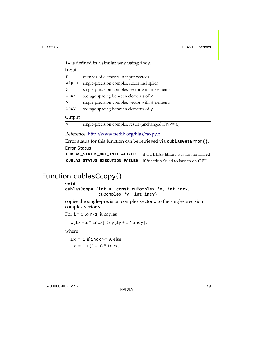| Input |                                                 |
|-------|-------------------------------------------------|
| n     | number of elements in input vectors             |
| alpha | single-precision complex scalar multiplier      |
| X     | single-precision complex vector with n elements |
| incx  | storage spacing between elements of x           |
| У     | single-precision complex vector with n elements |
| incy  | storage spacing between elements of y           |

#### **Output**

```
y single-precision complex result (unchanged if n <= 0)
```
Reference: http://www.netlib.org/blas/caxpy.f

Error status for this function can be retrieved via **cublasGetError()**.

Error Status

```
CUBLAS_STATUS_NOT_INITIALIZED if CUBLAS library was not initialized
CUBLAS_STATUS_EXECUTION_FAILED if function failed to launch on GPU
```
### Function cublasCcopy()

#### **void**

```
cublasCcopy (int n, const cuComplex *x, int incx,
              cuComplex *y, int incy)
```
copies the single‐precision complex vector x to the single‐precision complex vector y.

For  $i = 0$  to n-1, it copies

 $x[lx + i * incx]$  to  $y[ly + i * incy]$ ,

where

 $lx = 1$  if incx  $>= 0$ , else  $lx = 1 + (1 - n) * incx;$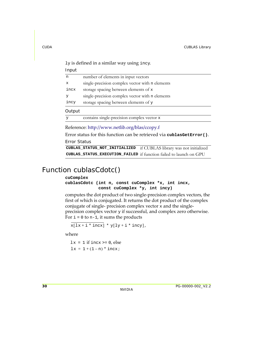Input

| n    | number of elements in input vectors             |
|------|-------------------------------------------------|
| x    | single-precision complex vector with n elements |
| incx | storage spacing between elements of x           |
| У    | single-precision complex vector with n elements |
| incy | storage spacing between elements of y           |
|      |                                                 |

#### **Output**

y contains single-precision complex vector x

Reference: http://www.netlib.org/blas/ccopy.f

Error status for this function can be retrieved via **cublasGetError()**. Error Status

**CUBLAS\_STATUS\_NOT\_INITIALIZED** if CUBLAS library was not initialized **CUBLAS\_STATUS\_EXECUTION\_FAILED** if function failed to launch on GPU

### Function cublasCdotc()

#### **cuComplex**

**cublasCdotc (int n, const cuComplex \*x, int incx, const cuComplex \*y, int incy)**

computes the dot product of two single‐precision complex vectors, the first of which is conjugated. It returns the dot product of the complex conjugate of single‐ precision complex vector x and the single‐ precision complex vector y if successful, and complex zero otherwise. For  $i = 0$  to  $n-1$ , it sums the products

 $x[lx + i * incx] * y[ly + i * incy],$ 

where

 $lx = 1$  if incx  $> = 0$ , else  $lx = 1 + (1 - n) * incx;$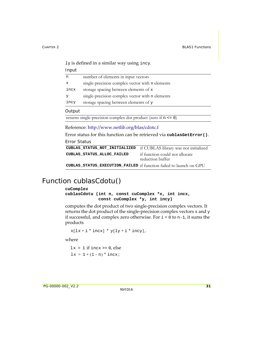Input

| n    | number of elements in input vectors             |
|------|-------------------------------------------------|
| x    | single-precision complex vector with n elements |
| incx | storage spacing between elements of x           |
| У    | single-precision complex vector with n elements |
| incy | storage spacing between elements of y           |

#### Output

returns single-precision complex dot product (zero if  $n \le 0$ )

Reference: http://www.netlib.org/blas/cdotc.f

Error status for this function can be retrieved via **cublasGetError()**.

Error Status

| CUBLAS_STATUS_NOT_INITIALIZED if CUBLAS library was not initialized |                                                    |
|---------------------------------------------------------------------|----------------------------------------------------|
| CUBLAS STATUS ALLOC FAILED                                          | if function could not allocate<br>reduction buffer |
| CUBLAS STATUS EXECUTION FAILED if function failed to launch on GPU  |                                                    |

### Function cublasCdotu()

#### **cuComplex**

**cublasCdotu (int n, const cuComplex \*x, int incx, const cuComplex \*y, int incy)**

computes the dot product of two single‐precision complex vectors. It returns the dot product of the single‐precision complex vectors x and y if successful, and complex zero otherwise. For  $i = 0$  to  $n-1$ , it sums the products

```
x[lx + i * incx] * y[ly + i * incy],
```
where

 $lx = 1$  if incx >= 0, else  $lx = 1 + (1 - n) * incx;$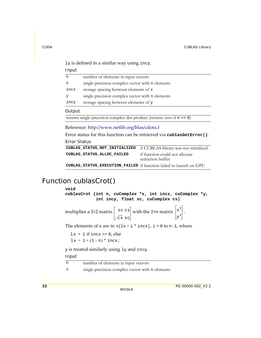Input

| n            | number of elements in input vectors             |
|--------------|-------------------------------------------------|
| $\mathbf{x}$ | single-precision complex vector with n elements |
| incx         | storage spacing between elements of x           |
| У            | single-precision complex vector with n elements |
| incy         | storage spacing between elements of y           |

#### **Output**

returns single-precision complex dot product (returns zero if n <= 0)

Reference: http://www.netlib.org/blas/cdotu.f

Error status for this function can be retrieved via **cublasGetError()**.

Error Status

| CUBLAS_STATUS_NOT_INITIALIZED if CUBLAS library was not initialized |                                                    |
|---------------------------------------------------------------------|----------------------------------------------------|
| CUBLAS STATUS ALLOC FAILED                                          | if function could not allocate<br>reduction buffer |
| CUBLAS_STATUS_EXECUTION_FAILED if function failed to launch on GPU  |                                                    |

## Function cublasCrot()

**void cublasCrot (int n, cuComplex \*x, int incx, cuComplex \*y, int incy, float sc, cuComplex cs)**

multiplies a 2×2 matrix  $\Big\vert \begin{array}{l} {\rm sc\ cs} \vert \ {\rm with\ the\ 2\times n\ matrix} \end{array} \Big\vert {\rm x}^{\rm T} \Big\vert \, .$ –cs sc xT yT

The elements of x are in  $x[lx + i * incx]$  ,  $i = 0$  to n-1, where

```
lx = 1 if incx > = 0, else
lx = 1 + (1 - n) * incx;
```
y is treated similarly using ly and incy.

| n                         | number of elements in input vectors             |
|---------------------------|-------------------------------------------------|
| $\boldsymbol{\mathsf{x}}$ | single-precision complex vector with n elements |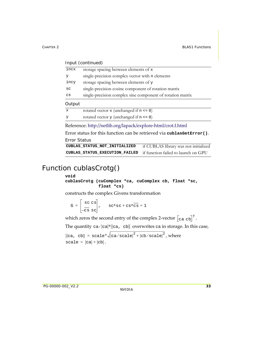|  | Input (continued) |
|--|-------------------|
|--|-------------------|

| incx         | storage spacing between elements of x                      |
|--------------|------------------------------------------------------------|
| У            | single-precision complex vector with n elements            |
| incy         | storage spacing between elements of y                      |
| SC           | single-precision cosine component of rotation matrix       |
| CS           | single-precision complex sine component of rotation matrix |
| Output       |                                                            |
| $\mathbf{x}$ | rotated vector $x$ (unchanged if $n \le 0$ )               |
| У            | rotated vector $y$ (unchanged if $n \le 0$ )               |

Reference: http://netlib.org/lapack/explore‐html/crot.f.html

Error status for this function can be retrieved via **cublasGetError()**.

Error Status

**CUBLAS\_STATUS\_NOT\_INITIALIZED** if CUBLAS library was not initialized **CUBLAS\_STATUS\_EXECUTION\_FAILED** if function failed to launch on GPU

### Function cublasCrotg()

#### **void**

```
cublasCrotg (cuComplex *ca, cuComplex cb, float *sc,
              float *cs)
```
constructs the complex Givens transformation

$$
G = \begin{bmatrix} sc & cs \\ -cs & sc \end{bmatrix}, \quad sc*sc+cs*cs = 1
$$

which zeros the second entry of the complex 2-vector  $\begin{bmatrix} c & a \end{bmatrix}^T$ .

The quantity  $ca/|ca|*||ca$ ,  $cb||$  overwrites  $ca$  in storage. In this case,

```
ca, cb\parallel = scale*\sqrt{|c a / \mathrm{scale}|}^2 + |c b / \mathrm{scale}|^2, where
scale = |ca| + |cb|.
```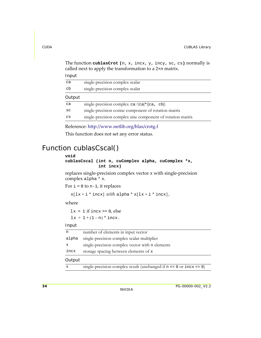The function **cublasCrot (**n, x, incx, y, incy, sc, cs**)** normally is called next to apply the transformation to a 2×n matrix.

Input

| ca     | single-precision complex scalar                            |
|--------|------------------------------------------------------------|
| cb     | single-precision complex scalar                            |
| Output |                                                            |
| ca     | single-precision complex $ca/ ca $ l ca, cb                |
| SC     | single-precision cosine component of rotation matrix       |
| CS     | single-precision complex sine component of rotation matrix |

Reference: http://www.netlib.org/blas/crotg.f

This function does not set any error status.

## Function cublasCscal()

#### **void**

```
cublasCscal (int n, cuComplex alpha, cuComplex *x,
              int incx)
```
replaces single‐precision complex vector x with single‐precision complex alpha \* x.

For  $i = 0$  to n-1, it replaces

 $x[lx + i * incx]$  with alpha  $* x[lx + i * incx]$ ,

where

 $lx = 1$  if incx  $>= 0$ , else  $lx = 1 + (1 - n) * incx.$ 

#### Input

| incx  | storage spacing between elements of x           |
|-------|-------------------------------------------------|
| X     | single-precision complex vector with n elements |
| alpha | single-precision complex scalar multiplier      |
| n     | number of elements in input vector              |

#### **Output**

| single-precision complex result (unchanged if $n \le 0$ or $\text{incx} \le 0$ ) |  |
|----------------------------------------------------------------------------------|--|
|----------------------------------------------------------------------------------|--|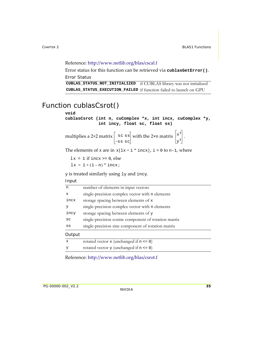#### Reference: http://www.netlib.org/blas/cscal.f

Error status for this function can be retrieved via **cublasGetError()**. Error Status

**CUBLAS\_STATUS\_NOT\_INITIALIZED** if CUBLAS library was not initialized **CUBLAS\_STATUS\_EXECUTION\_FAILED** if function failed to launch on GPU

### Function cublasCsrot()

**void cublasCsrot (int n, cuComplex \*x, int incx, cuComplex \*y, int incy, float sc, float ss)**

multiplies a 2×2 matrix  $|s \circ s|$  with the 2×n matrix  $|x^*|$ . –ss sc xT yT

The elements of x are in  $x[lx + i * incx]$  ,  $i = 0$  to n-1, where

 $lx = 1$  if incx  $>= 0$ , else  $lx = 1 + (1 - n) * incx;$ 

y is treated similarly using ly and incy.

Input

| n            | number of elements in input vectors                  |
|--------------|------------------------------------------------------|
| X            | single-precision complex vector with n elements      |
| incx         | storage spacing between elements of x                |
| У            | single-precision complex vector with n elements      |
| incy         | storage spacing between elements of y                |
| SC           | single-precision cosine component of rotation matrix |
| SS           | single-precision sine component of rotation matrix   |
| Output       |                                                      |
| $\mathbf{x}$ | rotated vector $x$ (unchanged if $n \le 0$ )         |
| У            | rotated vector $y$ (unchanged if $n \le 0$ )         |

Reference: http://www.netlib.org/blas/csrot.f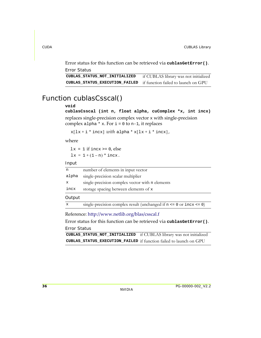Error status for this function can be retrieved via **cublasGetError()**. Error Status

```
CUBLAS_STATUS_NOT_INITIALIZED if CUBLAS library was not initialized
CUBLAS_STATUS_EXECUTION_FAILED if function failed to launch on GPU
```
### Function cublasCsscal()

#### **void**

**cublasCsscal (int n, float alpha, cuComplex \*x, int incx)** replaces single‐precision complex vector x with single‐precision complex alpha  $*$  x. For  $i=0$  to n-1, it replaces

```
x[lx + i * incx] with alpha * x[lx + i * incx],
```
where

 $lx = 1$  if incx  $> = 0$ , else  $lx = 1 + (1 - n) * incx.$ 

Input

| n            | number of elements in input vector                                               |
|--------------|----------------------------------------------------------------------------------|
| alpha        | single-precision scalar multiplier                                               |
| $\mathbf x$  | single-precision complex vector with n elements                                  |
| incx         | storage spacing between elements of x                                            |
| Output       |                                                                                  |
| $\mathbf{x}$ | single-precision complex result (unchanged if $n \le 0$ or $\text{incx} \le 0$ ) |

Reference: http://www.netlib.org/blas/csscal.f

Error status for this function can be retrieved via **cublasGetError()**. Error Status

**CUBLAS\_STATUS\_NOT\_INITIALIZED** if CUBLAS library was not initialized **CUBLAS\_STATUS\_EXECUTION\_FAILED** if function failed to launch on GPU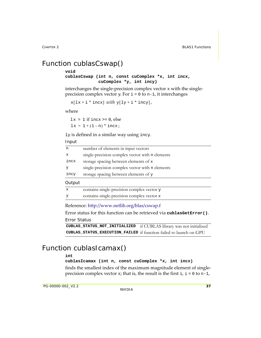## Function cublasCswap()

#### **void**

#### **cublasCswap (int n, const cuComplex \*x, int incx, cuComplex \*y, int incy)**

interchanges the single‐precision complex vector x with the single‐ precision complex vector  $y$ . For  $i = 0$  to n-1, it interchanges

```
x[lx + i * incx] with y[ly + i * incy],
```
where

 $lx = 1$  if incx  $> = 0$ , else

 $lx = 1 + (1 - n) * incx;$ 

ly is defined in a similar way using incy.

#### Input

| n            | number of elements in input vectors             |
|--------------|-------------------------------------------------|
| $\mathbf{x}$ | single-precision complex vector with n elements |
| incx         | storage spacing between elements of x           |
| У            | single-precision complex vector with n elements |
| incy         | storage spacing between elements of y           |
| Output       |                                                 |
| $\mathbf{x}$ | contains-single-precision complex vector y      |
| y            | contains-single-precision complex vector x      |

Reference: http://www.netlib.org/blas/cswap.f

Error status for this function can be retrieved via **cublasGetError()**. Error Status

```
CUBLAS_STATUS_NOT_INITIALIZED if CUBLAS library was not initialized
CUBLAS_STATUS_EXECUTION_FAILED if function failed to launch on GPU
```
### Function cublasIcamax()

#### **int**

#### **cublasIcamax (int n, const cuComplex \*x, int incx)**

finds the smallest index of the maximum magnitude element of singleprecision complex vector  $x$ ; that is, the result is the first  $i$ ,  $i = 0$  to n-1,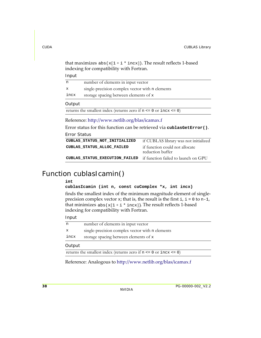that maximizes  $abs(x[1 + i * incx])$ . The result reflects 1-based indexing for compatibility with Fortran.

Input

| n           | number of elements in input vector                                             |
|-------------|--------------------------------------------------------------------------------|
| $\mathbf x$ | single-precision complex vector with n elements                                |
| incx        | storage spacing between elements of x                                          |
| Output      |                                                                                |
|             | returns the smallest index (returns zero if $n \le 0$ or $\text{incx} \le 0$ ) |
|             |                                                                                |

Reference: http://www.netlib.org/blas/icamax.f

Error status for this function can be retrieved via **cublasGetError()**.

Error Status

| CUBLAS STATUS NOT INITIALIZED                                      | if CUBLAS library was not initialized              |
|--------------------------------------------------------------------|----------------------------------------------------|
| CUBLAS STATUS ALLOC FAILED                                         | if function could not allocate<br>reduction buffer |
| CUBLAS_STATUS_EXECUTION_FAILED if function failed to launch on GPU |                                                    |

### Function cublasIcamin()

#### **int**

**cublasIcamin (int n, const cuComplex \*x, int incx)**

finds the smallest index of the minimum magnitude element of single‐ precision complex vector  $x$ ; that is, the result is the first  $i$ ,  $i = 0$  to n-1, that minimizes  $_{\rm abs(x[1+i * incx])}$ . The result reflects 1-based indexing for compatibility with Fortran.

#### Input

| <b>Output</b> |                                                 |
|---------------|-------------------------------------------------|
| incx          | storage spacing between elements of x           |
| x             | single-precision complex vector with n elements |
| n             | number of elements in input vector              |

#### Output

returns the smallest index (returns zero if  $n \le 0$  or  $\text{incx} \le 0$ )

Reference: Analogous to http://www.netlib.org/blas/icamax.f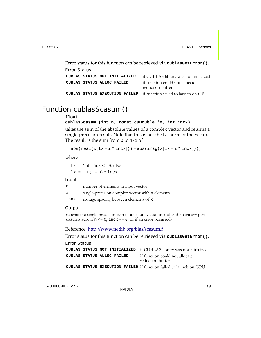Error status for this function can be retrieved via **cublasGetError()**. Error Status

| ------------                                                       |                                                    |
|--------------------------------------------------------------------|----------------------------------------------------|
| CUBLAS STATUS NOT INITIALIZED                                      | if CUBLAS library was not initialized              |
| CUBLAS STATUS ALLOC FAILED                                         | if function could not allocate<br>reduction buffer |
| CUBLAS_STATUS_EXECUTION_FAILED if function failed to launch on GPU |                                                    |

### Function cublasScasum()

#### **float**

#### **cublasScasum (int n, const cuDouble \*x, int incx)**

takes the sum of the absolute values of a complex vector and returns a single-precision result. Note that this is not the L1 norm of the vector. The result is the sum from 0 to n-1 of

```
abs(\text{real}(x[lx + i * incx])) + abs(\text{imag}(x[lx + i * incx])),
```
where

 $lx = 1$  if incx  $\leq 0$ , else  $lx = 1 + (1 - n) * incx.$ 

#### Input

| n    | number of elements in input vector              |
|------|-------------------------------------------------|
| х    | single-precision complex vector with n elements |
| incx | storage spacing between elements of x           |
|      |                                                 |

#### **Output**

```
returns the single-precision sum of absolute values of real and imaginary parts 
(returns zero if n \leq 0, incx \leq 0, or if an error occurred)
```
Reference: http://www.netlib.org/blas/scasum.f

Error status for this function can be retrieved via **cublasGetError()**.

```
CUBLAS_STATUS_NOT_INITIALIZED if CUBLAS library was not initialized
CUBLAS_STATUS_ALLOC_FAILED if function could not allocate 
                                   reduction buffer
CUBLAS_STATUS_EXECUTION_FAILED if function failed to launch on GPU
```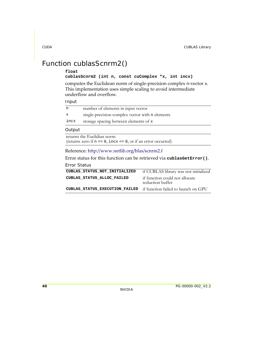# Function cublasScnrm2()

#### **float**

#### **cublasScnrm2 (int n, const cuComplex \*x, int incx)**

computes the Euclidean norm of single‐precision complex n‐vector x. This implementation uses simple scaling to avoid intermediate underflow and overflow.

#### Input

| n    | number of elements in input vector              |
|------|-------------------------------------------------|
| X.   | single-precision complex vector with n elements |
| incx | storage spacing between elements of x           |

#### **Output**

returns the Euclidian norm (returns zero if  $n \leq 0$ , incx  $\leq 0$ , or if an error occurred)

#### Reference: http://www.netlib.org/blas/scnrm2.f

Error status for this function can be retrieved via **cublasGetError()**.

| CUBLAS STATUS NOT INITIALIZED  | if CUBLAS library was not initialized              |
|--------------------------------|----------------------------------------------------|
| CUBLAS STATUS ALLOC FAILED     | if function could not allocate<br>reduction buffer |
| CUBLAS STATUS EXECUTION FAILED | if function failed to launch on GPU                |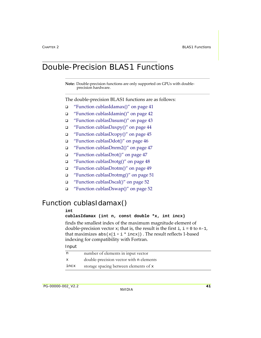# Double-Precision BLAS1 Functions

**Note:** Double‐precision functions are only supported on GPUs with double‐ precision hardware.

The double‐precision BLAS1 functions are as follows:

- "Function [cublasIdamax\(\)"](#page-48-0) on page 41
- "Function [cublasIdamin\(\)"](#page-49-0) on page 42
- "Function [cublasDasum\(\)"](#page-50-0) on page 43
- $\Box$  "Function [cublasDaxpy\(\)"](#page-51-0) on page 44
- $\Box$  "Function [cublasDcopy\(\)"](#page-52-0) on page 45
- $\Box$  "Function [cublasDdot\(\)"](#page-53-0) on page 46
- "Function [cublasDnrm2\(\)"](#page-54-0) on page 47
- "Function [cublasDrot\(\)"](#page-54-1) on page 47
- $\Box$  "Function [cublasDrotg\(\)"](#page-55-0) on page 48
- "Function [cublasDrotm\(\)"](#page-56-0) on page 49
- "Function [cublasDrotmg\(\)"](#page-58-0) on page 51
- "Function [cublasDscal\(\)"](#page-59-1) on page 52
- "Function [cublasDswap\(\)"](#page-59-0) on page 52

## <span id="page-48-0"></span>Function cublasIdamax()

#### **int**

#### **cublasIdamax (int n, const double \*x, int incx)**

finds the smallest index of the maximum magnitude element of double-precision vector x; that is, the result is the first  $i, i = 0$  to  $n-1$ , that maximizes  $abs(x[1 + i * incx])$  . The result reflects 1-based indexing for compatibility with Fortran.

| n            | number of elements in input vector      |
|--------------|-----------------------------------------|
| $\mathbf{x}$ | double-precision vector with n elements |
| incx         | storage spacing between elements of x   |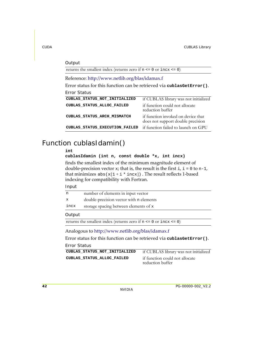#### Reference: http://www.netlib.org/blas/idamax.f Error status for this function can be retrieved via **cublasGetError()**. **Output** returns the smallest index (returns zero if n <= 0 or incx <= 0) Error Status **CUBLAS\_STATUS\_NOT\_INITIALIZED** if CUBLAS library was not initialized **CUBLAS\_STATUS\_ALLOC\_FAILED** if function could not allocate reduction buffer **CUBLAS\_STATUS\_ARCH\_MISMATCH** if function invoked on device that does not support double precision **CUBLAS\_STATUS\_EXECUTION\_FAILED** if function failed to launch on GPU

## <span id="page-49-0"></span>Function cublasIdamin()

**int** 

```
cublasIdamin (int n, const double *x, int incx)
```
finds the smallest index of the minimum magnitude element of double-precision vector x; that is, the result is the first  $i, i = 0$  to n-1, that minimizes  $abs(x[1 + i * incx])$  . The result reflects 1-based indexing for compatibility with Fortran.

Input

| n                                                                              | number of elements in input vector      |  |
|--------------------------------------------------------------------------------|-----------------------------------------|--|
| $\mathbf{x}$                                                                   | double-precision vector with n elements |  |
| incx                                                                           | storage spacing between elements of x   |  |
| Output                                                                         |                                         |  |
| returns the smallest index (returns zero if $n \le 0$ or $\text{incx} \le 0$ ) |                                         |  |
| Analogous to http://www.netlib.org/blas/idamax.f                               |                                         |  |
| Error status for this function can be retrieved via cublas GetError().         |                                         |  |

| CUBLAS STATUS NOT INITIALIZED | if CUBLAS library was not initialized |
|-------------------------------|---------------------------------------|
| CUBLAS STATUS ALLOC FAILED    | if function could not allocate        |
|                               | reduction buffer                      |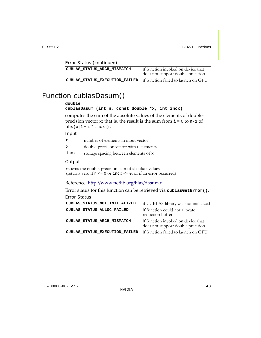| Error Status (continued)       |                                                                         |
|--------------------------------|-------------------------------------------------------------------------|
| CUBLAS STATUS ARCH MISMATCH    | if function invoked on device that<br>does not support double precision |
| CUBLAS STATUS EXECUTION FAILED | if function failed to launch on GPU                                     |

### <span id="page-50-0"></span>Function cublasDasum()

#### **double**

```
cublasDasum (int n, const double *x, int incx)
```
computes the sum of the absolute values of the elements of double‐ precision vector  $x$ ; that is, the result is the sum from  $i = 0$  to  $n-1$  of  $abs(x[1 + i * incx])$ .

#### Input

| n    | number of elements in input vector      |
|------|-----------------------------------------|
| x    | double-precision vector with n elements |
| incx | storage spacing between elements of x   |
|      |                                         |

#### **Output**

returns the double-precision sum of absolute values (returns zero if  $n \leq 0$  or  $\text{incx} \leq 0$ , or if an error occurred)

#### Reference: http://www.netlib.org/blas/dasum.f

Error status for this function can be retrieved via **cublasGetError()**.

| CUBLAS STATUS NOT INITIALIZED  | if CUBLAS library was not initialized                                   |
|--------------------------------|-------------------------------------------------------------------------|
| CUBLAS STATUS ALLOC FAILED     | if function could not allocate<br>reduction buffer                      |
| CUBLAS STATUS ARCH MISMATCH    | if function invoked on device that<br>does not support double precision |
| CUBLAS STATUS EXECUTION FAILED | if function failed to launch on GPU                                     |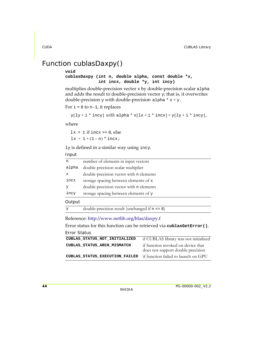# <span id="page-51-0"></span>Function cublasDaxpy()

#### **void**

#### **cublasDaxpy (int n, double alpha, const double \*x, int incx, double \*y, int incy)**

multiplies double‐precision vector x by double‐precision scalar alpha and adds the result to double-precision vector  $y$ ; that is, it overwrites double-precision  $\mathbf y$  with double-precision <code>alpha\*x+y.</code>

```
For i = 0 to n-1, it replaces
```

```
\text{y[ly + i * incy]} \text{ with alpha * x[lx + i * incx] + y[ly + i * incy],}
```
where

 $lx = 1$  if incx  $>= 0$ , else  $lx = 1 + (1 - n) * incx;$ 

ly is defined in a similar way using incy.

Input

| n      | number of elements in input vectors     |
|--------|-----------------------------------------|
| alpha  | double-precision scalar multiplier      |
| X      | double-precision vector with n elements |
| incx   | storage spacing between elements of x   |
| У      | double-precision vector with n elements |
| incy   | storage spacing between elements of y   |
| Output |                                         |

y double-precision result (unchanged if n <= 0)

Reference: http://www.netlib.org/blas/daxpy.f

Error status for this function can be retrieved via **cublasGetError()**.

```
Error Status
CUBLAS_STATUS_NOT_INITIALIZED if CUBLAS library was not initialized
CUBLAS_STATUS_ARCH_MISMATCH if function invoked on device that 
                                    does not support double precision
CUBLAS_STATUS_EXECUTION_FAILED if function failed to launch on GPU
```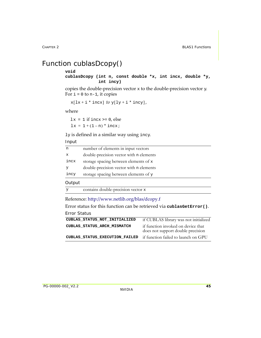# <span id="page-52-0"></span>Function cublasDcopy()

#### **void**

**cublasDcopy (int n, const double \*x, int incx, double \*y, int incy)**

copies the double-precision vector  $x$  to the double-precision vector  $y$ . For  $i = 0$  to n-1, it copies

```
x[lx + i * incx] to y[ly + i * incy],
```
where

 $lx = 1$  if incx  $> = 0$ , else  $lx = 1 + (1 - n) * incx;$ 

ly is defined in a similar way using incy.

#### Input

| n           | number of elements in input vectors     |
|-------------|-----------------------------------------|
| $\mathbf x$ | double-precision vector with n elements |
| incx        | storage spacing between elements of x   |
|             | double-precision vector with n elements |
| incy        | storage spacing between elements of y   |
| Output      |                                         |
|             | contains double-precision vector x      |

Reference: http://www.netlib.org/blas/dcopy.f

Error status for this function can be retrieved via **cublasGetError()**. Error Status

| CUBLAS STATUS NOT INITIALIZED  | if CUBLAS library was not initialized                                   |
|--------------------------------|-------------------------------------------------------------------------|
| CUBLAS STATUS ARCH MISMATCH    | if function invoked on device that<br>does not support double precision |
| CUBLAS STATUS EXECUTION FAILED | if function failed to launch on GPU                                     |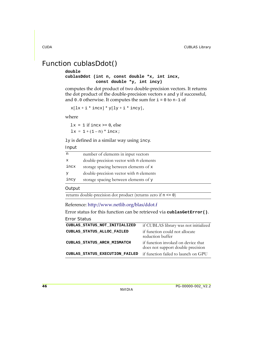## <span id="page-53-0"></span>Function cublasDdot()

**double cublasDdot (int n, const double \*x, int incx, const double \*y, int incy)**

computes the dot product of two double‐precision vectors. It returns the dot product of the double-precision vectors  $x$  and  $y$  if successful, and  $0.0$  otherwise. It computes the sum for  $i = 0$  to n-1 of

 $x[lx + i * incx] * y[ly + i * incy],$ 

where

 $lx = 1$  if incx  $> = 0$ , else  $lx = 1 + (1 - n) * incx;$ 

ly is defined in a similar way using incy.

Input

| n    | number of elements in input vectors     |
|------|-----------------------------------------|
| x    | double-precision vector with n elements |
| incx | storage spacing between elements of x   |
| У    | double-precision vector with n elements |
| incy | storage spacing between elements of y   |

**Output** 

returns double-precision dot product (returns zero if n <= 0)

Reference: http://www.netlib.org/blas/ddot.f

Error status for this function can be retrieved via **cublasGetError()**.

| CUBLAS STATUS NOT INITIALIZED  | if CUBLAS library was not initialized                                   |
|--------------------------------|-------------------------------------------------------------------------|
| CUBLAS STATUS ALLOC FAILED     | if function could not allocate<br>reduction buffer                      |
| CUBLAS STATUS ARCH MISMATCH    | if function invoked on device that<br>does not support double precision |
| CUBLAS STATUS EXECUTION FAILED | if function failed to launch on GPU                                     |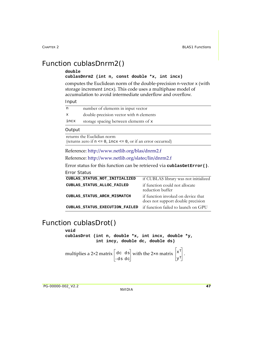# <span id="page-54-0"></span>Function cublasDnrm2()

#### **double**

#### **cublasDnrm2 (int n, const double \*x, int incx)**

computes the Euclidean norm of the double‐precision n‐vector x (with storage increment incx). This code uses a multiphase model of accumulation to avoid intermediate underflow and overflow.

#### Input

| n            | number of elements in input vector      |
|--------------|-----------------------------------------|
| $\mathbf{x}$ | double-precision vector with n elements |
| incx         | storage spacing between elements of x   |

#### **Output**

returns the Euclidian norm (returns zero if  $n \leq 0$ , incx  $\leq 0$ , or if an error occurred)

Reference: http://www.netlib.org/blas/dnrm2.f

Reference: http://www.netlib.org/slatec/lin/dnrm2.f

Error status for this function can be retrieved via **cublasGetError()**.

#### Error Status

| CUBLAS STATUS NOT INITIALIZED  | if CUBLAS library was not initialized                                   |
|--------------------------------|-------------------------------------------------------------------------|
| CUBLAS STATUS ALLOC FAILED     | if function could not allocate<br>reduction buffer                      |
| CUBLAS STATUS ARCH MISMATCH    | if function invoked on device that<br>does not support double precision |
| CUBLAS STATUS EXECUTION FAILED | if function failed to launch on GPU                                     |

### <span id="page-54-1"></span>Function cublasDrot()

**void** 

**cublasDrot (int n, double \*x, int incx, double \*y, int incy, double dc, double ds)**

multiplies a 2×2 matrix  $\vert$  dc  $\vert$  ds with the 2×n matrix  $\vert$ <sup>x+</sup>  $\vert$ . –ds dc  $x^T$ yT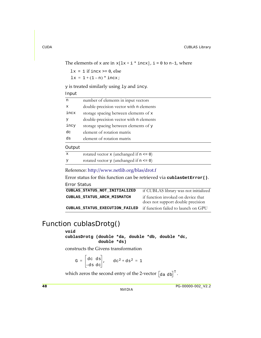The elements of x are in  $x[lx + i * incx]$ , i = 0 to n-1, where

 $lx = 1$  if incx  $>= 0$ , else  $lx = 1 + (1 - n) * incx;$ 

y is treated similarly using ly and incy.

Input

| n            | number of elements in input vectors          |
|--------------|----------------------------------------------|
| $\mathbf{x}$ | double-precision vector with n elements      |
| incx         | storage spacing between elements of x        |
| У            | double-precision vector with n elements      |
| incy         | storage spacing between elements of y        |
| dc           | element of rotation matrix                   |
| ds           | element of rotation matrix                   |
| Output       |                                              |
| $\mathbf{x}$ | rotated vector $x$ (unchanged if $n \le 0$ ) |
|              |                                              |

y rotated vector y (unchanged if n <= 0)

Reference: http://www.netlib.org/blas/drot.f

Error status for this function can be retrieved via **cublasGetError()**.

Error Status

| CUBLAS STATUS NOT INITIALIZED  | if CUBLAS library was not initialized                                   |
|--------------------------------|-------------------------------------------------------------------------|
| CUBLAS STATUS ARCH MISMATCH    | if function invoked on device that<br>does not support double precision |
| CUBLAS STATUS EXECUTION FAILED | if function failed to launch on GPU                                     |

## <span id="page-55-0"></span>Function cublasDrotg()

#### **void**

**cublasDrotg (double \*da, double \*db, double \*dc, double \*ds)**

constructs the Givens transformation

$$
G = \begin{bmatrix} dc & ds \\ -ds & dc \end{bmatrix}, \quad dc^2 + ds^2 = 1
$$

which zeros the second entry of the 2-vector  $\begin{bmatrix} \text{da } \text{db} \end{bmatrix}^{\text{T}}$ .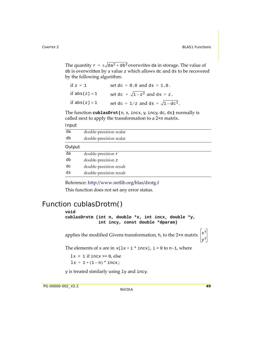The quantity  $\texttt r = \pm \surd \texttt da^2 + \texttt db^2$ overwrites da in storage. The value of db is overwritten by a value z which allows dc and ds to be recovered by the following algorithm:

| if $z = 1$      | set $dc = 0.0$ and $ds = 1.0$ .                      |
|-----------------|------------------------------------------------------|
| if $abs(z) < 1$ | set dc = $\sqrt{1-z^2}$ and ds = z.                  |
| if $abs(z) > 1$ | set dc = $1/z$ and ds = $\sqrt{1-$ dc <sup>2</sup> . |

The function **cublasDrot(**n, x, incx, y, incy, dc, ds**)** normally is called next to apply the transformation to a 2×n matrix.

Input

| double-precision scalar |
|-------------------------|
| double-precision scalar |
|                         |
| double-precision r      |
| double-precision z      |
| double-precision result |
| double-precision result |
|                         |

Reference: http://www.netlib.org/blas/drotg.f This function does not set any error status.

## <span id="page-56-0"></span>Function cublasDrotm()

```
void 
cublasDrotm (int n, double *x, int incx, double *y,
                   int incy, const double *dparam)
applies the modified Givens transformation, h, to the 2×n matrix \left| \mathbf{x}^{\mathrm{T}} \right|The elements of x are in x[lx + i * incx], i = 0 to n-1, where
y is treated similarly using ly and incy.
  lx = 1 if incx \geq 0, else
   lx = 1 + (1 - n) * incx;\mathbf{y}^{\mathrm{T}}
```
PG-00000-002\_V2.2 **49**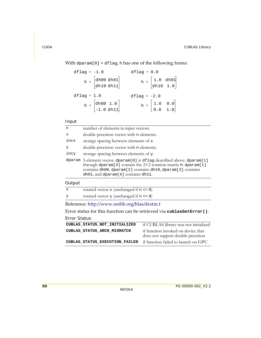With dparam[0] = dflag, h has one of the following forms:

| dflag = $-1.0$                                                | $dflag = 0.0$                                               |
|---------------------------------------------------------------|-------------------------------------------------------------|
| $h = \begin{bmatrix} dh00 dh01 \\ dh10 dh11 \end{bmatrix}$    | $h = \begin{bmatrix} 1.0 & dho1 \\ dho & 1.0 \end{bmatrix}$ |
| $dflag = 1.0$                                                 | dflag = $-2.0$                                              |
| $h = \begin{bmatrix} dh00 & 1.0 \\ -1.0 & dh11 \end{bmatrix}$ | $h = \begin{bmatrix} 1.0 & 0.0 \\ 0.0 & 1.0 \end{bmatrix}$  |

#### Input

| n           | number of elements in input vectors.                                                                                                                                                                                                     |
|-------------|------------------------------------------------------------------------------------------------------------------------------------------------------------------------------------------------------------------------------------------|
| $\mathbf x$ | double-precision vector with n elements.                                                                                                                                                                                                 |
| incx        | storage spacing between elements of x.                                                                                                                                                                                                   |
| У           | double-precision vector with n elements.                                                                                                                                                                                                 |
| incy        | storage spacing between elements of y.                                                                                                                                                                                                   |
| dparam      | 5-element vector. dparam [0] is dflag described above. dparam [1]<br>through dparam[4] contain the 2×2 rotation matrix h: dparam[1]<br>contains dh00, dparam[2] contains dh10, dparam[3] contains<br>dh01, and dparam [4] contains dh11. |
| Output      |                                                                                                                                                                                                                                          |
| $\mathbf x$ | rotated vector $x$ (unchanged if $n \le 0$ )                                                                                                                                                                                             |
| y           | rotated vector $y$ (unchanged if $n \le 0$ )                                                                                                                                                                                             |

Reference: http://www.netlib.org/blas/drotm.f

Error status for this function can be retrieved via **cublasGetError()**.

| CUBLAS STATUS NOT INITIALIZED  | if CUBLAS library was not initialized                                   |  |
|--------------------------------|-------------------------------------------------------------------------|--|
| CUBLAS STATUS ARCH MISMATCH    | if function invoked on device that<br>does not support double precision |  |
| CUBLAS STATUS EXECUTION FAILED | if function failed to launch on GPU                                     |  |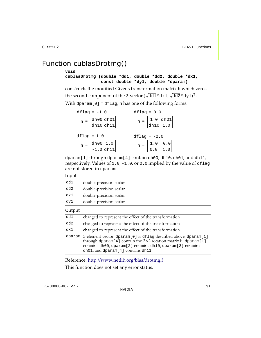# <span id="page-58-0"></span>Function cublasDrotmg()

#### **void**

#### **cublasDrotmg (double \*dd1, double \*dd2, double \*dx1, const double \*dy1, double \*dparam)**

constructs the modified Givens transformation matrix h which zeros the second component of the 2-vector ( $\sqrt{{\rm dd1}\,}$ \*dx1,  $\sqrt{{\rm dd2}\,}$ \*dy1) $^{\rm T}$ .

With dparam $[0]$  = dflag, h has one of the following forms:

| $df$ laq = $-1.0$                                             | $dflag = 0.0$                                                    |  |
|---------------------------------------------------------------|------------------------------------------------------------------|--|
| $h = \begin{bmatrix} dh00 dh01 \\ dh10 dh11 \end{bmatrix}$    | $h = \begin{bmatrix} 1.0 & d h 01 \\ d h 10 & 1.0 \end{bmatrix}$ |  |
| $dflag = 1.0$                                                 | $dflag = -2.0$                                                   |  |
| $h = \begin{bmatrix} dh00 & 1.0 \\ -1.0 & dh11 \end{bmatrix}$ |                                                                  |  |
|                                                               | $h = \begin{bmatrix} 1.0 & 0.0 \\ 0.0 & 1.0 \end{bmatrix}$       |  |

dparam[1] through dparam[4] contain dh00, dh10, dh01, and dh11, respectively. Values of  $1.0$ ,  $-1.0$ , or  $0.0$  implied by the value of dflag are not stored in dparam.

#### Input

| Output |                         |
|--------|-------------------------|
| dy1    | double-precision scalar |
| dx1    | double-precision scalar |
| dd 2   | double-precision scalar |
| dd1    | double-precision scalar |

| dd1    | changed to represent the effect of the transformation                                                                                                                                                                                                         |
|--------|---------------------------------------------------------------------------------------------------------------------------------------------------------------------------------------------------------------------------------------------------------------|
| dd 2   | changed to represent the effect of the transformation                                                                                                                                                                                                         |
| dx1    | changed to represent the effect of the transformation                                                                                                                                                                                                         |
| dparam | 5-element vector. dparam <sup>[0]</sup> is dflag described above. dparam <sup>[1]</sup><br>through dparam[4] contain the 2×2 rotation matrix h: dparam[1]<br>contains dh00, dparam[2] contains dh10, dparam[3] contains<br>dh01, and dparam[4] contains dh11. |

Reference: http://www.netlib.org/blas/drotmg.f

This function does not set any error status.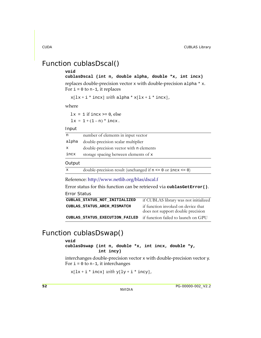## <span id="page-59-1"></span>Function cublasDscal()

#### **void**

#### **cublasDscal (int n, double alpha, double \*x, int incx)**

replaces double-precision vector x with double-precision alpha  $*$  x. For  $i = 0$  to n-1, it replaces

```
x[lx + i * incx] with alpha * x[lx + i * incx],
```
where

 $lx = 1$  if incx  $>= 0$ , else  $lx = 1 + (1 - n) * incx.$ 

#### Input

| n           | number of elements in input vector      |
|-------------|-----------------------------------------|
| alpha       | double-precision scalar multiplier      |
| $\mathbf x$ | double-precision vector with n elements |
| incx        | storage spacing between elements of x   |
| Output      |                                         |

```
x \rightarrow double-precision result (unchanged if n \le 0 or \text{incx} \le 0)
```
Reference: http://www.netlib.org/blas/dscal.f

Error status for this function can be retrieved via **cublasGetError()**.

```
Error Status
CUBLAS_STATUS_NOT_INITIALIZED if CUBLAS library was not initialized
CUBLAS_STATUS_ARCH_MISMATCH if function invoked on device that 
                                    does not support double precision
CUBLAS_STATUS_EXECUTION_FAILED if function failed to launch on GPU
```
## <span id="page-59-0"></span>Function cublasDswap()

#### **void**

**cublasDswap (int n, double \*x, int incx, double \*y, int incy)**

interchanges double-precision vector  $x$  with double-precision vector  $y$ . For  $i = 0$  to n-1, it interchanges

 $x[lx + i * incx] with y[ly + i * incy],$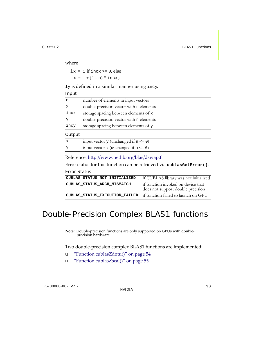where

 $lx = 1$  if incx  $>= 0$ , else  $lx = 1 + (1 - n) * incx;$ 

ly is defined in a similar manner using incy.

Input

| n            | number of elements in input vectors        |
|--------------|--------------------------------------------|
| $\mathbf{x}$ | double-precision vector with n elements    |
| incx         | storage spacing between elements of x      |
| У            | double-precision vector with n elements    |
| incy         | storage spacing between elements of y      |
| Output       |                                            |
| $\mathbf x$  | input vector $y$ (unchanged if $n \le 0$ ) |

| У |  | input vector $x$ (unchanged if $n \le 0$ ) |  |
|---|--|--------------------------------------------|--|
|---|--|--------------------------------------------|--|

#### Reference: http://www.netlib.org/blas/dswap.f

Error status for this function can be retrieved via **cublasGetError()**.

#### Error Status

| CUBLAS STATUS NOT INITIALIZED  | if CUBLAS library was not initialized                                   |
|--------------------------------|-------------------------------------------------------------------------|
| CUBLAS STATUS ARCH MISMATCH    | if function invoked on device that<br>does not support double precision |
| CUBLAS STATUS EXECUTION FAILED | if function failed to launch on GPU                                     |

# Double-Precision Complex BLAS1 functions

**Note:** Double‐precision functions are only supported on GPUs with double‐ precision hardware.

Two double‐precision complex BLAS1 functions are implemented:

- "Function [cublasZdotu\(\)"](#page-61-0) on page 54
- "Function [cublasZscal\(\)"](#page-62-0) on page 55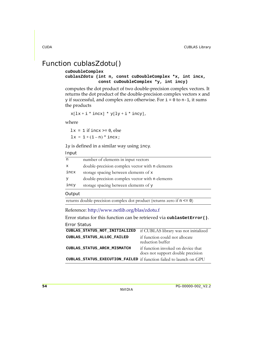## <span id="page-61-0"></span>Function cublasZdotu()

```
cuDoubleComplex
```

```
cublasZdotu (int n, const cuDoubleComplex *x, int incx,
              const cuDoubleComplex *y, int incy)
```
computes the dot product of two double‐precision complex vectors. It returns the dot product of the double‐precision complex vectors x and  $y$  if successful, and complex zero otherwise. For  $i = 0$  to  $n-1$ , it sums the products

```
x[lx + i * incx] * y[ly + i * incy],
```
where

 $lx = 1$  if incx  $>= 0$ , else  $lx = 1 + (1 - n) * incx;$ 

ly is defined in a similar way using incy.

Input

| n    | number of elements in input vectors             |
|------|-------------------------------------------------|
| x    | double-precision complex vector with n elements |
| incx | storage spacing between elements of x           |
| У    | double-precision complex vector with n elements |
| incy | storage spacing between elements of y           |
|      |                                                 |

#### **Output**

```
returns double-precision complex dot product (returns zero if n <= 0)
```
Reference: http://www.netlib.org/blas/zdotu.f

Error status for this function can be retrieved via **cublasGetError()**.

| CUBLAS STATUS NOT INITIALIZED                                      | if CUBLAS library was not initialized                                   |
|--------------------------------------------------------------------|-------------------------------------------------------------------------|
| CUBLAS_STATUS_ALLOC_FAILED                                         | if function could not allocate<br>reduction buffer                      |
| CUBLAS_STATUS_ARCH_MISMATCH                                        | if function invoked on device that<br>does not support double precision |
| CUBLAS_STATUS_EXECUTION_FAILED if function failed to launch on GPU |                                                                         |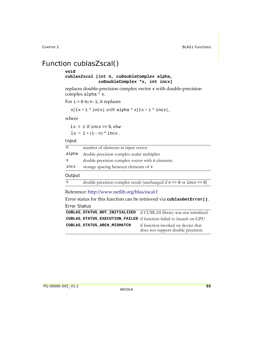## <span id="page-62-0"></span>Function cublasZscal()

#### **void**

**cublasZscal (int n, cuDoubleComplex alpha, cuDoubleComplex \*x, int incx)**

replaces double‐precision complex vector x with double‐precision complex alpha \* x.

For  $i = 0$  to n-1, it replaces

```
x[lx + i * incx] with alpha * x[lx + i * incx],
```
where

 $lx = 1$  if incx >= 0, else  $lx = 1 + (1 - n) * incx.$ 

#### Input

| n            | number of elements in input vector                                               |
|--------------|----------------------------------------------------------------------------------|
| alpha        | double-precision complex scalar multiplier                                       |
| $\mathbf x$  | double-precision complex vector with n elements                                  |
| incx         | storage spacing between elements of x                                            |
| Output       |                                                                                  |
| $\mathbf{x}$ | double-precision complex result (unchanged if $n \le 0$ or $\text{incx} \le 0$ ) |

### Reference: http://www.netlib.org/blas/zscal.f

Error status for this function can be retrieved via **cublasGetError()**. Error Status

| CUBLAS_STATUS_NOT_INITIALIZED if CUBLAS library was not initialized |                                                                         |
|---------------------------------------------------------------------|-------------------------------------------------------------------------|
| CUBLAS STATUS_EXECUTION_FAILED if function failed to launch on GPU  |                                                                         |
| CUBLAS STATUS ARCH MISMATCH                                         | if function invoked on device that<br>does not support double precision |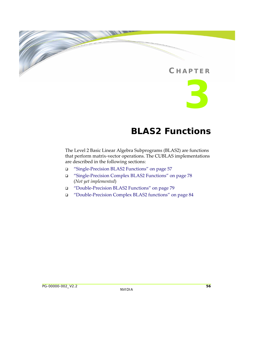### **C HAPTER**



# **BLAS2 Functions**

The Level 2 Basic Linear Algebra Subprograms (BLAS2) are functions that perform matrix‐vector operations. The CUBLAS implementations are described in the following sections:

- "Single‐Precision BLAS2 [Functions"](#page-64-0) on page 57
- "Single‐Precision Complex BLAS2 [Functions"](#page-85-0) on page 78 (*Not yet implemented*)
- "Double‐Precision BLAS2 [Functions"](#page-86-0) on page 79
- "Double‐Precision Complex BLAS2 [functions"](#page-91-0) on page 84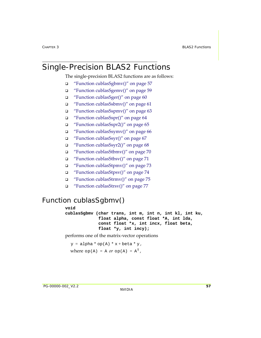# <span id="page-64-0"></span>Single-Precision BLAS2 Functions

The single-precision BLAS2 functions are as follows:

- "Function [cublasSgbmv\(\)"](#page-64-1) on page 57
- "Function [cublasSgemv\(\)"](#page-66-0) on page 59
- "Function [cublasSger\(\)"](#page-67-0) on page 60
- "Function [cublasSsbmv\(\)"](#page-68-0) on page 61
- "Function [cublasSspmv\(\)"](#page-70-0) on page 63
- "Function [cublasSspr\(\)"](#page-71-0) on page 64
- "Function [cublasSspr2\(\)"](#page-72-0) on page 65
- $\Box$  "Function [cublasSsymv\(\)"](#page-73-0) on page 66
- "Function [cublasSsyr\(\)"](#page-74-0) on page 67
- "Function [cublasSsyr2\(\)"](#page-75-0) on page 68
- "Function [cublasStbmv\(\)"](#page-77-0) on page 70
- "Function [cublasStbsv\(\)"](#page-78-0) on page 71
- "Function [cublasStpmv\(\)"](#page-80-0) on page 73
- "Function [cublasStpsv\(\)"](#page-81-0) on page 74
- "Function [cublasStrmv\(\)"](#page-82-0) on page 75
- "Function [cublasStrsv\(\)"](#page-84-0) on page 77

# <span id="page-64-1"></span>Function cublasSgbmv()

**void cublasSgbmv (char trans, int m, int n, int kl, int ku, float alpha, const float \*A, int lda, const float \*x, int incx, float beta, float \*y, int incy);**

performs one of the matrix‐vector operations

 $y = alpha * op(A) * x + beta * y,$ where  $op(A) = A$  or  $op(A) = A<sup>T</sup>$ ,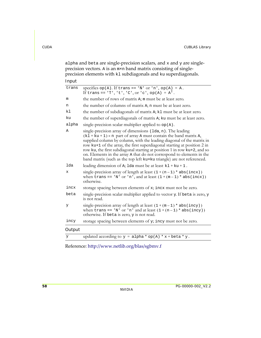alpha and beta are single-precision scalars, and  $x$  and  $y$  are singleprecision vectors. A is an m×n band matrix consisting of singleprecision elements with kl subdiagonals and ku superdiagonals.

| Input  |                                                                                                                                                                                                                                                                                                                                                                                                                                                                                                                           |
|--------|---------------------------------------------------------------------------------------------------------------------------------------------------------------------------------------------------------------------------------------------------------------------------------------------------------------------------------------------------------------------------------------------------------------------------------------------------------------------------------------------------------------------------|
| trans  | specifies $op(A)$ . If trans == 'N' or 'n', $op(A) = A$ .<br>If trans == $'T', 't', 'C', or 'c', op(A) = AT.$                                                                                                                                                                                                                                                                                                                                                                                                             |
| m      | the number of rows of matrix A; m must be at least zero.                                                                                                                                                                                                                                                                                                                                                                                                                                                                  |
| n      | the number of columns of matrix A; n must be at least zero.                                                                                                                                                                                                                                                                                                                                                                                                                                                               |
| kl     | the number of subdiagonals of matrix A; k1 must be at least zero.                                                                                                                                                                                                                                                                                                                                                                                                                                                         |
| ku     | the number of superdiagonals of matrix A; ku must be at least zero.                                                                                                                                                                                                                                                                                                                                                                                                                                                       |
| alpha  | single-precision scalar multiplier applied to op(A).                                                                                                                                                                                                                                                                                                                                                                                                                                                                      |
| Α      | single-precision array of dimensions (1da, n). The leading<br>$(kl + ku + 1) \times n$ part of array A must contain the band matrix A,<br>supplied column by column, with the leading diagonal of the matrix in<br>row ku+1 of the array, the first superdiagonal starting at position 2 in<br>row ku, the first subdiagonal starting at position 1 in row ku+2, and so<br>on. Elements in the array A that do not correspond to elements in the<br>band matrix (such as the top left kuxku triangle) are not referenced. |
| lda    | leading dimension of A; 1da must be at least $k1 + ku + 1$ .                                                                                                                                                                                                                                                                                                                                                                                                                                                              |
| x      | single-precision array of length at least $(1 + (n - 1) * abs(incx))$<br>when trans == 'N' or 'n', and at least $(1 + (m-1) * abs(incx))$<br>otherwise.                                                                                                                                                                                                                                                                                                                                                                   |
| incx   | storage spacing between elements of x; incx must not be zero.                                                                                                                                                                                                                                                                                                                                                                                                                                                             |
| beta   | single-precision scalar multiplier applied to vector y. If beta is zero, y<br>is not read.                                                                                                                                                                                                                                                                                                                                                                                                                                |
| У      | single-precision array of length at least $(1 + (m - 1) * abs(incy))$<br>when trans == 'N' or 'n' and at least $(1+(n-1) * abs(incy))$<br>otherwise. If beta is zero, y is not read.                                                                                                                                                                                                                                                                                                                                      |
| incy   | storage spacing between elements of y; incy must not be zero.                                                                                                                                                                                                                                                                                                                                                                                                                                                             |
| Output |                                                                                                                                                                                                                                                                                                                                                                                                                                                                                                                           |
| У      | updated according to $y = \text{alpha} * \text{ op}(A) * x + \text{beta} * y$ .                                                                                                                                                                                                                                                                                                                                                                                                                                           |

Reference: http://www.netlib.org/blas/sgbmv.f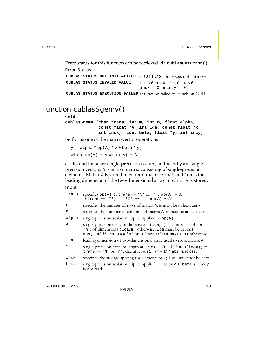Error status for this function can be retrieved via **cublasGetError()**. Error Status

```
CUBLAS_STATUS_NOT_INITIALIZED if CUBLAS library was not initialized
CUBLAS_STATUS_INVALID_VALUE if m < 0, n < 0, k1 < 0, ku < 0,incx == 0, or incy == 0CUBLAS_STATUS_EXECUTION_FAILED if function failed to launch on GPU
```
## <span id="page-66-0"></span>Function cublasSgemv()

#### **void**

**cublasSgemv (char trans, int m, int n, float alpha, const float \*A, int lda, const float \*x, int incx, float beta, float \*y, int incy)**

performs one of the matrix‐vector operations

 $y = alpha * op(A) * x + beta * y,$ where  $op(A) = A$  or  $op(A) = A<sup>T</sup>$ ,

alpha and beta are single‐precision scalars, and x and y are single‐ precision vectors. A is an m×n matrix consisting of single‐precision elements. Matrix A is stored in column‐major format, and lda is the leading dimension of the two-dimensional array in which A is stored.

| trans | specifies $op(A)$ . If trans == 'N' or 'n', $op(A) = A$ .                                                                                                                                                 |
|-------|-----------------------------------------------------------------------------------------------------------------------------------------------------------------------------------------------------------|
|       | If trans == $'T', 't', 'C', or 'c', op(A) = AT.$                                                                                                                                                          |
| m     | specifies the number of rows of matrix A; m must be at least zero.                                                                                                                                        |
| n     | specifies the number of columns of matrix A; n must be at least zero.                                                                                                                                     |
| alpha | single-precision scalar multiplier applied to $op(A)$ .                                                                                                                                                   |
| Α     | single-precision array of dimensions (1da, n) if trans == 'N' or<br>'n', of dimensions (1da, m) otherwise; 1da must be at least<br>$max(1, m)$ if trans == 'N' or 'n' and at least $max(1, n)$ otherwise. |
| lda   | leading dimension of two-dimensional array used to store matrix A.                                                                                                                                        |
| x     | single-precision array of length at least $(1 + (n - 1) * abs(incx))$ if<br>trans == 'N' or 'n', else at least $(1 + (m-1) * abs(incx))$ .                                                                |
| incx  | specifies the storage spacing for elements of x; incx must not be zero.                                                                                                                                   |
| beta  | single-precision scalar multiplier applied to vector y. If beta is zero, y<br>is not read.                                                                                                                |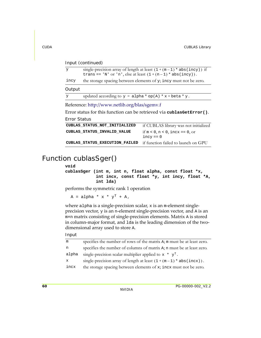#### Input (continued)

| $\bar{v}$                                                              | trans == 'N' or 'n', else at least $(1+(n-1) * abs(incy))$ .                    | single-precision array of length at least $(1 + (m - 1) * abs(incy))$ if |  |
|------------------------------------------------------------------------|---------------------------------------------------------------------------------|--------------------------------------------------------------------------|--|
| incy                                                                   |                                                                                 | the storage spacing between elements of y; incy must not be zero.        |  |
| Output                                                                 |                                                                                 |                                                                          |  |
| y                                                                      | updated according to $y = \text{alpha} * \text{ op}(A) * x + \text{beta} * y$ . |                                                                          |  |
|                                                                        | Reference: http://www.netlib.org/blas/sgemv.f                                   |                                                                          |  |
| Error status for this function can be retrieved via cublas GetError(). |                                                                                 |                                                                          |  |
| Error Status                                                           |                                                                                 |                                                                          |  |
|                                                                        | CUBLAS STATUS NOT INITIALIZED                                                   | if CUBLAS library was not initialized                                    |  |
|                                                                        | CUBLAS STATUS INVALID VALUE                                                     | if $m < 0$ , $n < 0$ , incx == 0, or<br>$incy == 0$                      |  |
|                                                                        | CUBLAS STATUS EXECUTION FAILED                                                  | if function failed to launch on GPU                                      |  |

## <span id="page-67-0"></span>Function cublasSger()

#### **void**

```
cublasSger (int m, int n, float alpha, const float *x,
            int incx, const float *y, int incy, float *A,
            int lda)
```
performs the symmetric rank 1 operation

 $A = alpha * x * y<sup>T</sup> + A,$ 

where alpha is a single-precision scalar,  $x$  is an m-element singleprecision vector,  $y$  is an n-element single-precision vector, and  $A$  is an m×n matrix consisting of single‐precision elements. Matrix A is stored in column-major format, and 1 da is the leading dimension of the twodimensional array used to store A.

| m            | specifies the number of rows of the matrix A; m must be at least zero.  |
|--------------|-------------------------------------------------------------------------|
| n            | specifies the number of columns of matrix A; n must be at least zero.   |
| alpha        | single-precision scalar multiplier applied to $x * y^T$ .               |
| $\mathbf{x}$ | single-precision array of length at least $(1 + (m - 1) * abs(incx))$ . |
| incx         | the storage spacing between elements of x; incx must not be zero.       |
|              |                                                                         |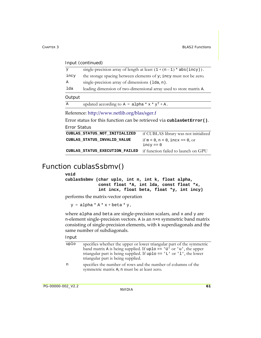| mput (communed) |                                                                         |
|-----------------|-------------------------------------------------------------------------|
| y               | single-precision array of length at least $(1 + (n - 1) * abs(incy))$ . |
| incy            | the storage spacing between elements of y; incy must not be zero.       |
| Α               | single-precision array of dimensions (1da, n).                          |
| lda             | leading dimension of two-dimensional array used to store matrix A.      |
| Output          |                                                                         |
| Α               | updated according to $A = alpha * x * y^T + A$ .                        |

#### $Input (condition and)$

Reference: http://www.netlib.org/blas/sger.f

Error status for this function can be retrieved via **cublasGetError()**. Error Status

| CUBLAS STATUS NOT INITIALIZED  | if CUBLAS library was not initialized               |
|--------------------------------|-----------------------------------------------------|
| CUBLAS STATUS INVALID VALUE    | if $m < 0$ , $n < 0$ , incx == 0, or<br>$incv == 0$ |
| CUBLAS STATUS EXECUTION FAILED | if function failed to launch on GPU                 |

### <span id="page-68-0"></span>Function cublasSsbmv()

#### **void**

**cublasSsbmv (char uplo, int n, int k, float alpha, const float \*A, int lda, const float \*x, int incx, float beta, float \*y, int incy)**

performs the matrix‐vector operation

 $y = alpha * A * x + beta * y,$ 

where alpha and beta are single-precision scalars, and x and y are n-element single-precision vectors. A is an n×n symmetric band matrix consisting of single‐precision elements, with k superdiagonals and the same number of subdiagonals.

| uplo | specifies whether the upper or lower triangular part of the symmetric<br>band matrix A is being supplied. If uplo == $'U'$ or $'u'$ , the upper<br>triangular part is being supplied. If up $1 \circ$ = $'L'$ or $'l'$ , the lower<br>triangular part is being supplied. |
|------|--------------------------------------------------------------------------------------------------------------------------------------------------------------------------------------------------------------------------------------------------------------------------|
| n    | specifies the number of rows and the number of columns of the<br>symmetric matrix A; n must be at least zero.                                                                                                                                                            |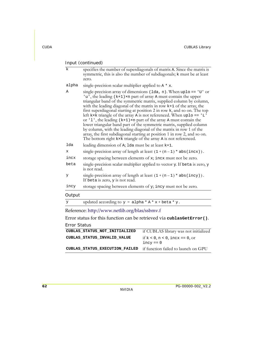| Input (continued) |                                                                                                                                                                                                                                                                                                                                                                                                                                                                                                                                                                                                                                                                                                                                                                                                                                |  |
|-------------------|--------------------------------------------------------------------------------------------------------------------------------------------------------------------------------------------------------------------------------------------------------------------------------------------------------------------------------------------------------------------------------------------------------------------------------------------------------------------------------------------------------------------------------------------------------------------------------------------------------------------------------------------------------------------------------------------------------------------------------------------------------------------------------------------------------------------------------|--|
| $\mathbf{k}$      | specifies the number of superdiagonals of matrix A. Since the matrix is<br>symmetric, this is also the number of subdiagonals; k must be at least<br>zero.                                                                                                                                                                                                                                                                                                                                                                                                                                                                                                                                                                                                                                                                     |  |
| alpha             | single-precision scalar multiplier applied to $A * x$ .                                                                                                                                                                                                                                                                                                                                                                                                                                                                                                                                                                                                                                                                                                                                                                        |  |
| Α                 | single-precision array of dimensions $(\text{lda}, n)$ . When uplo == 'U' or<br>'u', the leading (k+1) ×n part of array A must contain the upper<br>triangular band of the symmetric matrix, supplied column by column,<br>with the leading diagonal of the matrix in row $k+1$ of the array, the<br>first superdiagonal starting at position 2 in row k, and so on. The top<br>left kxk triangle of the array A is not referenced. When uplo == $'L$<br>or '1', the leading $(k+1) \times n$ part of the array A must contain the<br>lower triangular band part of the symmetric matrix, supplied column<br>by column, with the leading diagonal of the matrix in row 1 of the<br>array, the first subdiagonal starting at position 1 in row 2, and so on.<br>The bottom right kxk triangle of the array A is not referenced. |  |
| lda               | leading dimension of A; 1da must be at least $k+1$ .                                                                                                                                                                                                                                                                                                                                                                                                                                                                                                                                                                                                                                                                                                                                                                           |  |
| х                 | single-precision array of length at least $(1 + (n - 1) * abs(incx))$ .                                                                                                                                                                                                                                                                                                                                                                                                                                                                                                                                                                                                                                                                                                                                                        |  |
| incx              | storage spacing between elements of x; incx must not be zero.                                                                                                                                                                                                                                                                                                                                                                                                                                                                                                                                                                                                                                                                                                                                                                  |  |
| beta              | single-precision scalar multiplier applied to vector y. If beta is zero, y<br>is not read.                                                                                                                                                                                                                                                                                                                                                                                                                                                                                                                                                                                                                                                                                                                                     |  |
| У                 | single-precision array of length at least $(1 + (n - 1) * abs(incy))$ .<br>If beta is zero, y is not read.                                                                                                                                                                                                                                                                                                                                                                                                                                                                                                                                                                                                                                                                                                                     |  |
| incy              | storage spacing between elements of y; incy must not be zero.                                                                                                                                                                                                                                                                                                                                                                                                                                                                                                                                                                                                                                                                                                                                                                  |  |
| Output            |                                                                                                                                                                                                                                                                                                                                                                                                                                                                                                                                                                                                                                                                                                                                                                                                                                |  |
| У                 | updated according to $y = \text{alpha} * A * x + \text{beta} * y$ .                                                                                                                                                                                                                                                                                                                                                                                                                                                                                                                                                                                                                                                                                                                                                            |  |
|                   | Reference: http://www.netlib.org/blas/ssbmv.f                                                                                                                                                                                                                                                                                                                                                                                                                                                                                                                                                                                                                                                                                                                                                                                  |  |

Error status for this function can be retrieved via **cublasGetError()**.

| CUBLAS STATUS NOT INITIALIZED  | if CUBLAS library was not initialized            |
|--------------------------------|--------------------------------------------------|
| CUBLAS STATUS INVALID VALUE    | if $k < 0, n < 0$ , incx == 0, or<br>$incv == 0$ |
| CUBLAS STATUS EXECUTION FAILED | if function failed to launch on GPU              |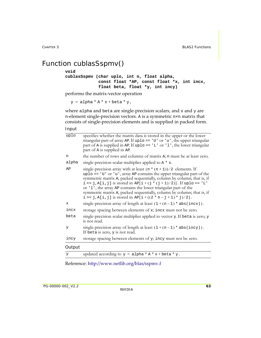## <span id="page-70-0"></span>Function cublasSspmv()

#### **void**

```
cublasSspmv (char uplo, int n, float alpha,
              const float *AP, const float *x, int incx,
              float beta, float *y, int incy)
```
performs the matrix‐vector operation

 $y = alpha * A * x + beta * y,$ 

where alpha and beta are single-precision scalars, and  $x$  and  $y$  are n‐element single‐precision vectors. A is a symmetric n×n matrix that consists of single‐precision elements and is supplied in packed form.

Input

| uplo   | specifies whether the matrix data is stored in the upper or the lower<br>triangular part of array AP. If uplo == $'U'$ or $'u'$ , the upper triangular<br>part of A is supplied in AP. If uplo == $'L'$ or $'l'$ , the lower triangular<br>part of A is supplied in AP.                                                                                                                                                                                                                                                |
|--------|------------------------------------------------------------------------------------------------------------------------------------------------------------------------------------------------------------------------------------------------------------------------------------------------------------------------------------------------------------------------------------------------------------------------------------------------------------------------------------------------------------------------|
| n      | the number of rows and columns of matrix A; n must be at least zero.                                                                                                                                                                                                                                                                                                                                                                                                                                                   |
| alpha  | single-precision scalar multiplier applied to $A \star x$ .                                                                                                                                                                                                                                                                                                                                                                                                                                                            |
| AP     | single-precision array with at least $(n * (n + 1))/2$ elements. If<br>$uplo == 'U'$ or 'u', array AP contains the upper triangular part of the<br>symmetric matrix A, packed sequentially, column by column; that is, if<br>$i \le j$ , A[i, j] is stored in AP[i + (j * (j + 1)/2)]. If uplo == 'L'<br>or '1', the array AP contains the lower triangular part of the<br>symmetric matrix A, packed sequentially, column by column; that is, if<br>$i > = j$ , A[i, j] is stored in AP[i + ((2 * n – j + 1) * j)/2]. |
| X      | single-precision array of length at least $(1 + (n - 1) * abs(incx))$ .                                                                                                                                                                                                                                                                                                                                                                                                                                                |
| incx   | storage spacing between elements of x; incx must not be zero.                                                                                                                                                                                                                                                                                                                                                                                                                                                          |
| beta   | single-precision scalar multiplier applied to vector y. If beta is zero, y<br>is not read.                                                                                                                                                                                                                                                                                                                                                                                                                             |
| У      | single-precision array of length at least $(1 + (n - 1) * abs(incy))$ .<br>If beta is zero, y is not read.                                                                                                                                                                                                                                                                                                                                                                                                             |
| incy   | storage spacing between elements of y; incy must not be zero.                                                                                                                                                                                                                                                                                                                                                                                                                                                          |
| Output |                                                                                                                                                                                                                                                                                                                                                                                                                                                                                                                        |
| y      | updated according to $y = \text{alpha} * A * x + \text{beta} * y$ .                                                                                                                                                                                                                                                                                                                                                                                                                                                    |

Reference: http://www.netlib.org/blas/sspmv.f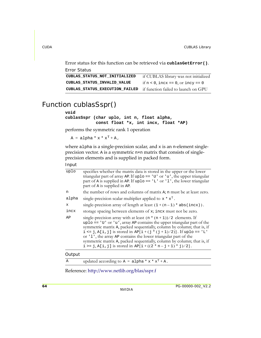Error status for this function can be retrieved via **cublasGetError()**.

```
Error Status
CUBLAS_STATUS_NOT_INITIALIZED if CUBLAS library was not initialized
CUBLAS_STATUS_INVALID_VALUE if n < 0, incx == 0, or incy == 0
CUBLAS_STATUS_EXECUTION_FAILED if function failed to launch on GPU
```
### <span id="page-71-0"></span>Function cublasSspr()

#### **void**

```
cublasSspr (char uplo, int n, float alpha,
            const float *x, int incx, float *AP)
```
performs the symmetric rank 1 operation

 $A = alpha * x * x<sup>T</sup> + A$ ,

where alpha is a single-precision scalar, and x is an n-element singleprecision vector. A is a symmetric n×n matrix that consists of single‐ precision elements and is supplied in packed form.

Input

| uplo  | specifies whether the matrix data is stored in the upper or the lower<br>triangular part of array AP. If uplo == $'U'$ or $'u'$ , the upper triangular<br>part of A is supplied in AP. If uplo == $'L'$ or $'l'$ , the lower triangular<br>part of A is supplied in AP.                                                                                                                                                                                                                                                |
|-------|------------------------------------------------------------------------------------------------------------------------------------------------------------------------------------------------------------------------------------------------------------------------------------------------------------------------------------------------------------------------------------------------------------------------------------------------------------------------------------------------------------------------|
| n     | the number of rows and columns of matrix A; n must be at least zero.                                                                                                                                                                                                                                                                                                                                                                                                                                                   |
| alpha | single-precision scalar multiplier applied to $x * x^T$ .                                                                                                                                                                                                                                                                                                                                                                                                                                                              |
| X     | single-precision array of length at least $(1 + (n-1) * abs(incx))$ .                                                                                                                                                                                                                                                                                                                                                                                                                                                  |
| incx  | storage spacing between elements of x; incx must not be zero.                                                                                                                                                                                                                                                                                                                                                                                                                                                          |
| AΡ    | single-precision array with at least $(n * (n + 1))/2$ elements. If<br>$uplo == 'U'$ or 'u', array AP contains the upper triangular part of the<br>symmetric matrix A, packed sequentially, column by column; that is, if<br>$i \le j$ , A[i, j] is stored in AP[i + (j * (j + 1)/2)]. If uplo == 'L'<br>or '1', the array AP contains the lower triangular part of the<br>symmetric matrix A, packed sequentially, column by column; that is, if<br>$i > = j$ , A[i, j] is stored in AP[i + ((2 * n – j + 1) * j)/2]. |

#### **Output**

A updated according to  $A = alpha * x * x^{T} + A$ .

Reference: http://www.netlib.org/blas/sspr.f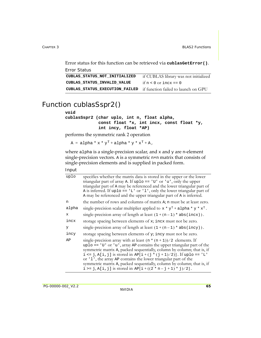Error status for this function can be retrieved via **cublasGetError()**.

```
Error Status
CUBLAS_STATUS_NOT_INITIALIZED if CUBLAS library was not initialized
CUBLAS_STATUS_INVALID_VALUE if n < 0 or incx == 0
CUBLAS_STATUS_EXECUTION_FAILED if function failed to launch on GPU
```
### Function cublasSspr2()

#### **void**

```
cublasSspr2 (char uplo, int n, float alpha,
              const float *x, int incx, const float *y,
              int incy, float *AP)
```
performs the symmetric rank 2 operation

 $A = alpha * x * y<sup>T</sup> + alpha * y * x<sup>T</sup> + A$ ,

where alpha is a single-precision scalar, and  $x$  and  $y$  are n-element single‐precision vectors. A is a symmetric n×n matrix that consists of single‐precision elements and is supplied in packed form.

| uplo        | specifies whether the matrix data is stored in the upper or the lower<br>triangular part of array A. If uplo == $'U'$ or $'u'$ , only the upper<br>triangular part of A may be referenced and the lower triangular part of<br>A is inferred. If uplo == $'L'$ or $'l'$ , only the lower triangular part of<br>A may be referenced and the upper triangular part of A is inferred.                                                                                                                                      |
|-------------|------------------------------------------------------------------------------------------------------------------------------------------------------------------------------------------------------------------------------------------------------------------------------------------------------------------------------------------------------------------------------------------------------------------------------------------------------------------------------------------------------------------------|
| n           | the number of rows and columns of matrix A; n must be at least zero.                                                                                                                                                                                                                                                                                                                                                                                                                                                   |
| alpha       | single-precision scalar multiplier applied to $x * y^T +$ alpha * $y * x^T$ .                                                                                                                                                                                                                                                                                                                                                                                                                                          |
| $\mathbf x$ | single-precision array of length at least $(1 + (n - 1) * abs(incx))$ .                                                                                                                                                                                                                                                                                                                                                                                                                                                |
| incx        | storage spacing between elements of x; incx must not be zero.                                                                                                                                                                                                                                                                                                                                                                                                                                                          |
| У           | single-precision array of length at least $(1 + (n - 1) * abs(incy))$ .                                                                                                                                                                                                                                                                                                                                                                                                                                                |
| incy        | storage spacing between elements of y; incy must not be zero.                                                                                                                                                                                                                                                                                                                                                                                                                                                          |
| AP          | single-precision array with at least $(n * (n + 1))/2$ elements. If<br>$uplo == 'U'$ or 'u', array AP contains the upper triangular part of the<br>symmetric matrix A, packed sequentially, column by column; that is, if<br>$i \le j$ , A[i, j] is stored in AP[i + (j * (j + 1)/2)]. If uplo == 'L'<br>or '1', the array AP contains the lower triangular part of the<br>symmetric matrix A, packed sequentially, column by column; that is, if<br>$i > = j$ , A[i, j] is stored in AP[i + ((2 * n - j + 1) * j)/2]. |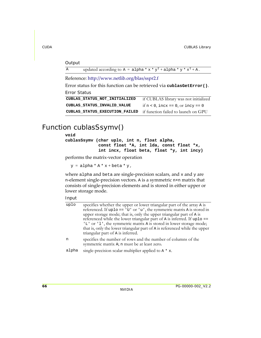### **Output**

| updated according to $A = alpha * x * y^T + alpha * y * x^T + A$ . |  |
|--------------------------------------------------------------------|--|
|--------------------------------------------------------------------|--|

Reference: http://www.netlib.org/blas/sspr2.f

Error status for this function can be retrieved via **cublasGetError()**. Error Status

```
CUBLAS_STATUS_NOT_INITIALIZED if CUBLAS library was not initialized
CUBLAS_STATUS_INVALID_VALUE if n < 0, incx == 0, or incy == 0
CUBLAS_STATUS_EXECUTION_FAILED if function failed to launch on GPU
```
### Function cublasSsymv()

#### **void**

**cublasSsymv (char uplo, int n, float alpha, const float \*A, int lda, const float \*x, int incx, float beta, float \*y, int incy)**

performs the matrix‐vector operation

```
y = alpha * A * x + beta * y,
```
where alpha and beta are single-precision scalars, and  $x$  and  $y$  are n-element single-precision vectors. A is a symmetric n×n matrix that consists of single‐precision elements and is stored in either upper or lower storage mode.

| uplo  | specifies whether the upper or lower triangular part of the array A is<br>referenced. If $uplo == 'U'$ or 'u', the symmetric matrix A is stored in<br>upper storage mode; that is, only the upper triangular part of A is<br>referenced while the lower triangular part of A is inferred. If uplo ==<br>'L' or 'l', the symmetric matrix A is stored in lower storage mode;<br>that is, only the lower triangular part of A is referenced while the upper<br>triangular part of A is inferred. |
|-------|------------------------------------------------------------------------------------------------------------------------------------------------------------------------------------------------------------------------------------------------------------------------------------------------------------------------------------------------------------------------------------------------------------------------------------------------------------------------------------------------|
| n     | specifies the number of rows and the number of columns of the<br>symmetric matrix A; n must be at least zero.                                                                                                                                                                                                                                                                                                                                                                                  |
| alpha | single-precision scalar multiplier applied to $A \star x$ .                                                                                                                                                                                                                                                                                                                                                                                                                                    |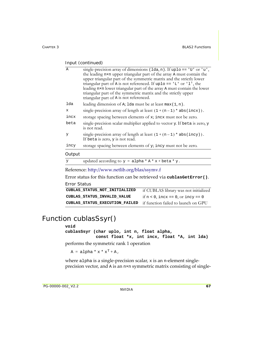| A           | single-precision array of dimensions $(\text{lda}, n)$ . If uplo == 'U' or 'u',<br>the leading nxn upper triangular part of the array A must contain the<br>upper triangular part of the symmetric matrix and the strictly lower<br>triangular part of A is not referenced. If uplo == $'L'$ or $'l'$ , the<br>leading n×n lower triangular part of the array A must contain the lower<br>triangular part of the symmetric matrix and the strictly upper<br>triangular part of A is not referenced. |
|-------------|-----------------------------------------------------------------------------------------------------------------------------------------------------------------------------------------------------------------------------------------------------------------------------------------------------------------------------------------------------------------------------------------------------------------------------------------------------------------------------------------------------|
| lda         | leading dimension of A; 1da must be at least $max(1, n)$ .                                                                                                                                                                                                                                                                                                                                                                                                                                          |
| $\mathbf x$ | single-precision array of length at least $(1 + (n - 1) * abs(incx))$ .                                                                                                                                                                                                                                                                                                                                                                                                                             |
| incx        | storage spacing between elements of x; incx must not be zero.                                                                                                                                                                                                                                                                                                                                                                                                                                       |
| beta        | single-precision scalar multiplier applied to vector y. If beta is zero, y<br>is not read.                                                                                                                                                                                                                                                                                                                                                                                                          |
| y           | single-precision array of length at least $(1 + (n - 1) * abs(incy))$ .<br>If beta is zero, y is not read.                                                                                                                                                                                                                                                                                                                                                                                          |
| incy        | storage spacing between elements of y; incy must not be zero.                                                                                                                                                                                                                                                                                                                                                                                                                                       |
| Output      |                                                                                                                                                                                                                                                                                                                                                                                                                                                                                                     |
| У           | updated according to $y = \text{alpha} * A * x + \text{beta} * y$ .                                                                                                                                                                                                                                                                                                                                                                                                                                 |
|             |                                                                                                                                                                                                                                                                                                                                                                                                                                                                                                     |

Reference: http://www.netlib.org/blas/ssymv.f

Error status for this function can be retrieved via **cublasGetError()**.

Error Status

| CUBLAS STATUS NOT INITIALIZED                                      | if CUBLAS library was not initialized |
|--------------------------------------------------------------------|---------------------------------------|
| CUBLAS STATUS INVALID VALUE                                        | if $n < 0$ , incx == 0, or incy == 0  |
| CUBLAS_STATUS_EXECUTION_FAILED if function failed to launch on GPU |                                       |

### Function cublasSsyr()

#### **void**

**cublasSsyr (char uplo, int n, float alpha, const float \*x, int incx, float \*A, int lda)**

performs the symmetric rank 1 operation

 $A = alpha * x * x<sup>T</sup> + A$ ,

where alpha is a single-precision scalar, x is an n-element singleprecision vector, and A is an n×n symmetric matrix consisting of single-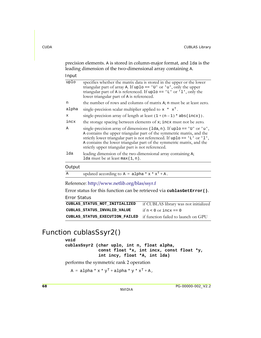precision elements. A is stored in column‐major format, and lda is the leading dimension of the two-dimensional array containing A.

| ٠<br>۰, |
|---------|
|---------|

| uplo  | specifies whether the matrix data is stored in the upper or the lower<br>triangular part of array A. If uplo == $'U'$ or $'u'$ , only the upper<br>triangular part of A is referenced. If uplo == $'L'$ or $'l'$ , only the<br>lower triangular part of A is referenced.                                                                                 |
|-------|----------------------------------------------------------------------------------------------------------------------------------------------------------------------------------------------------------------------------------------------------------------------------------------------------------------------------------------------------------|
| n     | the number of rows and columns of matrix A; n must be at least zero.                                                                                                                                                                                                                                                                                     |
| alpha | single-precision scalar multiplier applied to $x * x^T$ .                                                                                                                                                                                                                                                                                                |
| х     | single-precision array of length at least $(1 + (n - 1) * abs(incx))$ .                                                                                                                                                                                                                                                                                  |
| incx  | the storage spacing between elements of x; incx must not be zero.                                                                                                                                                                                                                                                                                        |
| Α     | single-precision array of dimensions (lda, n). If uplo == 'U' or 'u',<br>A contains the upper triangular part of the symmetric matrix, and the<br>strictly lower triangular part is not referenced. If uplo == 'L' or 'l',<br>A contains the lower triangular part of the symmetric matrix, and the<br>strictly upper triangular part is not referenced. |
| lda   | leading dimension of the two-dimensional array containing A;<br>1da must be at least $max(1, n)$ .                                                                                                                                                                                                                                                       |
| .     |                                                                                                                                                                                                                                                                                                                                                          |

### **Output**

| Α |  | updated according to $A = alpha * x * x^T + A$ . |  |  |  |  |
|---|--|--------------------------------------------------|--|--|--|--|
|---|--|--------------------------------------------------|--|--|--|--|

Reference: http://www.netlib.org/blas/ssyr.f

Error status for this function can be retrieved via **cublasGetError()**.

Error Status

```
CUBLAS_STATUS_NOT_INITIALIZED if CUBLAS library was not initialized
CUBLAS_STATUS_INVALID_VALUE if n < 0 or incx == 0
CUBLAS_STATUS_EXECUTION_FAILED if function failed to launch on GPU
```
### Function cublasSsyr2()

### **void**

**cublasSsyr2 (char uplo, int n, float alpha, const float \*x, int incx, const float \*y, int incy, float \*A, int lda)**

performs the symmetric rank 2 operation

 $A = alpha * x * y<sup>T</sup> + alpha * y * x<sup>T</sup> + A$ ,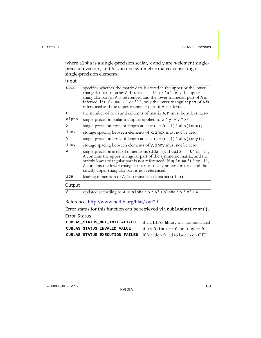where alpha is a single-precision scalar,  $x$  and  $y$  are n-element singleprecision vectors, and A is an n×n symmetric matrix consisting of single‐precision elements.

Input

| uplo         | specifies whether the matrix data is stored in the upper or the lower<br>triangular part of array A. If uplo == $'U'$ or $'u'$ , only the upper<br>triangular part of A is referenced and the lower triangular part of A is<br>inferred. If uplo == $'L'$ or $'l'$ , only the lower triangular part of A is<br>referenced and the upper triangular part of A is inferred. |
|--------------|---------------------------------------------------------------------------------------------------------------------------------------------------------------------------------------------------------------------------------------------------------------------------------------------------------------------------------------------------------------------------|
| n            | the number of rows and columns of matrix A; n must be at least zero.                                                                                                                                                                                                                                                                                                      |
| alpha        | single-precision scalar multiplier applied to $x * y^T + y * x^T$ .                                                                                                                                                                                                                                                                                                       |
| X            | single-precision array of length at least $(1 + (n - 1) * abs(incx))$ .                                                                                                                                                                                                                                                                                                   |
| incx         | storage spacing between elements of x; incx must not be zero.                                                                                                                                                                                                                                                                                                             |
| У            | single-precision array of length at least $(1 + (n - 1) * abs(incy))$ .                                                                                                                                                                                                                                                                                                   |
| incy         | storage spacing between elements of y; incy must not be zero.                                                                                                                                                                                                                                                                                                             |
| Α            | single-precision array of dimensions $(\text{lda}, n)$ . If uplo == 'U' or 'u',<br>A contains the upper triangular part of the symmetric matrix, and the<br>strictly lower triangular part is not referenced. If uplo == $'L'$ or $'l'$ ,<br>A contains the lower triangular part of the symmetric matrix, and the<br>strictly upper triangular part is not referenced.   |
| lda          | leading dimension of A; 1da must be at least $max(1, n)$ .                                                                                                                                                                                                                                                                                                                |
| Output       |                                                                                                                                                                                                                                                                                                                                                                           |
| $\mathsf{A}$ | updated according to A = alpha * $x * y^T +$ alpha * $y * x^T + A$ .                                                                                                                                                                                                                                                                                                      |
|              |                                                                                                                                                                                                                                                                                                                                                                           |

Reference: http://www.netlib.org/blas/ssyr2.f

Error status for this function can be retrieved via **cublasGetError()**. Error Status

| LITUL STATUS |        |  |
|--------------|--------|--|
| ----         | ------ |  |

| CUBLAS STATUS NOT INITIALIZED                                      | if CUBLAS library was not initialized |
|--------------------------------------------------------------------|---------------------------------------|
| CUBLAS STATUS INVALID VALUE                                        | if $n < 0$ , incx == 0, or incy == 0  |
| CUBLAS_STATUS_EXECUTION_FAILED if function failed to launch on GPU |                                       |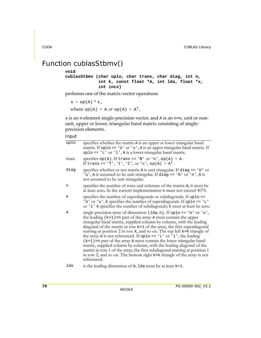### Function cublasStbmv()

### **void**

**cublasStbmv (char uplo, char trans, char diag, int n, int k, const float \*A, int lda, float \*x, int incx)**

performs one of the matrix‐vector operations

 $x = op(A) * x,$ 

where  $op(A) = A$  or  $op(A) = A<sup>T</sup>$ ,

 $x$  is an n-element single-precision vector, and A is an  $n \times n$ , unit or nonunit, upper or lower, triangular band matrix consisting of singleprecision elements.

Input

| uplo  | specifies whether the matrix A is an upper or lower triangular band<br>matrix. If uplo == $'U'$ or $'u'$ , A is an upper triangular band matrix. If<br>$uplo == 'L'$ or '1', A is a lower triangular band matrix.                                                                                                                                                                                                                                                                                                                                                                                                                                                                                                                                                                        |
|-------|------------------------------------------------------------------------------------------------------------------------------------------------------------------------------------------------------------------------------------------------------------------------------------------------------------------------------------------------------------------------------------------------------------------------------------------------------------------------------------------------------------------------------------------------------------------------------------------------------------------------------------------------------------------------------------------------------------------------------------------------------------------------------------------|
| trans | specifies $op(A)$ . If trans == 'N' or 'n', $op(A) = A$ .<br>If trans == $'T', 't', 'C', or 'c', op(A) = AT.$                                                                                                                                                                                                                                                                                                                                                                                                                                                                                                                                                                                                                                                                            |
| diag  | specifies whether or not matrix A is unit triangular. If diag == $'U'$ or<br>'u', A is assumed to be unit triangular. If diag == 'N' or 'n', A is<br>not assumed to be unit triangular.                                                                                                                                                                                                                                                                                                                                                                                                                                                                                                                                                                                                  |
| n     | specifies the number of rows and columns of the matrix A; n must be<br>at least zero. In the current implementation n must not exceed 4070.                                                                                                                                                                                                                                                                                                                                                                                                                                                                                                                                                                                                                                              |
| k     | specifies the number of superdiagonals or subdiagonals. If uplo ==<br>'U' or 'u', k specifies the number of superdiagonals. If uplo == 'L'<br>or '1' k specifies the number of subdiagonals; k must at least be zero.                                                                                                                                                                                                                                                                                                                                                                                                                                                                                                                                                                    |
| Α     | single-precision array of dimension $(\text{lda}, n)$ . If uplo == 'U' or 'u',<br>the leading $(k+1) \times n$ part of the array A must contain the upper<br>triangular band matrix, supplied column by column, with the leading<br>diagonal of the matrix in row k+1 of the array, the first superdiagonal<br>starting at position 2 in row k, and so on. The top left kxk triangle of<br>the array A is not referenced. If uplo == $'L'$ or $'l'$ , the leading<br>$(k+1)$ ×n part of the array A must contain the lower triangular band<br>matrix, supplied column by column, with the leading diagonal of the<br>matrix in row 1 of the array, the first subdiagonal starting at position 1<br>in row 2, and so on. The bottom right kxk triangle of the array is not<br>referenced. |

1da is the leading dimension of A; 1da must be at least  $k+1$ .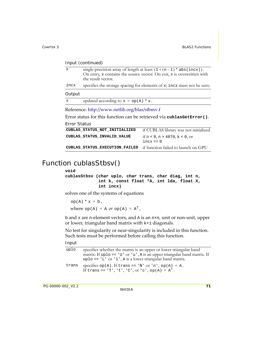| $\mathbf{x}$                                                           | the result vector.                     | single-precision array of length at least $(1 + (n - 1) * abs(incx))$ .<br>On entry, x contains the source vector. On exit, x is overwritten with |
|------------------------------------------------------------------------|----------------------------------------|---------------------------------------------------------------------------------------------------------------------------------------------------|
| incx                                                                   |                                        | specifies the storage spacing for elements of x; incx must not be zero.                                                                           |
| Output                                                                 |                                        |                                                                                                                                                   |
| $\mathbf{x}$                                                           | updated according to $x = op(A) * x$ . |                                                                                                                                                   |
| Reference: http://www.netlib.org/blas/stbmv.f                          |                                        |                                                                                                                                                   |
| Error status for this function can be retrieved via cublasGetError().  |                                        |                                                                                                                                                   |
| Error Status                                                           |                                        |                                                                                                                                                   |
| if CUBLAS library was not initialized<br>CUBLAS STATUS NOT INITIALIZED |                                        |                                                                                                                                                   |
|                                                                        |                                        |                                                                                                                                                   |

#### **CUBLAS\_STATUS\_EXECUTION\_FAILED** if function failed to launch on GPU

### Function cublasStbsv()

#### **void**

```
cublasStbsv (char uplo, char trans, char diag, int n,
              int k, const float *A, int lda, float X,
              int incx)
```
solves one of the systems of equations

```
op(A) * x = b,where op(A) = A or op(A) = A<sup>T</sup>,
```
b and x are n‐element vectors, and A is an n×n, unit or non‐unit, upper or lower, triangular band matrix with k+1 diagonals.

No test for singularity or near‐singularity is included in this function. Such tests must be performed before calling this function.

| uplo  | specifies whether the matrix is an upper or lower triangular band<br>matrix: If uplo == 'U' or 'u', A is an upper triangular band matrix. If |
|-------|----------------------------------------------------------------------------------------------------------------------------------------------|
|       | $uplo == 'L'$ or '1', A is a lower triangular band matrix.                                                                                   |
| trans | specifies $op(A)$ . If trans == 'N' or 'n', $op(A) = A$ .<br>If trans == 'T', 't', 'C', or 'c', op(A) = $A^T$ .                              |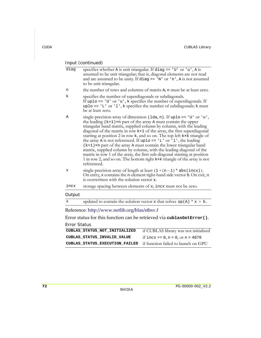| diag                | specifies whether A is unit triangular. If diag == $'U'$ or $'u'$ , A is<br>assumed to be unit triangular; that is, diagonal elements are not read<br>and are assumed to be unity. If diag == $'N'$ or $'n'$ , A is not assumed<br>to be unit triangular.                                                                                                                                                                                                                                                                                                                                                                                                                                                                                                                      |
|---------------------|--------------------------------------------------------------------------------------------------------------------------------------------------------------------------------------------------------------------------------------------------------------------------------------------------------------------------------------------------------------------------------------------------------------------------------------------------------------------------------------------------------------------------------------------------------------------------------------------------------------------------------------------------------------------------------------------------------------------------------------------------------------------------------|
| n                   | the number of rows and columns of matrix A; n must be at least zero.                                                                                                                                                                                                                                                                                                                                                                                                                                                                                                                                                                                                                                                                                                           |
| k                   | specifies the number of superdiagonals or subdiagonals.<br>If uplo == $'U'$ or $'u'$ , k specifies the number of superdiagonals. If<br>uplo == $'L'$ or $'l'$ , k specifies the number of subdiagonals; k must<br>be at least zero.                                                                                                                                                                                                                                                                                                                                                                                                                                                                                                                                            |
| Α                   | single-precision array of dimension (1da, n). If uplo == 'U' or 'u',<br>the leading $(k+1) \times n$ part of the array A must contain the upper<br>triangular band matrix, supplied column by column, with the leading<br>diagonal of the matrix in row k+1 of the array, the first superdiagonal<br>starting at position 2 in row k, and so on. The top left kxk triangle of<br>the array A is not referenced. If uplo == $'L'$ or $l'$ , the leading<br>$(k+1)$ ×n part of the array A must contain the lower triangular band<br>matrix, supplied column by column, with the leading diagonal of the<br>matrix in row 1 of the array, the first sub-diagonal starting at position<br>1 in row 2, and so on. The bottom right kxk triangle of the array is not<br>referenced. |
| x                   | single-precision array of length at least $(1 + (n-1) * abs(incx))$ .<br>On entry, x contains the n-element right-hand side vector b. On exit, it<br>is overwritten with the solution vector x.                                                                                                                                                                                                                                                                                                                                                                                                                                                                                                                                                                                |
| incx                | storage spacing between elements of x; incx must not be zero.                                                                                                                                                                                                                                                                                                                                                                                                                                                                                                                                                                                                                                                                                                                  |
| Output              |                                                                                                                                                                                                                                                                                                                                                                                                                                                                                                                                                                                                                                                                                                                                                                                |
| X                   | updated to contain the solution vector x that solves $op(A) * x = b$ .                                                                                                                                                                                                                                                                                                                                                                                                                                                                                                                                                                                                                                                                                                         |
|                     | Reference: http://www.netlib.org/blas/stbsv.f                                                                                                                                                                                                                                                                                                                                                                                                                                                                                                                                                                                                                                                                                                                                  |
|                     | Error status for this function can be retrieved via cublasGetError().                                                                                                                                                                                                                                                                                                                                                                                                                                                                                                                                                                                                                                                                                                          |
| <b>Error Status</b> |                                                                                                                                                                                                                                                                                                                                                                                                                                                                                                                                                                                                                                                                                                                                                                                |
|                     | CUBLAS_STATUS_NOT_INITIALIZED<br>if CUBLAS library was not initialized                                                                                                                                                                                                                                                                                                                                                                                                                                                                                                                                                                                                                                                                                                         |

| CUBLAS STATUS INVALID VALUE                                               | if incx == 0, n < 0, or n > 4070 |
|---------------------------------------------------------------------------|----------------------------------|
| <b>CUBLAS_STATUS_EXECUTION_FAILED</b> if function failed to launch on GPU |                                  |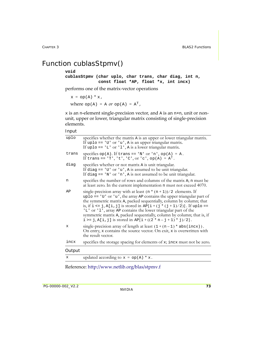### Function cublasStpmv()

#### **void**

**cublasStpmv (char uplo, char trans, char diag, int n, const float \*AP, float \*x, int incx)**

performs one of the matrix‐vector operations

 $x = op(A) * x,$ 

where  $op(A) = A$  or  $op(A) = A<sup>T</sup>$ ,

 $x$  is an n-element single-precision vector, and A is an  $n \times n$ , unit or nonunit, upper or lower, triangular matrix consisting of single‐precision elements.

#### Input

| Output |                                                                                                                                                                                                                                                                                                                                                                                                                                                                                                                   |
|--------|-------------------------------------------------------------------------------------------------------------------------------------------------------------------------------------------------------------------------------------------------------------------------------------------------------------------------------------------------------------------------------------------------------------------------------------------------------------------------------------------------------------------|
| incx   | specifies the storage spacing for elements of x; incx must not be zero.                                                                                                                                                                                                                                                                                                                                                                                                                                           |
| x      | single-precision array of length at least $(1 + (n - 1) * abs(incx))$ .<br>On entry, x contains the source vector. On exit, x is overwritten with<br>the result vector.                                                                                                                                                                                                                                                                                                                                           |
| AP     | single-precision array with at least $(n * (n + 1))/2$ elements. If<br>$uplo == 'U'$ or 'u', the array AP contains the upper triangular part of<br>the symmetric matrix A, packed sequentially, column by column; that<br>is, if $i \le j$ , A[i, j] is stored in AP[i+(j * (j+1)/2)]. If uplo ==<br>'L' or '1', array AP contains the lower triangular part of the<br>symmetric matrix A, packed sequentially, column by column; that is, if<br>i >= j, A[i, j] is stored in AP[i + $((2 * n - j + 1) * j)/2$ ]. |
| n      | specifies the number of rows and columns of the matrix A; n must be<br>at least zero. In the current implementation n must not exceed 4070.                                                                                                                                                                                                                                                                                                                                                                       |
| diag   | specifies whether or not matrix A is unit triangular.<br>If diag == $'U'$ or $'u'$ , A is assumed to be unit triangular.<br>If diag == $'N'$ or $'n'$ , A is not assumed to be unit triangular.                                                                                                                                                                                                                                                                                                                   |
| trans  | specifies $op(A)$ . If trans == 'N' or 'n', $op(A) = A$ .<br>If trans == $'T', 't', 'C', or 'c', op(A) = AT.$                                                                                                                                                                                                                                                                                                                                                                                                     |
| uplo   | specifies whether the matrix A is an upper or lower triangular matrix.<br>If uplo == $'U'$ or $'u'$ , A is an upper triangular matrix.<br>If uplo == $'L'$ or $'l'$ , A is a lower triangular matrix.                                                                                                                                                                                                                                                                                                             |

 $x \quad \text{updated according to } x = \text{op}(A) * x.$ 

Reference: http://www.netlib.org/blas/stpmv.f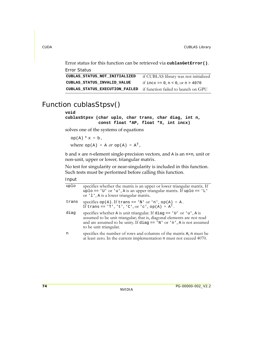Error status for this function can be retrieved via **cublasGetError()**.

```
Error Status
CUBLAS_STATUS_NOT_INITIALIZED if CUBLAS library was not initialized
CUBLAS_STATUS_INVALID_VALUE if incx == 0, n < 0, or n > 4070
CUBLAS_STATUS_EXECUTION_FAILED if function failed to launch on GPU
```
### Function cublasStpsv()

### **void**

**cublasStpsv (char uplo, char trans, char diag, int n, const float \*AP, float \*X, int incx)**

solves one of the systems of equations

```
op(A) * x = b,where op(A) = A or op(A) = A<sup>T</sup>,
```
b and x are n‐element single‐precision vectors, and A is an n×n, unit or non‐unit, upper or lower, triangular matrix.

No test for singularity or near‐singularity is included in this function. Such tests must be performed before calling this function.

| uplo  | specifies whether the matrix is an upper or lower triangular matrix. If<br>uplo == 'U' or 'u', A is an upper triangular matrix. If uplo == 'L'<br>or '1', A is a lower triangular matrix.                                                            |
|-------|------------------------------------------------------------------------------------------------------------------------------------------------------------------------------------------------------------------------------------------------------|
| trans | specifies $op(A)$ . If trans == 'N' or 'n', $op(A) = A$ .<br>If trans == 'T', 't', 'C', or 'c', op(A) = $A^T$ .                                                                                                                                      |
| diag  | specifies whether A is unit triangular. If diag == $'U'$ or $'u'$ , A is<br>assumed to be unit triangular; that is, diagonal elements are not read<br>and are assumed to be unity. If diag == 'N' or 'n', A is not assumed<br>to be unit triangular. |
| n     | specifies the number of rows and columns of the matrix A; n must be<br>at least zero. In the current implementation n must not exceed 4070.                                                                                                          |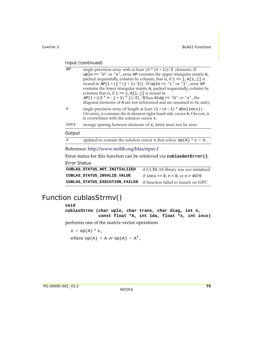| AP                  | single-precision array with at least $(n * (n + 1))/2$ elements. If                                                                                                                                       |
|---------------------|-----------------------------------------------------------------------------------------------------------------------------------------------------------------------------------------------------------|
|                     | uplo == 'U' or 'u', array AP contains the upper triangular matrix A,                                                                                                                                      |
|                     | packed sequentially, column by column; that is, if $i \le j$ , $A[i, j]$ is                                                                                                                               |
|                     | stored in $AP[i + (j * (j + 1)/2)]$ . If uplo == 'L' or 'l', array AP<br>contains the lower triangular matrix A, packed sequentially, column by<br>column; that is, if $i \ge j$ , $A[i, j]$ is stored in |
|                     | $AP[i + ((2 * n - j + 1) * j)/2]$ . When diag == 'U' or 'u', the<br>diagonal elements of A are not referenced and are assumed to be unity.                                                                |
| X                   | single-precision array of length at least $(1 + (n-1) * abs(incx))$ .<br>On entry, x contains the n-element right-hand side vector b. On exit, it<br>is overwritten with the solution vector x.           |
| incx                | storage spacing between elements of x; incx must not be zero.                                                                                                                                             |
| Output              |                                                                                                                                                                                                           |
| $\mathbf x$         | updated to contain the solution vector x that solves $op(A) * x = b$ .                                                                                                                                    |
|                     | Reference: http://www.netlib.org/blas/stpsv.f                                                                                                                                                             |
|                     | Error status for this function can be retrieved via cublas GetError().                                                                                                                                    |
| <b>Error Status</b> |                                                                                                                                                                                                           |

| CUBLAS STATUS NOT INITIALIZED  | if CUBLAS library was not initialized |
|--------------------------------|---------------------------------------|
| CUBLAS STATUS INVALID VALUE    | if $incx = 0, n < 0, or n > 4070$     |
| CUBLAS STATUS EXECUTION FAILED | if function failed to launch on GPU   |

### Function cublasStrmv()

#### **void**

**cublasStrmv (char uplo, char trans, char diag, int n, const float \*A, int lda, float \*x, int incx)**

performs one of the matrix‐vector operations

```
x = op(A) * x,where op(A) = A or op(A) = A<sup>T</sup>,
```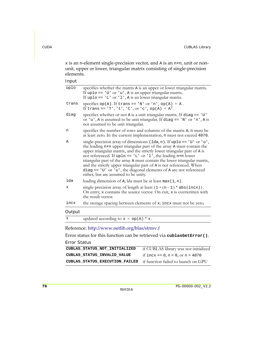$x$  is an n-element single-precision vector, and A is an  $n \times n$ , unit or nonunit, upper or lower, triangular matrix consisting of single‐precision elements.

Input

| uplo   | specifies whether the matrix A is an upper or lower triangular matrix.<br>If uplo == $'U'$ or $'u'$ , A is an upper triangular matrix.<br>If uplo == $'L'$ or $'l'$ , A is an lower triangular matrix.                                                                                                                                                                                                                                                                                                                                                              |
|--------|---------------------------------------------------------------------------------------------------------------------------------------------------------------------------------------------------------------------------------------------------------------------------------------------------------------------------------------------------------------------------------------------------------------------------------------------------------------------------------------------------------------------------------------------------------------------|
| trans  | specifies $op(A)$ . If trans == 'N' or 'n', $op(A) = A$ .<br>If trans == $'T', 't', 'C', or 'c', op(A) = AT.$                                                                                                                                                                                                                                                                                                                                                                                                                                                       |
| diag   | specifies whether or not A is a unit triangular matrix. If diag == 'U'<br>or 'u', A is assumed to be unit triangular. If diag == 'N' or 'n', A is<br>not assumed to be unit triangular.                                                                                                                                                                                                                                                                                                                                                                             |
| n      | specifies the number of rows and columns of the matrix A; n must be<br>at least zero. In the current implementation, n must not exceed 4070.                                                                                                                                                                                                                                                                                                                                                                                                                        |
| Α      | single-precision array of dimensions (1da, n). If uplo == 'U' or 'u',<br>the leading n×n upper triangular part of the array A must contain the<br>upper triangular matrix, and the strictly lower triangular part of A is<br>not referenced. If uplo == $'L'$ or $'l'$ , the leading n×n lower<br>triangular part of the array A must contain the lower triangular matrix,<br>and the strictly upper triangular part of A is not referenced. When<br>diag == $'U'$ or $'u'$ , the diagonal elements of A are not referenced<br>either, but are assumed to be unity. |
| lda    | leading dimension of $A$ ; lda must be at least max $(1, n)$ .                                                                                                                                                                                                                                                                                                                                                                                                                                                                                                      |
| x      | single-precision array of length at least $(1 + (n - 1) * abs(incx))$ .<br>On entry, x contains the source vector. On exit, x is overwritten with<br>the result vector.                                                                                                                                                                                                                                                                                                                                                                                             |
| incx   | the storage spacing between elements of x; incx must not be zero.                                                                                                                                                                                                                                                                                                                                                                                                                                                                                                   |
| Output |                                                                                                                                                                                                                                                                                                                                                                                                                                                                                                                                                                     |
|        |                                                                                                                                                                                                                                                                                                                                                                                                                                                                                                                                                                     |

 $x \quad \text{updated according to } x = \text{op}(A) * x.$ 

### Reference: http://www.netlib.org/blas/strmv.f

Error status for this function can be retrieved via **cublasGetError()**.

#### Error Status

```
CUBLAS_STATUS_NOT_INITIALIZED if CUBLAS library was not initialized
CUBLAS_STATUS_INVALID_VALUE if incx == 0, n < 0, or n > 4070
CUBLAS_STATUS_EXECUTION_FAILED if function failed to launch on GPU
```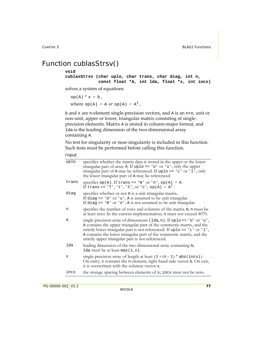### Function cublasStrsv()

#### **void**

**cublasStrsv (char uplo, char trans, char diag, int n, const float \*A, int lda, float \*x, int incx)**

solves a system of equations

 $op(A) * x = b,$ where  $op(A) = A$  or  $op(A) = A<sup>T</sup>$ ,

b and x are n-element single-precision vectors, and A is an  $n \times n$ , unit or non-unit, upper or lower, triangular matrix consisting of singleprecision elements. Matrix A is stored in column‐major format, and lda is the leading dimension of the two‐dimensional array containing A.

No test for singularity or near‐singularity is included in this function. Such tests must be performed before calling this function.

| uplo  | specifies whether the matrix data is stored in the upper or the lower<br>triangular part of array A. If uplo == $'U'$ or $'u'$ , only the upper<br>triangular part of A may be referenced. If uplo == $'L'$ or $'l'$ , only<br>the lower triangular part of A may be referenced.                                                                                   |
|-------|--------------------------------------------------------------------------------------------------------------------------------------------------------------------------------------------------------------------------------------------------------------------------------------------------------------------------------------------------------------------|
| trans | specifies $op(A)$ . If trans == 'N' or 'n', $op(A) = A$ .<br>If trans == 'T', 't', 'C', or 'c', op(A) = $A^T$ .                                                                                                                                                                                                                                                    |
| diag  | specifies whether or not A is a unit triangular matrix.<br>If diag $== 'U'$ or 'u', A is assumed to be unit triangular.<br>If diag == $'N'$ or $'n'$ , A is not assumed to be unit triangular.                                                                                                                                                                     |
| n     | specifies the number of rows and columns of the matrix A; n must be<br>at least zero. In the current implementation, n must not exceed 4070.                                                                                                                                                                                                                       |
| Α     | single-precision array of dimensions $(\text{lda}, n)$ . If uplo == 'U' or 'u',<br>A contains the upper triangular part of the symmetric matrix, and the<br>strictly lower triangular part is not referenced. If uplo == 'L' or 'l',<br>A contains the lower triangular part of the symmetric matrix, and the<br>strictly upper triangular part is not referenced. |
| lda   | leading dimension of the two-dimensional array containing A;<br>1da must be at least $max(1, n)$ .                                                                                                                                                                                                                                                                 |
| x     | single-precision array of length at least $(1 + (n - 1) * abs(incx))$ .<br>On entry, x contains the n-element, right-hand-side vector b. On exit,<br>it is overwritten with the solution vector x.                                                                                                                                                                 |
| incx  | the storage spacing between elements of x; incx must not be zero.                                                                                                                                                                                                                                                                                                  |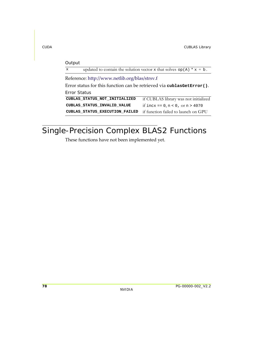| Output                                                                 |                                                                        |  |
|------------------------------------------------------------------------|------------------------------------------------------------------------|--|
| $\mathbf{x}$                                                           | updated to contain the solution vector x that solves $op(A) * x = b$ . |  |
| Reference: http://www.netlib.org/blas/strsv.f                          |                                                                        |  |
| Error status for this function can be retrieved via cublas GetError(). |                                                                        |  |
| Error Status                                                           |                                                                        |  |
| CUBLAS STATUS NOT INITIALIZED                                          | if CUBLAS library was not initialized                                  |  |
| CUBLAS STATUS INVALID VALUE                                            | if incx == $0, n < 0$ , or $n > 4070$                                  |  |
| CUBLAS STATUS EXECUTION FAILED                                         | if function failed to launch on GPU                                    |  |
|                                                                        |                                                                        |  |

# Single-Precision Complex BLAS2 Functions

These functions have not been implemented yet.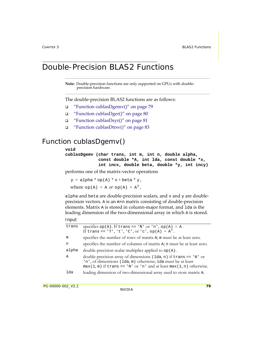## Double-Precision BLAS2 Functions

**Note:** Double-precision functions are only supported on GPUs with doubleprecision hardware.

The double‐precision BLAS2 functions are as follows:

- "Function [cublasDgemv\(\)"](#page-86-0) on page 79
- "Function [cublasDger\(\)"](#page-87-0) on page 80
- "Function [cublasDsyr\(\)"](#page-88-0) on page 81
- "Function [cublasDtrsv\(\)"](#page-90-0) on page 83

### <span id="page-86-0"></span>Function cublasDgemv()

### **void**

**cublasDgemv (char trans, int m, int n, double alpha, const double \*A, int lda, const double \*x, int incx, double beta, double \*y, int incy)**

performs one of the matrix‐vector operations

 $y = alpha * op(A) * x + beta * y,$ where  $op(A) = A$  or  $op(A) = A<sup>T</sup>$ ,

alpha and beta are double-precision scalars, and x and y are doubleprecision vectors. A is an m×n matrix consisting of double‐precision elements. Matrix A is stored in column‐major format, and lda is the leading dimension of the two-dimensional array in which A is stored.

| trans | specifies $op(A)$ . If trans == 'N' or 'n', $op(A) = A$ .<br>If trans == 'T', 't', 'C', or 'c', op(A) = $A^T$ .                                                                                               |
|-------|---------------------------------------------------------------------------------------------------------------------------------------------------------------------------------------------------------------|
| m     | specifies the number of rows of matrix A; m must be at least zero.                                                                                                                                            |
| n     | specifies the number of columns of matrix A; n must be at least zero.                                                                                                                                         |
| alpha | double-precision scalar multiplier applied to $op(A)$ .                                                                                                                                                       |
| Α     | double-precision array of dimensions ( $1da, n$ ) if trans == 'N' or<br>'n', of dimensions (1da, m) otherwise; 1da must be at least<br>$max(1, m)$ if trans == 'N' or 'n' and at least $max(1, n)$ otherwise. |
| lda   | leading dimension of two-dimensional array used to store matrix A.                                                                                                                                            |
|       |                                                                                                                                                                                                               |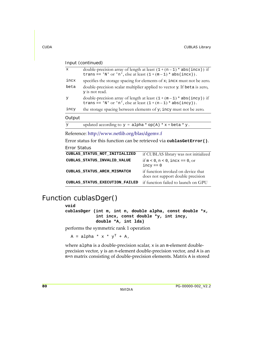| $\mathbf x$ | double-precision array of length at least $(1 + (n - 1) * abs(incx))$ if<br>trans == 'N' or 'n', else at least $(1 + (m-1) * abs(incx))$ . |
|-------------|--------------------------------------------------------------------------------------------------------------------------------------------|
| incx        | specifies the storage spacing for elements of x; incx must not be zero.                                                                    |
| beta        | double-precision scalar multiplier applied to vector y. If beta is zero,<br>y is not read.                                                 |
| У           | double-precision array of length at least $(1 + (m-1) * abs(incy))$ if<br>trans == 'N' or 'n', else at least $(1+(n-1) * abs(incy))$ .     |
| incy        | the storage spacing between elements of y; incy must not be zero.                                                                          |
| Output      |                                                                                                                                            |

```
y updated according to y = \text{alpha} * \text{ op}(A) * x + \text{beta} * y.
```
Reference: http://www.netlib.org/blas/dgemv.f

Error status for this function can be retrieved via **cublasGetError()**.

Error Status

| CUBLAS STATUS NOT INITIALIZED  | if CUBLAS library was not initialized                                   |
|--------------------------------|-------------------------------------------------------------------------|
| CUBLAS STATUS INVALID VALUE    | if $m < 0$ , $n < 0$ , incx == 0, or<br>$incy == 0$                     |
| CUBLAS STATUS ARCH MISMATCH    | if function invoked on device that<br>does not support double precision |
| CUBLAS STATUS EXECUTION FAILED | if function failed to launch on GPU                                     |

### <span id="page-87-0"></span>Function cublasDger()

### **void**

**cublasDger (int m, int n, double alpha, const double \*x, int incx, const double \*y, int incy, double \*A, int lda)**

performs the symmetric rank 1 operation

 $A = alpha * x * y<sup>T</sup> + A$ ,

where alpha is a double-precision scalar, x is an m-element doubleprecision vector, y is an n‐element double‐precision vector, and A is an m×n matrix consisting of double‐precision elements. Matrix A is stored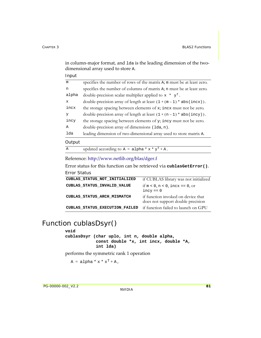in column-major format, and 1da is the leading dimension of the twodimensional array used to store A.

|  | ٠ |
|--|---|
|--|---|

| m            | specifies the number of rows of the matrix A; m must be at least zero. |
|--------------|------------------------------------------------------------------------|
| n            | specifies the number of columns of matrix A; n must be at least zero.  |
| alpha        | double-precision scalar multiplier applied to $x * y^T$ .              |
| $\mathbf{x}$ | double-precision array of length at least $(1 + (m-1) * abs(incx))$ .  |
| incx         | the storage spacing between elements of x; incx must not be zero.      |
| У            | double-precision array of length at least $(1 + (n - 1) * abs(incy)).$ |
| incy         | the storage spacing between elements of y; incy must not be zero.      |
| A            | double-precision array of dimensions (1da, n).                         |
| lda          | leading dimension of two-dimensional array used to store matrix A.     |
| Output       |                                                                        |
| $\mathbb{A}$ | updated according to $A = alpha * x * y^T + A$ .                       |

### Reference: http://www.netlib.org/blas/dger.f

Error status for this function can be retrieved via **cublasGetError()**. Error Status

| CUBLAS STATUS NOT INITIALIZED  | if CUBLAS library was not initialized                                   |
|--------------------------------|-------------------------------------------------------------------------|
| CUBLAS STATUS INVALID VALUE    | if $m < 0$ , $n < 0$ , incx == 0, or<br>$incy == 0$                     |
| CUBLAS STATUS ARCH MISMATCH    | if function invoked on device that<br>does not support double precision |
| CUBLAS STATUS EXECUTION FAILED | if function failed to launch on GPU                                     |

### <span id="page-88-0"></span>Function cublasDsyr()

#### **void**

**cublasDsyr (char uplo, int n, double alpha, const double \*x, int incx, double \*A, int lda)**

performs the symmetric rank 1 operation

 $A = alpha * x * x<sup>T</sup> + A$ ,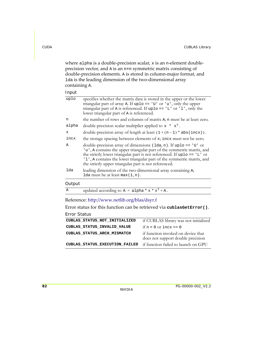where alpha is a double-precision scalar, x is an n-element doubleprecision vector, and A is an n×n symmetric matrix consisting of double‐precision elements. A is stored in column‐major format, and lda is the leading dimension of the two‐dimensional array containing A.

Input

| Output |                                                                                                                                                                                                                                                                                                                                                                     |
|--------|---------------------------------------------------------------------------------------------------------------------------------------------------------------------------------------------------------------------------------------------------------------------------------------------------------------------------------------------------------------------|
| lda    | leading dimension of the two-dimensional array containing A;<br>1da must be at least $max(1, n)$ .                                                                                                                                                                                                                                                                  |
| A      | double-precision array of dimensions $(\text{lda}, n)$ . If uplo == 'U' or<br>'u', A contains the upper triangular part of the symmetric matrix, and<br>the strictly lower triangular part is not referenced. If up $10 = -1$ or<br>'1', A contains the lower triangular part of the symmetric matrix, and<br>the strictly upper triangular part is not referenced. |
| incx   | the storage spacing between elements of x; incx must not be zero.                                                                                                                                                                                                                                                                                                   |
| X      | double-precision array of length at least $(1 + (n-1) * abs(incx))$ .                                                                                                                                                                                                                                                                                               |
| alpha  | double-precision scalar multiplier applied to $x * x^T$ .                                                                                                                                                                                                                                                                                                           |
| n      | the number of rows and columns of matrix A; n must be at least zero.                                                                                                                                                                                                                                                                                                |
| uplo   | specifies whether the matrix data is stored in the upper or the lower<br>triangular part of array A. If uplo == $'U'$ or $'u'$ , only the upper<br>triangular part of A is referenced. If uplo == $'L'$ or $'l'$ , only the<br>lower triangular part of A is referenced.                                                                                            |

| updated according to $A = alpha * x * x^T + A$ . |
|--------------------------------------------------|
|                                                  |

Reference: http://www.netlib.org/blas/dsyr.f

Error status for this function can be retrieved via **cublasGetError()**.

#### Error Status

| CUBLAS STATUS NOT INITIALIZED  | if CUBLAS library was not initialized                                   |
|--------------------------------|-------------------------------------------------------------------------|
| CUBLAS STATUS INVALID VALUE    | if $n < 0$ or incx == 0                                                 |
| CUBLAS STATUS ARCH MISMATCH    | if function invoked on device that<br>does not support double precision |
| CUBLAS STATUS EXECUTION FAILED | if function failed to launch on GPU                                     |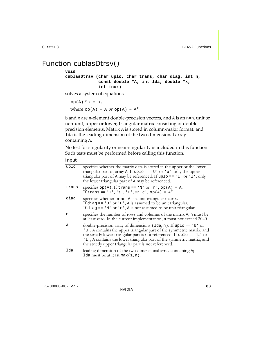### <span id="page-90-0"></span>Function cublasDtrsv()

#### **void**

**cublasDtrsv (char uplo, char trans, char diag, int n, const double \*A, int lda, double \*x, int incx)**

solves a system of equations

```
op(A) * x = b,where op(A) = A or op(A) = A<sup>T</sup>,
```
b and x are n-element double-precision vectors, and A is an  $n \times n$ , unit or non‐unit, upper or lower, triangular matrix consisting of double‐ precision elements. Matrix A is stored in column‐major format, and lda is the leading dimension of the two‐dimensional array containing A.

No test for singularity or near‐singularity is included in this function. Such tests must be performed before calling this function.

| uplo  | specifies whether the matrix data is stored in the upper or the lower<br>triangular part of array A. If uplo == $'U'$ or $'u'$ , only the upper<br>triangular part of A may be referenced. If uplo == $'L'$ or $'l'$ , only<br>the lower triangular part of A may be referenced.                                                                                     |
|-------|----------------------------------------------------------------------------------------------------------------------------------------------------------------------------------------------------------------------------------------------------------------------------------------------------------------------------------------------------------------------|
| trans | specifies $op(A)$ . If trans == 'N' or 'n', $op(A) = A$ .<br>If trans == $'T', 't', 'C', or 'c', op(A) = AT.$                                                                                                                                                                                                                                                        |
| diag  | specifies whether or not A is a unit triangular matrix.<br>If diag == $'U'$ or $'u'$ , A is assumed to be unit triangular.<br>If diag $== 'N'$ or 'n', A is not assumed to be unit triangular.                                                                                                                                                                       |
| n     | specifies the number of rows and columns of the matrix A; n must be<br>at least zero. In the current implementation, n must not exceed 2040.                                                                                                                                                                                                                         |
| Α     | double-precision array of dimensions $(\text{lda}, n)$ . If uplo == 'U' or<br>'u', A contains the upper triangular part of the symmetric matrix, and<br>the strictly lower triangular part is not referenced. If uplo == $'L'$ or<br>'1', A contains the lower triangular part of the symmetric matrix, and<br>the strictly upper triangular part is not referenced. |
| lda   | leading dimension of the two-dimensional array containing A;<br>1da must be at least $max(1, n)$ .                                                                                                                                                                                                                                                                   |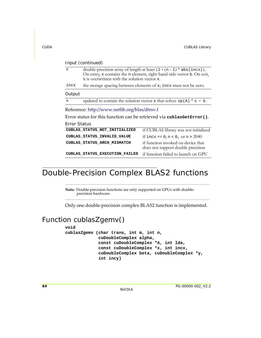| $\mathbf x$                                   | it is overwritten with the solution vector x. | double-precision array of length at least $(1 + (n - 1) * abs(incx))$ .<br>On entry, x contains the n-element, right-hand-side vector b. On exit, |
|-----------------------------------------------|-----------------------------------------------|---------------------------------------------------------------------------------------------------------------------------------------------------|
| incx                                          |                                               | the storage spacing between elements of x; incx must not be zero.                                                                                 |
| Output                                        |                                               |                                                                                                                                                   |
| $\mathbf{x}$                                  |                                               | updated to contain the solution vector x that solves $op(A) * x = b$ .                                                                            |
| Reference: http://www.netlib.org/blas/dtrsv.f |                                               |                                                                                                                                                   |
|                                               |                                               |                                                                                                                                                   |
|                                               |                                               | Error status for this function can be retrieved via cublasGetError().                                                                             |
| Error Status                                  |                                               |                                                                                                                                                   |
|                                               | CUBLAS STATUS NOT INITIALIZED                 | if CUBLAS library was not initialized                                                                                                             |
|                                               | CUBLAS STATUS INVALID VALUE                   | if incx == $0, n < 0$ , or $n > 2040$                                                                                                             |
|                                               | CUBLAS STATUS ARCH MISMATCH                   | if function invoked on device that<br>does not support double precision                                                                           |

### Double-Precision Complex BLAS2 functions

**Note:** Double‐precision functions are only supported on GPUs with double‐ precision hardware.

Only one double‐precision complex BLAS2 function is implemented.

### Function cublasZgemv()

**void**

**cublasZgemv (char trans, int m, int n, cuDoubleComplex alpha, const cuDoubleComplex \*A, int lda, const cuDoubleComplex \*x, int incx, cuDoubleComplex beta, cuDoubleComplex \*y, int incy)**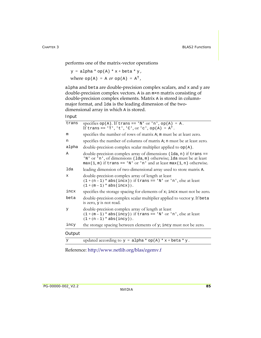performs one of the matrix‐vector operations

```
y = alpha * op(A) * x + beta * y,where op(A) = A or op(A) = A<sup>T</sup>,
```
alpha and beta are double-precision complex scalars, and x and y are double‐precision complex vectors. A is an m×n matrix consisting of double‐precision complex elements. Matrix A is stored in column‐ major format, and 1da is the leading dimension of the twodimensional array in which A is stored.

```
Input
```

| trans  | specifies $op(A)$ . If trans == 'N' or 'n', $op(A) = A$ .<br>If trans == 'T', 't', 'C', or 'c', op(A) = $A^T$ .                                                                                                 |
|--------|-----------------------------------------------------------------------------------------------------------------------------------------------------------------------------------------------------------------|
| m      | specifies the number of rows of matrix A; m must be at least zero.                                                                                                                                              |
| n      | specifies the number of columns of matrix A; n must be at least zero.                                                                                                                                           |
| alpha  | double-precision complex scalar multiplier applied to $op(A)$ .                                                                                                                                                 |
| Α      | double-precision complex array of dimensions (1da, n) if trans ==<br>'N' or 'n', of dimensions (lda, m) otherwise; lda must be at least<br>$max(1, m)$ if trans == 'N' or 'n' and at least max(1, n) otherwise. |
| lda    | leading dimension of two-dimensional array used to store matrix A.                                                                                                                                              |
| x      | double-precision complex array of length at least<br>$(1+(n-1) * abs(incx))$ if trans == 'N' or 'n', else at least<br>$(1 + (m - 1) * abs(incx)).$                                                              |
| incx   | specifies the storage spacing for elements of x; incx must not be zero.                                                                                                                                         |
| beta   | double-precision complex scalar multiplier applied to vector y. If beta<br>is zero, y is not read.                                                                                                              |
| У      | double-precision complex array of length at least<br>$(1+(m-1) * abs(incy))$ if trans == 'N' or 'n', else at least<br>$(1 + (n - 1) * abs(incy)).$                                                              |
| incy   | the storage spacing between elements of y; incy must not be zero.                                                                                                                                               |
| Output |                                                                                                                                                                                                                 |
| У      | updated according to $y = alpha * op(A) * x + beta * y$ .                                                                                                                                                       |

Reference: http://www.netlib.org/blas/zgemv.f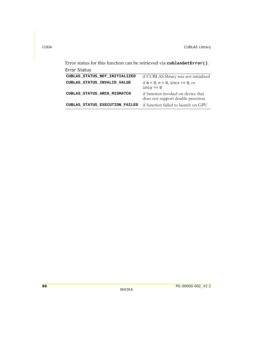Error status for this function can be retrieved via **cublasGetError()**.

| Error Status                   |                                                                         |
|--------------------------------|-------------------------------------------------------------------------|
| CUBLAS STATUS NOT INITIALIZED  | if CUBLAS library was not initialized                                   |
| CUBLAS STATUS INVALID VALUE    | if $m < 0$ , $n < 0$ , incx == 0, or<br>$incy == 0$                     |
| CUBLAS STATUS ARCH MISMATCH    | if function invoked on device that<br>does not support double precision |
| CUBLAS STATUS EXECUTION FAILED | if function failed to launch on GPU                                     |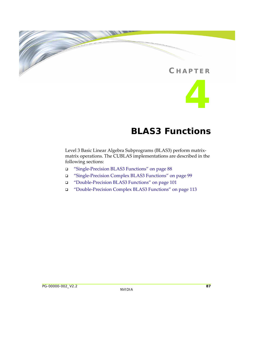### **C HAPTER**

**4**

# **BLAS3 Functions**

Level 3 Basic Linear Algebra Subprograms (BLAS3) perform matrix‐ matrix operations. The CUBLAS implementations are described in the following sections:

- "Single‐Precision BLAS3 [Functions"](#page-95-0) on page 88
- "Single‐Precision Complex BLAS3 [Functions"](#page-106-0) on page 99
- "Double‐Precision BLAS3 [Functions"](#page-108-0) on page 101
- "Double‐Precision Complex BLAS3 [Functions"](#page-120-0) on page 113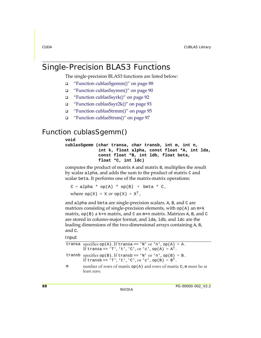### <span id="page-95-0"></span>Single-Precision BLAS3 Functions

The single-precision BLAS3 functions are listed below:

- "Function [cublasSgemm\(\)"](#page-95-1) on page 88
- "Function [cublasSsymm\(\)"](#page-97-0) on page 90
- "Function [cublasSsyrk\(\)"](#page-99-0) on page 92
- "Function [cublasSsyr2k\(\)"](#page-100-0) on page 93
- "Function [cublasStrmm\(\)"](#page-102-0) on page 95
- "Function [cublasStrsm\(\)"](#page-104-0) on page 97

### <span id="page-95-1"></span>Function cublasSgemm()

### **void**

**cublasSgemm (char transa, char transb, int m, int n, int k, float alpha, const float \*A, int lda, const float \*B, int ldb, float beta, float \*C, int ldc)**

computes the product of matrix A and matrix B, multiplies the result by scalar alpha, and adds the sum to the product of matrix C and scalar beta. It performs one of the matrix‐matrix operations:

```
C = alpha * op(A) * op(B) + beta * C,where op(X) = X or op(X) = X<sup>T</sup>,
```
and alpha and beta are single‐precision scalars. A, B, and C are matrices consisting of single-precision elements, with  $op(A)$  an  $m \times k$ matrix,  $op(B)$  a k×n matrix, and C an  $m\times n$  matrix. Matrices A, B, and C are stored in column‐major format, and lda, ldb, and ldc are the leading dimensions of the two-dimensional arrays containing A, B, and C.

|   | transa specifies op(A). If transa == 'N' or 'n', op(A) = A.<br>If transa == 'T', 't', 'C', or 'c', op(A) = $AT$ .       |
|---|-------------------------------------------------------------------------------------------------------------------------|
|   | transb specifies $op(B)$ . If transb == 'N' or 'n', $op(B) = B$ .<br>If transb == 'T', 't', 'C', or 'c', op(B) = $BT$ . |
| m | number of rows of matrix $op(A)$ and rows of matrix C; m must be at<br>least zero.                                      |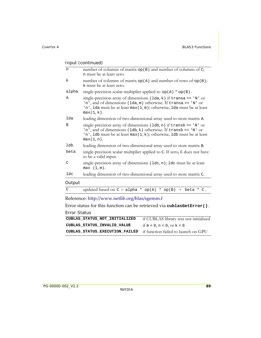| n             | number of columns of matrix op(B) and number of columns of C;<br>n must be at least zero.                                                                                                                                                    |
|---------------|----------------------------------------------------------------------------------------------------------------------------------------------------------------------------------------------------------------------------------------------|
| k             | number of columns of matrix $op(A)$ and number of rows of $op(B)$ ;<br>k must be at least zero.                                                                                                                                              |
| alpha         | single-precision scalar multiplier applied to $op(A) * op(B)$ .                                                                                                                                                                              |
| A             | single-precision array of dimensions ( $lda, k$ ) if transa == 'N' or<br>'n', and of dimensions (lda, m) otherwise. If transa == 'N' or<br>'n', 1da must be at least $max(1, m)$ ; otherwise, 1da must be at least<br>$max(1, k)$ .          |
| lda           | leading dimension of two-dimensional array used to store matrix A.                                                                                                                                                                           |
| B             | single-precision array of dimensions $(\text{lab}, n)$ if transb == 'N' or<br>'n', and of dimensions ( $1db, k$ ) otherwise. If transb == 'N' or<br>'n', 1db must be at least $max(1, k)$ ; otherwise, 1db must be at least<br>$max(1, n)$ . |
| ldb           | leading dimension of two-dimensional array used to store matrix B.                                                                                                                                                                           |
| beta          | single-precision scalar multiplier applied to C. If zero, C does not have<br>to be a valid input.                                                                                                                                            |
| C             | single-precision array of dimensions (1dc, n); 1dc must be at least<br>max(1, m).                                                                                                                                                            |
| ldc           | leading dimension of two-dimensional array used to store matrix C.                                                                                                                                                                           |
| Output        |                                                                                                                                                                                                                                              |
| $\mathcal{C}$ | updated based on $C = alpha * op(A) * op(B)$<br>beta * C.<br>$^{+}$                                                                                                                                                                          |
|               |                                                                                                                                                                                                                                              |

Reference: http://www.netlib.org/blas/sgemm.f

Error status for this function can be retrieved via **cublasGetError()**. Error Status

| CUBLAS STATUS NOT INITIALIZED                                      | if CUBLAS library was not initialized |
|--------------------------------------------------------------------|---------------------------------------|
| CUBLAS STATUS INVALID VALUE                                        | if $m < 0$ , $n < 0$ , or $k < 0$     |
| CUBLAS_STATUS_EXECUTION_FAILED if function failed to launch on GPU |                                       |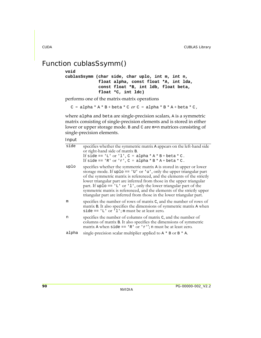### <span id="page-97-0"></span>Function cublasSsymm()

### **void**

**cublasSsymm (char side, char uplo, int m, int n, float alpha, const float \*A, int lda, const float \*B, int ldb, float beta, float \*C, int ldc)**

performs one of the matrix‐matrix operations

```
C = alpha * A * B + beta * C or C = alpha * B * A + beta * C,
```
where alpha and beta are single-precision scalars, A is a symmetric matrix consisting of single‐precision elements and is stored in either lower or upper storage mode. B and C are m×n matrices consisting of single‐precision elements.

| side  | specifies whether the symmetric matrix A appears on the left-hand side<br>or right-hand side of matrix B.<br>If side == 'L' or 'l', $C = alpha * A * B + beta * C$ .<br>If side == 'R' or 'r', $C = alpha * B * A + beta * C$ .                                                                                                                                                                                                                                                                                                    |
|-------|------------------------------------------------------------------------------------------------------------------------------------------------------------------------------------------------------------------------------------------------------------------------------------------------------------------------------------------------------------------------------------------------------------------------------------------------------------------------------------------------------------------------------------|
| uplo  | specifies whether the symmetric matrix A is stored in upper or lower<br>storage mode. If uplo == $'U'$ or $'u'$ , only the upper triangular part<br>of the symmetric matrix is referenced, and the elements of the strictly<br>lower triangular part are inferred from those in the upper triangular<br>part. If uplo == $'L'$ or $'l'$ , only the lower triangular part of the<br>symmetric matrix is referenced, and the elements of the strictly upper<br>triangular part are inferred from those in the lower triangular part. |
| m     | specifies the number of rows of matrix C, and the number of rows of<br>matrix B. It also specifies the dimensions of symmetric matrix A when<br>side == $'L'$ or $l'$ ; m must be at least zero.                                                                                                                                                                                                                                                                                                                                   |
| n     | specifies the number of columns of matrix C, and the number of<br>columns of matrix B. It also specifies the dimensions of symmetric<br>matrix A when side == $'R'$ or $'r'$ ; n must be at least zero.                                                                                                                                                                                                                                                                                                                            |
| alpha | single-precision scalar multiplier applied to $A * B$ or $B * A$ .                                                                                                                                                                                                                                                                                                                                                                                                                                                                 |
|       |                                                                                                                                                                                                                                                                                                                                                                                                                                                                                                                                    |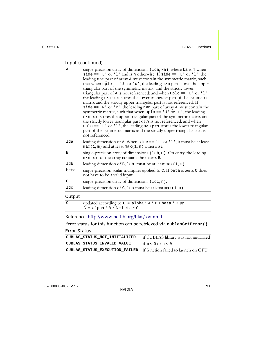| Α             | single-precision array of dimensions (1da, ka), where ka is m when<br>side == $'L'$ or $'l'$ and is n otherwise. If side == $'L'$ or $'l'$ , the<br>leading mxm part of array A must contain the symmetric matrix, such<br>that when $uplo == 'U'$ or 'u', the leading m $x$ m part stores the upper<br>triangular part of the symmetric matrix, and the strictly lower<br>triangular part of A is not referenced; and when uplo == 'L' or 'l',<br>the leading m×m part stores the lower triangular part of the symmetric<br>matrix and the strictly upper triangular part is not referenced. If<br>side == $'R'$ or $'r'$ , the leading nxn part of array A must contain the<br>symmetric matrix, such that when uplo == $'U'$ or $'u'$ , the leading<br>n×n part stores the upper triangular part of the symmetric matrix and<br>the strictly lower triangular part of A is not referenced; and when<br>$uplo == 'L'$ or '1', the leading n×n part stores the lower triangular<br>part of the symmetric matrix and the strictly upper triangular part is |
|---------------|------------------------------------------------------------------------------------------------------------------------------------------------------------------------------------------------------------------------------------------------------------------------------------------------------------------------------------------------------------------------------------------------------------------------------------------------------------------------------------------------------------------------------------------------------------------------------------------------------------------------------------------------------------------------------------------------------------------------------------------------------------------------------------------------------------------------------------------------------------------------------------------------------------------------------------------------------------------------------------------------------------------------------------------------------------|
|               | not referenced.                                                                                                                                                                                                                                                                                                                                                                                                                                                                                                                                                                                                                                                                                                                                                                                                                                                                                                                                                                                                                                            |
| lda           | leading dimension of A. When side == $'L'$ or $'l'$ , it must be at least<br>$max(1, m)$ and at least $max(1, n)$ otherwise.                                                                                                                                                                                                                                                                                                                                                                                                                                                                                                                                                                                                                                                                                                                                                                                                                                                                                                                               |
| B             | single-precision array of dimensions (1db, n). On entry, the leading<br>m×n part of the array contains the matrix B.                                                                                                                                                                                                                                                                                                                                                                                                                                                                                                                                                                                                                                                                                                                                                                                                                                                                                                                                       |
| ldb           | leading dimension of $B$ ; 1db must be at least max $(1, m)$ .                                                                                                                                                                                                                                                                                                                                                                                                                                                                                                                                                                                                                                                                                                                                                                                                                                                                                                                                                                                             |
| beta          | single-precision scalar multiplier applied to C. If beta is zero, C does<br>not have to be a valid input.                                                                                                                                                                                                                                                                                                                                                                                                                                                                                                                                                                                                                                                                                                                                                                                                                                                                                                                                                  |
| $\mathcal{C}$ | single-precision array of dimensions (ldc, n).                                                                                                                                                                                                                                                                                                                                                                                                                                                                                                                                                                                                                                                                                                                                                                                                                                                                                                                                                                                                             |
| ldc           | leading dimension of C; 1dc must be at least $max(1, m)$ .                                                                                                                                                                                                                                                                                                                                                                                                                                                                                                                                                                                                                                                                                                                                                                                                                                                                                                                                                                                                 |
| Output        |                                                                                                                                                                                                                                                                                                                                                                                                                                                                                                                                                                                                                                                                                                                                                                                                                                                                                                                                                                                                                                                            |
| $\mathcal{C}$ | updated according to $C = alpha * A * B + beta * C$ or<br>$C = alpha * B * A + beta * C.$                                                                                                                                                                                                                                                                                                                                                                                                                                                                                                                                                                                                                                                                                                                                                                                                                                                                                                                                                                  |
|               |                                                                                                                                                                                                                                                                                                                                                                                                                                                                                                                                                                                                                                                                                                                                                                                                                                                                                                                                                                                                                                                            |

Reference: http://www.netlib.org/blas/ssymm.f

Error status for this function can be retrieved via **cublasGetError()**.

### Error Status

| CUBLAS STATUS NOT INITIALIZED                                      | if CUBLAS library was not initialized |
|--------------------------------------------------------------------|---------------------------------------|
| CUBLAS STATUS INVALID VALUE                                        | if $m < 0$ or $n < 0$                 |
| CUBLAS_STATUS_EXECUTION_FAILED if function failed to launch on GPU |                                       |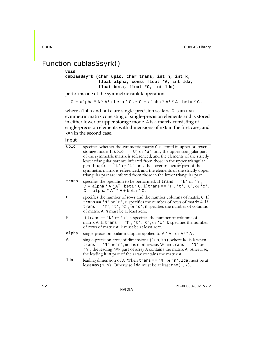### <span id="page-99-0"></span>Function cublasSsyrk()

### **void**

```
cublasSsyrk (char uplo, char trans, int n, int k,
              float alpha, const float *A, int lda,
              float beta, float *C, int ldc)
```
performs one of the symmetric rank k operations

 $C = alpha * A * A<sup>T</sup> + beta * C$  or  $C = alpha * A<sup>T</sup> * A + beta * C$ ,

where alpha and beta are single-precision scalars. C is an n×n symmetric matrix consisting of single‐precision elements and is stored in either lower or upper storage mode. A is a matrix consisting of single-precision elements with dimensions of  $n \times k$  in the first case, and k×n in the second case.

| uplo  | specifies whether the symmetric matrix C is stored in upper or lower<br>storage mode. If uplo == $'U'$ or $'u'$ , only the upper triangular part<br>of the symmetric matrix is referenced, and the elements of the strictly<br>lower triangular part are inferred from those in the upper triangular<br>part. If up $1 \circ$ = $' L'$ or $' l'$ , only the lower triangular part of the<br>symmetric matrix is referenced, and the elements of the strictly upper<br>triangular part are inferred from those in the lower triangular part. |
|-------|---------------------------------------------------------------------------------------------------------------------------------------------------------------------------------------------------------------------------------------------------------------------------------------------------------------------------------------------------------------------------------------------------------------------------------------------------------------------------------------------------------------------------------------------|
| trans | specifies the operation to be performed. If $trans == 'N'$ or 'n',<br>$C = alpha * A * AT + beta * C$ . If trans == 'T', 't', 'C', or 'c',<br>$C = alpha * AT * A + beta * C.$                                                                                                                                                                                                                                                                                                                                                              |
| n     | specifies the number of rows and the number columns of matrix C. If<br>trans == $'N'$ or $'n'$ , n specifies the number of rows of matrix A. If<br>trans == $T$ , $t$ , $c$ , $c$ , or $c$ , n specifies the number of columns<br>of matrix A; n must be at least zero.                                                                                                                                                                                                                                                                     |
| k     | If trans == $'N'$ or $'n'$ , k specifies the number of columns of<br>matrix A. If trans == $T$ , $t$ , $c$ , $c$ , $c$ , $c$ , $k$ specifies the number<br>of rows of matrix A; k must be at least zero.                                                                                                                                                                                                                                                                                                                                    |
| alpha | single-precision scalar multiplier applied to $A^* A^T$ or $A^T * A$ .                                                                                                                                                                                                                                                                                                                                                                                                                                                                      |
| Α     | single-precision array of dimensions (1da, ka), where ka is k when<br>trans == 'N' or 'n', and is n otherwise. When trans == 'N' or<br>'n', the leading n×k part of array A contains the matrix A; otherwise,<br>the leading kxn part of the array contains the matrix A.                                                                                                                                                                                                                                                                   |
| lda   | leading dimension of A. When $trans == 'N'$ or 'n', 1da must be at<br>least max(1, n). Otherwise 1da must be at least max(1, k).                                                                                                                                                                                                                                                                                                                                                                                                            |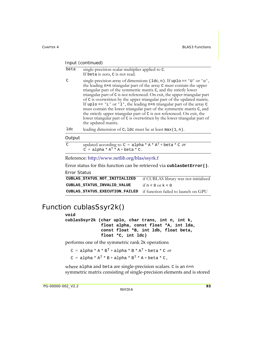| beta | single-precision scalar multiplier applied to C.<br>If beta is zero, C is not read.                                                                                                                                                                                                                                                                                                                                                                                                                                                                                                                                                                                                                                            |
|------|--------------------------------------------------------------------------------------------------------------------------------------------------------------------------------------------------------------------------------------------------------------------------------------------------------------------------------------------------------------------------------------------------------------------------------------------------------------------------------------------------------------------------------------------------------------------------------------------------------------------------------------------------------------------------------------------------------------------------------|
| C    | single-precision array of dimensions $(\text{Idc}, n)$ . If uplo == 'U' or 'u',<br>the leading n×n triangular part of the array C must contain the upper<br>triangular part of the symmetric matrix C, and the strictly lower<br>triangular part of C is not referenced. On exit, the upper triangular part<br>of C is overwritten by the upper triangular part of the updated matrix.<br>If uplo == $'L'$ or $'l'$ , the leading n×n triangular part of the array $C$<br>must contain the lower triangular part of the symmetric matrix C, and<br>the strictly upper triangular part of C is not referenced. On exit, the<br>lower triangular part of C is overwritten by the lower triangular part of<br>the updated matrix. |
| ldc  | leading dimension of C; 1 dc must be at least $max(1, n)$ .                                                                                                                                                                                                                                                                                                                                                                                                                                                                                                                                                                                                                                                                    |

#### **Output**

| $\sim$ | updated according to $C = alpha * A * AT + beta * C$ or |
|--------|---------------------------------------------------------|
|        | $C = alpha * AT * A + beta * C.$                        |

### Reference: http://www.netlib.org/blas/ssyrk.f

Error status for this function can be retrieved via **cublasGetError()**. Error Status

| CUBLAS STATUS NOT INITIALIZED                                      | if CUBLAS library was not initialized |
|--------------------------------------------------------------------|---------------------------------------|
| CUBLAS STATUS INVALID VALUE                                        | if $n < 0$ or $k < 0$                 |
| CUBLAS_STATUS_EXECUTION_FAILED if function failed to launch on GPU |                                       |

### <span id="page-100-0"></span>Function cublasSsyr2k()

### **void**

**cublasSsyr2k (char uplo, char trans, int n, int k, float alpha, const float \*A, int lda, const float \*B, int ldb, float beta, float \*C, int ldc)**

performs one of the symmetric rank 2k operations

```
C = \text{alpha} * A * B^{T} + \text{alpha} * B * A^{T} + \text{beta} * C \text{ or }C = alpha * A<sup>T</sup> * B + alpha * B<sup>T</sup> * A + beta * C,
```
where alpha and beta are single-precision scalars. C is an n×n symmetric matrix consisting of single-precision elements and is stored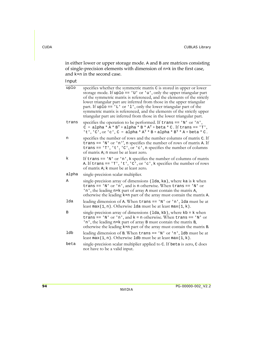in either lower or upper storage mode. A and B are matrices consisting of single‐precision elements with dimension of n×k in the first case, and k×n in the second case.

| uplo  | specifies whether the symmetric matrix C is stored in upper or lower<br>storage mode. If uplo == $'U'$ or $'u'$ , only the upper triangular part<br>of the symmetric matrix is referenced, and the elements of the strictly<br>lower triangular part are inferred from those in the upper triangular<br>part. If uplo == $'L'$ or $'l'$ , only the lower triangular part of the<br>symmetric matrix is referenced, and the elements of the strictly upper<br>triangular part are inferred from those in the lower triangular part. |
|-------|------------------------------------------------------------------------------------------------------------------------------------------------------------------------------------------------------------------------------------------------------------------------------------------------------------------------------------------------------------------------------------------------------------------------------------------------------------------------------------------------------------------------------------|
| trans | specifies the operation to be performed. If $trans == 'N'$ or 'n',<br>C = alpha * A * $B^T$ + alpha * B * $A^T$ + beta * C. If trans == 'T',<br>'t', 'C', or 'c', C = alpha * $A^T$ * B + alpha * $B^T$ * A + beta * C.                                                                                                                                                                                                                                                                                                            |
| n     | specifies the number of rows and the number columns of matrix C. If<br>trans == $'N'$ or $'n'$ , n specifies the number of rows of matrix A. If<br>trans == $T$ ', 't', 'C', or 'c', n specifies the number of columns<br>of matrix A; n must be at least zero.                                                                                                                                                                                                                                                                    |
| k     | If trans $== 'N'$ or 'n', k specifies the number of columns of matrix<br>A. If trans == $T$ , 't', 'C', or 'c', k specifies the number of rows<br>of matrix A; k must be at least zero.                                                                                                                                                                                                                                                                                                                                            |
| alpha | single-precision scalar multiplier.                                                                                                                                                                                                                                                                                                                                                                                                                                                                                                |
| Α     | single-precision array of dimensions (1da, ka), where ka is k when<br>trans == $'W'$ or $'n'$ , and is n otherwise. When trans == $'W'$ or<br>'n', the leading n×k part of array A must contain the matrix A,<br>otherwise the leading kxn part of the array must contain the matrix A.                                                                                                                                                                                                                                            |
| lda   | leading dimension of A. When trans == 'N' or 'n', 1da must be at<br>least max(1, n). Otherwise 1da must be at least max(1, k).                                                                                                                                                                                                                                                                                                                                                                                                     |
| В     | single-precision array of dimensions $(1da, kb)$ , where $kb = k$ when<br>trans == 'N' or 'n', and $k = n$ otherwise. When trans == 'N' or<br>'n', the leading nxk part of array B must contain the matrix B,<br>otherwise the leading kxn part of the array must contain the matrix B.                                                                                                                                                                                                                                            |
| ldb   | leading dimension of B. When trans == $'N'$ or $'n'$ , 1db must be at<br>least max(1, n). Otherwise 1db must be at least max(1, k).                                                                                                                                                                                                                                                                                                                                                                                                |
| beta  | single-precision scalar multiplier applied to C. If beta is zero, C does<br>not have to be a valid input.                                                                                                                                                                                                                                                                                                                                                                                                                          |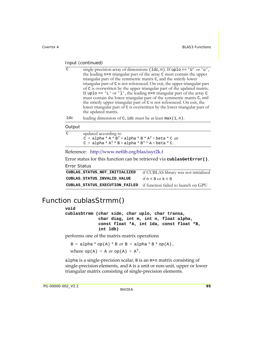| C. | single-precision array of dimensions $(\text{Idc}, n)$ . If uplo == 'U' or 'u', |
|----|---------------------------------------------------------------------------------|
|    | the leading n×n triangular part of the array C must contain the upper           |
|    | triangular part of the symmetric matrix C, and the strictly lower               |
|    | triangular part of C is not referenced. On exit, the upper triangular part      |
|    | of C is overwritten by the upper triangular part of the updated matrix.         |
|    | If uplo == $'L'$ or $l'$ , the leading nxn triangular part of the array C       |
|    | must contain the lower triangular part of the symmetric matrix C, and           |
|    | the strictly upper triangular part of C is not referenced. On exit, the         |
|    | lower triangular part of C is overwritten by the lower triangular part of       |
|    | the updated matrix.                                                             |
|    |                                                                                 |

1dc leading dimension of C; idc must be at least  $max(1, n)$ .

#### **Output**

| C | updated according to                                |
|---|-----------------------------------------------------|
|   | $C = alpha * A * BT + alpha * B * AT + beta * C 0r$ |
|   | $C = alpha * AT * B + alpha * BT * A + beta * C.$   |

Reference: http://www.netlib.org/blas/ssyr2k.f

Error status for this function can be retrieved via **cublasGetError()**.

Error Status

| CUBLAS STATUS NOT INITIALIZED                                      | if CUBLAS library was not initialized |
|--------------------------------------------------------------------|---------------------------------------|
| CUBLAS STATUS INVALID VALUE                                        | if $n < 0$ or $k < 0$                 |
| CUBLAS_STATUS_EXECUTION_FAILED if function failed to launch on GPU |                                       |

### <span id="page-102-0"></span>Function cublasStrmm()

**void cublasStrmm (char side, char uplo, char transa, char diag, int m, int n, float alpha, const float \*A, int lda, const float \*B, int ldb)**

performs one of the matrix‐matrix operations

 $B = alpha * op(A) * B or B = alpha * B * op(A)$ , where  $op(A) = A$  or  $op(A) = A<sup>T</sup>$ ,

alpha is a single‐precision scalar, B is an m×n matrix consisting of single-precision elements, and A is a unit or non-unit, upper or lower triangular matrix consisting of single‐precision elements.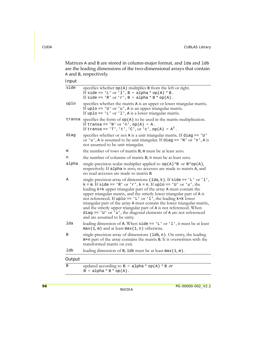Matrices A and B are stored in column-major format, and 1da and 1db are the leading dimensions of the two-dimensional arrays that contain A and B, respectively.

| side   | specifies whether op(A) multiplies B from the left or right.<br>If side == 'L' or 'l', B = alpha * op(A) * B.<br>If side == 'R' or 'r', B = alpha * B * op(A).                                                                                                                                                                                                                                                                                                                                                                                                                                                                 |
|--------|--------------------------------------------------------------------------------------------------------------------------------------------------------------------------------------------------------------------------------------------------------------------------------------------------------------------------------------------------------------------------------------------------------------------------------------------------------------------------------------------------------------------------------------------------------------------------------------------------------------------------------|
| uplo   | specifies whether the matrix A is an upper or lower triangular matrix.<br>If uplo == $'U'$ or $'u'$ , A is an upper triangular matrix.<br>If uplo == $'L'$ or $'l'$ , A is a lower triangular matrix.                                                                                                                                                                                                                                                                                                                                                                                                                          |
|        | transa specifies the form of $op(A)$ to be used in the matrix multiplication.<br>If transa == 'N' or 'n', op(A) = A.<br>If transa == $'T', 't', 'C', or 'c', op(A) = AT.$                                                                                                                                                                                                                                                                                                                                                                                                                                                      |
| diag   | specifies whether or not A is a unit triangular matrix. If $diag == 'U'$<br>or 'u', A is assumed to be unit triangular. If diag == 'N' or 'n', A is<br>not assumed to be unit triangular.                                                                                                                                                                                                                                                                                                                                                                                                                                      |
| m      | the number of rows of matrix B; m must be at least zero.                                                                                                                                                                                                                                                                                                                                                                                                                                                                                                                                                                       |
| n      | the number of columns of matrix B; n must be at least zero.                                                                                                                                                                                                                                                                                                                                                                                                                                                                                                                                                                    |
| alpha  | single-precision scalar multiplier applied to op(A)*B or B*op(A),<br>respectively. If alpha is zero, no accesses are made to matrix A, and<br>no read accesses are made to matrix B.                                                                                                                                                                                                                                                                                                                                                                                                                                           |
| Α      | single-precision array of dimensions ( $1da, k$ ). If side == 'L' or 'l',<br>k = m. If side == 'R' or 'r', k = n. If uplo == 'U' or 'u', the<br>leading kxk upper triangular part of the array A must contain the<br>upper triangular matrix, and the strictly lower triangular part of A is<br>not referenced. If uplo == $'L'$ or $'l'$ , the leading k×k lower<br>triangular part of the array A must contain the lower triangular matrix,<br>and the strictly upper triangular part of A is not referenced. When<br>diag == $'U'$ or $'u'$ , the diagonal elements of A are not referenced<br>and are assumed to be unity. |
| lda    | leading dimension of A. When $side == 'L'$ or '1', it must be at least<br>$max(1, m)$ and at least $max(1, n)$ otherwise.                                                                                                                                                                                                                                                                                                                                                                                                                                                                                                      |
| В      | single-precision array of dimensions (1db, n). On entry, the leading<br>m×n part of the array contains the matrix B. It is overwritten with the<br>transformed matrix on exit.                                                                                                                                                                                                                                                                                                                                                                                                                                                 |
| ldb    | leading dimension of B; 1db must be at least $max(1, m)$ .                                                                                                                                                                                                                                                                                                                                                                                                                                                                                                                                                                     |
| Output |                                                                                                                                                                                                                                                                                                                                                                                                                                                                                                                                                                                                                                |
| B      | updated according to $B = alpha * op(A) * B$ or<br>$B = alpha * B * op(A).$                                                                                                                                                                                                                                                                                                                                                                                                                                                                                                                                                    |

|  |  |  | $B = alpha * B * op(A).$ |  |
|--|--|--|--------------------------|--|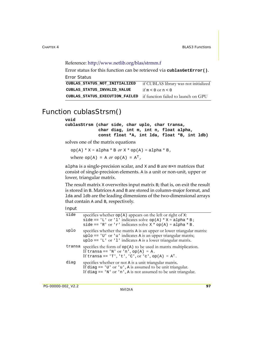```
Reference: http://www.netlib.org/blas/strmm.f
```
Error status for this function can be retrieved via **cublasGetError()**.

```
Error Status
```

| CUBLAS STATUS NOT INITIALIZED                                      | if CUBLAS library was not initialized |
|--------------------------------------------------------------------|---------------------------------------|
| CUBLAS STATUS INVALID VALUE                                        | if $m < 0$ or $n < 0$                 |
| CUBLAS_STATUS_EXECUTION_FAILED if function failed to launch on GPU |                                       |

### <span id="page-104-0"></span>Function cublasStrsm()

#### **void**

```
cublasStrsm (char side, char uplo, char transa,
              char diag, int m, int n, float alpha,
              const float *A, int lda, float *B, int ldb)
```
solves one of the matrix equations

 $op(A) * X = alpha * B \text{ or } X * op(A) = alpha * B$ , where  $op(A) = A$  or  $op(A) = A<sup>T</sup>$ ,

alpha is a single‐precision scalar, and X and B are m×n matrices that consist of single‐precision elements. A is a unit or non‐unit, upper or lower, triangular matrix.

The result matrix x overwrites input matrix B; that is, on exit the result is stored in B. Matrices A and B are stored in column‐major format, and lda and ldb are the leading dimensions of the two‐dimensional arrays that contain A and B, respectively.

| side | specifies whether $op(A)$ appears on the left or right of x:<br>side == 'L' or 'l' indicates solve op(A) * $X =$ alpha * B;<br>side == 'R' or 'r' indicates solve $X * op(A) = alpha * B$ .                 |
|------|-------------------------------------------------------------------------------------------------------------------------------------------------------------------------------------------------------------|
| uplo | specifies whether the matrix A is an upper or lower triangular matrix:<br>uplo == 'U' or 'u' indicates A is an upper triangular matrix;<br>uplo == $'L'$ or $'l'$ indicates A is a lower triangular matrix. |
|      | transa specifies the form of $op(A)$ to be used in matrix multiplication.<br>If transa == 'N' or 'n', op(A) = A.<br>If transa == 'T', 't', 'C', or 'c', op(A) = $A^T$ .                                     |
| diag | specifies whether or not A is a unit triangular matrix.<br>If diag == $'U'$ or $'u'$ , A is assumed to be unit triangular.<br>If diag $== 'N'$ or 'n', A is not assumed to be unit triangular.              |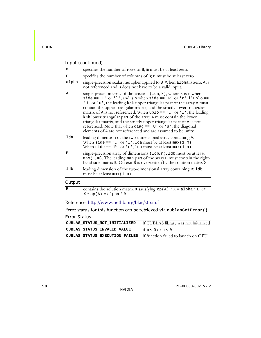| m      | specifies the number of rows of B; m must be at least zero.                                                                                                                                                                                                                                                                                                                                                                                                                                                                                                                                                                                          |
|--------|------------------------------------------------------------------------------------------------------------------------------------------------------------------------------------------------------------------------------------------------------------------------------------------------------------------------------------------------------------------------------------------------------------------------------------------------------------------------------------------------------------------------------------------------------------------------------------------------------------------------------------------------------|
| n      | specifies the number of columns of B; n must be at least zero.                                                                                                                                                                                                                                                                                                                                                                                                                                                                                                                                                                                       |
| alpha  | single-precision scalar multiplier applied to B. When alpha is zero, A is<br>not referenced and B does not have to be a valid input.                                                                                                                                                                                                                                                                                                                                                                                                                                                                                                                 |
| Α      | single-precision array of dimensions (1da, k), where k is m when<br>side == 'L' or 'l', and is n when side == 'R' or 'r'. If uplo ==<br>'U' or 'u', the leading kxk upper triangular part of the array A must<br>contain the upper triangular matrix, and the strictly lower triangular<br>matrix of A is not referenced. When uplo == $'L'$ or $'l'$ , the leading<br>kxk lower triangular part of the array A must contain the lower<br>triangular matrix, and the strictly upper triangular part of A is not<br>referenced. Note that when diag == $'U'$ or $'u'$ , the diagonal<br>elements of A are not referenced and are assumed to be unity. |
| lda    | leading dimension of the two-dimensional array containing A.<br>When side == 'L' or 'l', lda must be at least $max(1, m)$ .<br>When side == 'R' or 'r', lda must be at least max $(1, n)$ .                                                                                                                                                                                                                                                                                                                                                                                                                                                          |
| B      | single-precision array of dimensions (1db, n); 1db must be at least<br>$max(1, m)$ . The leading $m \times n$ part of the array B must contain the right-<br>hand side matrix B. On exit B is overwritten by the solution matrix X.                                                                                                                                                                                                                                                                                                                                                                                                                  |
| ldb    | leading dimension of the two-dimensional array containing B; 1db<br>must be at least $max(1, m)$ .                                                                                                                                                                                                                                                                                                                                                                                                                                                                                                                                                   |
| Output |                                                                                                                                                                                                                                                                                                                                                                                                                                                                                                                                                                                                                                                      |
| B      | contains the solution matrix x satisfying op(A) * $X = \text{alpha} * B$ or                                                                                                                                                                                                                                                                                                                                                                                                                                                                                                                                                                          |

 $X * op(A) = alpha * B.$ 

### Reference: http://www.netlib.org/blas/strsm.f

Error status for this function can be retrieved via **cublasGetError()**.

Error Status

| CUBLAS STATUS NOT INITIALIZED                                      | if CUBLAS library was not initialized |
|--------------------------------------------------------------------|---------------------------------------|
| CUBLAS STATUS INVALID VALUE                                        | if $m < 0$ or $n < 0$                 |
| CUBLAS_STATUS_EXECUTION_FAILED if function failed to launch on GPU |                                       |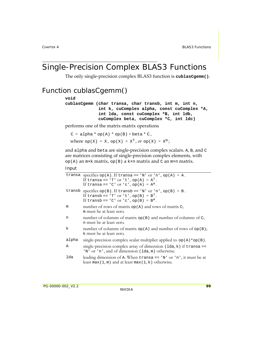### <span id="page-106-0"></span>Single-Precision Complex BLAS3 Functions

The only single‐precision complex BLAS3 function is **cublasCgemm()**.

### Function cublasCgemm()

#### **void**

**cublasCgemm (char transa, char transb, int m, int n, int k, cuComplex alpha, const cuComplex \*A, int lda, const cuComplex \*B, int ldb, cuComplex beta, cuComplex \*C, int ldc)**

performs one of the matrix‐matrix operations

 $C = alpha * op(A) * op(B) + beta * C,$ where  $op(X) = X$ ,  $op(X) = X<sup>T</sup>$ ,  $or$   $op(X) = X<sup>H</sup>$ ;

and alpha and beta are single‐precision complex scalars. A, B, and C are matrices consisting of single‐precision complex elements, with op(A) an  $m \times k$  matrix, op(B) a k×n matrix and C an  $m \times n$  matrix.

|       | transa specifies op(A). If transa == 'N' or 'n', op(A) = A.<br>If transa == $'T'$ or $'t', op(A) = A^T$ .<br>If transa == 'C' or 'c', $op(A) = AH$ .     |
|-------|----------------------------------------------------------------------------------------------------------------------------------------------------------|
|       | transb specifies op(B). If transb == 'N' or 'n', op(B) = B.<br>If transb == $'T'$ or $'t', op(B) = BT$ .<br>If transb == $'C'$ or $'C'$ , op(B) = $BH$ . |
| m     | number of rows of matrix $op(A)$ and rows of matrix C;<br>m must be at least zero.                                                                       |
| n     | number of columns of matrix $op(B)$ and number of columns of C;<br>n must be at least zero.                                                              |
| k     | number of columns of matrix $op(A)$ and number of rows of $op(B)$ ;<br>k must be at least zero.                                                          |
| alpha | single-precision complex scalar multiplier applied to $op(A) * op(B)$ .                                                                                  |
| Α     | single-precision complex array of dimension $(\text{lda}, k)$ if transa ==<br>'N' or 'n', and of dimension (lda, m) otherwise.                           |
| lda   | leading dimension of A. When transa $== 'N'$ or 'n', it must be at<br>least max(1, m) and at least max(1, k) otherwise.                                  |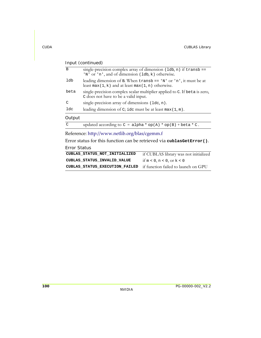| B             | single-precision complex array of dimension $(\text{lab}, n)$ if transb ==<br>'N' or 'n', and of dimension (1db, k) otherwise. |
|---------------|--------------------------------------------------------------------------------------------------------------------------------|
| ldb           | leading dimension of B. When $transb == 'N'$ or 'n', it must be at<br>least max(1, k) and at least max(1, n) otherwise.        |
| beta          | single-precision complex scalar multiplier applied to C. If beta is zero,<br>C does not have to be a valid input.              |
| $\mathcal{C}$ | single-precision array of dimensions (ldc, n).                                                                                 |
| ldc           | leading dimension of C; idc must be at least $max(1, m)$ .                                                                     |
| Output        |                                                                                                                                |
| $\mathcal{C}$ | updated according to $C = alpha * op(A) * op(B) + beta * C$ .                                                                  |
|               |                                                                                                                                |

Reference: http://www.netlib.org/blas/cgemm.f

Error status for this function can be retrieved via **cublasGetError()**.

### Error Status

| CUBLAS STATUS NOT INITIALIZED                                      | if CUBLAS library was not initialized |
|--------------------------------------------------------------------|---------------------------------------|
| CUBLAS STATUS INVALID VALUE                                        | if $m < 0$ , $n < 0$ , or $k < 0$     |
| CUBLAS_STATUS_EXECUTION_FAILED if function failed to launch on GPU |                                       |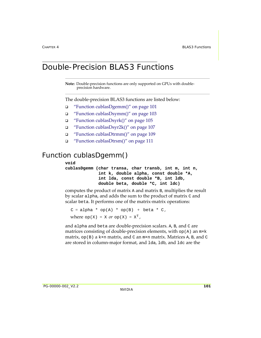## Double-Precision BLAS3 Functions

**Note:** Double-precision functions are only supported on GPUs with doubleprecision hardware.

The double‐precision BLAS3 functions are listed below:

- "Function [cublasDgemm\(\)"](#page-108-0) on page 101
- "Function [cublasDsymm\(\)"](#page-110-0) on page 103
- "Function [cublasDsyrk\(\)"](#page-112-0) on page 105
- "Function [cublasDsyr2k\(\)"](#page-114-0) on page 107
- "Function [cublasDtrmm\(\)"](#page-116-0) on page 109
- "Function [cublasDtrsm\(\)"](#page-118-0) on page 111

## <span id="page-108-0"></span>Function cublasDgemm()

#### **void**

**cublasDgemm (char transa, char transb, int m, int n, int k, double alpha, const double \*A, int lda, const double \*B, int ldb, double beta, double \*C, int ldc)**

computes the product of matrix A and matrix B, multiplies the result by scalar alpha, and adds the sum to the product of matrix C and scalar beta. It performs one of the matrix‐matrix operations:

```
C = alpha * op(A) * op(B) + beta * C,where op(X) = X or op(X) = X<sup>T</sup>,
```
and alpha and beta are double‐precision scalars. A, B, and C are matrices consisting of double-precision elements, with  $op(A)$  an  $m \times k$ matrix,  $op(B)$  a k×n matrix, and C an  $m\times n$  matrix. Matrices A, B, and C are stored in column‐major format, and lda, ldb, and ldc are the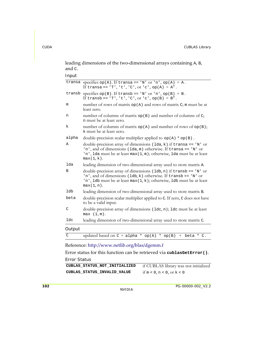leading dimensions of the two-dimensional arrays containing A, B, and C.

Input

|        | transa specifies $op(A)$ . If transa == 'N' or 'n', $op(A) = A$ .<br>If transa == 'T', 't', 'C', or 'c', op(A) = $AT$ .                                                                                                               |
|--------|---------------------------------------------------------------------------------------------------------------------------------------------------------------------------------------------------------------------------------------|
|        | transb specifies op(B). If transb == 'N' or 'n', op(B) = B.<br>If transb == $'T', 't', 'C', or 'c', op(B) = BT.$                                                                                                                      |
| m      | number of rows of matrix $op(A)$ and rows of matrix $C$ ; m must be at<br>least zero.                                                                                                                                                 |
| n      | number of columns of matrix op(B) and number of columns of C;<br>n must be at least zero.                                                                                                                                             |
| k      | number of columns of matrix $op(A)$ and number of rows of $op(B)$ ;<br>k must be at least zero.                                                                                                                                       |
| alpha  | double-precision scalar multiplier applied to $op(A) * op(B)$ .                                                                                                                                                                       |
| Α      | double-precision array of dimensions ( $1da, k$ ) if transa == 'N' or<br>'n', and of dimensions (1da, m) otherwise. If transa == 'N' or<br>'n', 1da must be at least max(1, m); otherwise, 1da must be at least<br>$max(1, k)$ .      |
| lda    | leading dimension of two-dimensional array used to store matrix A.                                                                                                                                                                    |
| B      | double-precision array of dimensions (1db, n) if $transb == 'N'$ or<br>'n', and of dimensions ( $1db, k$ ) otherwise. If transb == 'N' or<br>'n', 1db must be at least $max(1, k)$ ; otherwise, 1db must be at least<br>$max(1, n)$ . |
| ldb    | leading dimension of two-dimensional array used to store matrix B.                                                                                                                                                                    |
| beta   | double-precision scalar multiplier applied to C. If zero, C does not have<br>to be a valid input.                                                                                                                                     |
| C      | double-precision array of dimensions (1dc, n); 1dc must be at least<br>max(1, m).                                                                                                                                                     |
| ldc    | leading dimension of two-dimensional array used to store matrix C.                                                                                                                                                                    |
| Output |                                                                                                                                                                                                                                       |

| $\sim$ | updated based on $C = alpha * op(A) * op(B) + beta * C$ . |  |  |  |  |
|--------|-----------------------------------------------------------|--|--|--|--|

Reference: http://www.netlib.org/blas/dgemm.f

Error status for this function can be retrieved via **cublasGetError()**. Error Status

| CUBLAS STATUS NOT INITIALIZED | if CUBLAS library was not initialized |
|-------------------------------|---------------------------------------|
| CUBLAS STATUS INVALID VALUE   | if $m < 0$ , $n < 0$ , or $k < 0$     |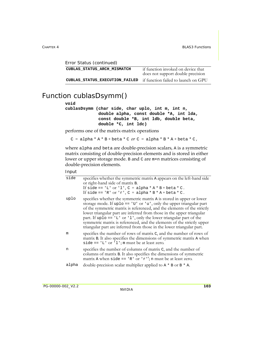| Error Status (continued)       |                                                                         |
|--------------------------------|-------------------------------------------------------------------------|
| CUBLAS STATUS ARCH MISMATCH    | if function invoked on device that<br>does not support double precision |
| CUBLAS STATUS EXECUTION FAILED | if function failed to launch on GPU                                     |

## <span id="page-110-0"></span>Function cublasDsymm()

#### **void**

**cublasDsymm (char side, char uplo, int m, int n, double alpha, const double \*A, int lda, const double \*B, int ldb, double beta, double \*C, int ldc)**

performs one of the matrix‐matrix operations

 $C = alpha * A * B + beta * C$  or  $C = alpha * B * A + beta * C$ ,

where alpha and beta are double‐precision scalars, A is a symmetric matrix consisting of double‐precision elements and is stored in either lower or upper storage mode. B and C are m×n matrices consisting of double‐precision elements.

| side  | specifies whether the symmetric matrix A appears on the left-hand side<br>or right-hand side of matrix B.<br>If side == 'L' or 'l', $C = alpha * A * B + beta * C$ .<br>If side == 'R' or 'r', $C = alpha * B * A + beta * C$ .                                                                                                                                                                                                                                                                                                    |
|-------|------------------------------------------------------------------------------------------------------------------------------------------------------------------------------------------------------------------------------------------------------------------------------------------------------------------------------------------------------------------------------------------------------------------------------------------------------------------------------------------------------------------------------------|
| uplo  | specifies whether the symmetric matrix A is stored in upper or lower<br>storage mode. If uplo == $'U'$ or $'u'$ , only the upper triangular part<br>of the symmetric matrix is referenced, and the elements of the strictly<br>lower triangular part are inferred from those in the upper triangular<br>part. If uplo == $'L'$ or $'l'$ , only the lower triangular part of the<br>symmetric matrix is referenced, and the elements of the strictly upper<br>triangular part are inferred from those in the lower triangular part. |
| m     | specifies the number of rows of matrix C, and the number of rows of<br>matrix B. It also specifies the dimensions of symmetric matrix A when<br>side == $'L'$ or $'l'$ ; m must be at least zero.                                                                                                                                                                                                                                                                                                                                  |
| n     | specifies the number of columns of matrix C, and the number of<br>columns of matrix B. It also specifies the dimensions of symmetric<br>matrix A when side == $'R'$ or $'r'$ ; n must be at least zero.                                                                                                                                                                                                                                                                                                                            |
| alpha | double-precision scalar multiplier applied to $A * B$ or $B * A$ .                                                                                                                                                                                                                                                                                                                                                                                                                                                                 |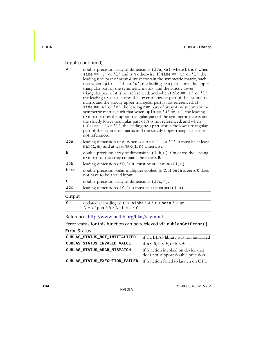| Α             | double-precision array of dimensions (1da, ka), where ka is m when<br>side == $'L'$ or $'l'$ and is n otherwise. If side == $'L'$ or $'l'$ , the<br>leading mxm part of array A must contain the symmetric matrix, such<br>that when $uplo == 'U'$ or 'u', the leading $m \times m$ part stores the upper<br>triangular part of the symmetric matrix, and the strictly lower<br>triangular part of A is not referenced; and when uplo == $'L'$ or $'l'$ ,<br>the leading mxm part stores the lower triangular part of the symmetric<br>matrix and the strictly upper triangular part is not referenced. If<br>side == $'R'$ or $'r'$ , the leading n×n part of array A must contain the<br>symmetric matrix, such that when uplo == $'U'$ or $'u'$ , the leading<br>n×n part stores the upper triangular part of the symmetric matrix and<br>the strictly lower triangular part of A is not referenced; and when<br>uplo == 'L' or 'l', the leading n×n part stores the lower triangular<br>part of the symmetric matrix and the strictly upper triangular part is<br>not referenced. |
|---------------|---------------------------------------------------------------------------------------------------------------------------------------------------------------------------------------------------------------------------------------------------------------------------------------------------------------------------------------------------------------------------------------------------------------------------------------------------------------------------------------------------------------------------------------------------------------------------------------------------------------------------------------------------------------------------------------------------------------------------------------------------------------------------------------------------------------------------------------------------------------------------------------------------------------------------------------------------------------------------------------------------------------------------------------------------------------------------------------|
| lda           | leading dimension of A. When $side == 'L'$ or '1', it must be at least<br>$max(1, m)$ and at least max(1, n) otherwise.                                                                                                                                                                                                                                                                                                                                                                                                                                                                                                                                                                                                                                                                                                                                                                                                                                                                                                                                                               |
| B             | double-precision array of dimensions (1db, n). On entry, the leading<br>m×n part of the array contains the matrix B.                                                                                                                                                                                                                                                                                                                                                                                                                                                                                                                                                                                                                                                                                                                                                                                                                                                                                                                                                                  |
| ldb           | leading dimension of $B$ ; 1db must be at least $max(1, m)$ .                                                                                                                                                                                                                                                                                                                                                                                                                                                                                                                                                                                                                                                                                                                                                                                                                                                                                                                                                                                                                         |
| beta          | double-precision scalar multiplier applied to C. If beta is zero, C does<br>not have to be a valid input.                                                                                                                                                                                                                                                                                                                                                                                                                                                                                                                                                                                                                                                                                                                                                                                                                                                                                                                                                                             |
| $\mathcal{C}$ | double-precision array of dimensions (1dc, n).                                                                                                                                                                                                                                                                                                                                                                                                                                                                                                                                                                                                                                                                                                                                                                                                                                                                                                                                                                                                                                        |
| ldc           | leading dimension of C; 1dc must be at least $max(1, m)$ .                                                                                                                                                                                                                                                                                                                                                                                                                                                                                                                                                                                                                                                                                                                                                                                                                                                                                                                                                                                                                            |
| Output        |                                                                                                                                                                                                                                                                                                                                                                                                                                                                                                                                                                                                                                                                                                                                                                                                                                                                                                                                                                                                                                                                                       |
| $\mathcal{C}$ | updated according to $C = alpha * A * B + beta * C$ or<br>$C = alpha * B * A + beta * C.$                                                                                                                                                                                                                                                                                                                                                                                                                                                                                                                                                                                                                                                                                                                                                                                                                                                                                                                                                                                             |

Reference: http://www.netlib.org/blas/dsymm.f

Error status for this function can be retrieved via **cublasGetError()**.

```
Error Status
```

| CUBLAS STATUS NOT INITIALIZED  | if CUBLAS library was not initialized                                   |
|--------------------------------|-------------------------------------------------------------------------|
| CUBLAS_STATUS_INVALID_VALUE    | if $m < 0$ , $n < 0$ , or $k < 0$                                       |
| CUBLAS STATUS ARCH MISMATCH    | if function invoked on device that<br>does not support double precision |
| CUBLAS STATUS EXECUTION FAILED | if function failed to launch on GPU                                     |
|                                |                                                                         |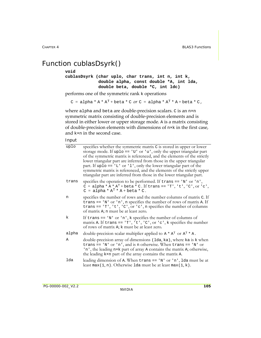## <span id="page-112-0"></span>Function cublasDsyrk()

#### **void**

```
cublasDsyrk (char uplo, char trans, int n, int k,
              double alpha, const double *A, int lda,
              double beta, double *C, int ldc)
```
performs one of the symmetric rank k operations

 $C = alpha * A * A<sup>T</sup> + beta * C$  or  $C = alpha * A<sup>T</sup> * A + beta * C$ ,

where alpha and beta are double-precision scalars. C is an n×n symmetric matrix consisting of double-precision elements and is stored in either lower or upper storage mode. A is a matrix consisting of double‐precision elements with dimensions of n×k in the first case, and k×n in the second case.

| uplo  | specifies whether the symmetric matrix C is stored in upper or lower<br>storage mode. If uplo == $'U'$ or $'u'$ , only the upper triangular part<br>of the symmetric matrix is referenced, and the elements of the strictly<br>lower triangular part are inferred from those in the upper triangular<br>part. If uplo == $'L'$ or $'l'$ , only the lower triangular part of the<br>symmetric matrix is referenced, and the elements of the strictly upper<br>triangular part are inferred from those in the lower triangular part. |
|-------|------------------------------------------------------------------------------------------------------------------------------------------------------------------------------------------------------------------------------------------------------------------------------------------------------------------------------------------------------------------------------------------------------------------------------------------------------------------------------------------------------------------------------------|
| trans | specifies the operation to be performed. If $trans == 'N'$ or 'n',<br>$C = alpha * A * AT + beta * C$ . If trans == 'T', 't', 'C', or 'c',<br>$C = alpha * AT * A + beta * C.$                                                                                                                                                                                                                                                                                                                                                     |
| n     | specifies the number of rows and the number columns of matrix C. If<br>trans == $'N'$ or $'n'$ , n specifies the number of rows of matrix A. If<br>trans == $T$ , $t$ , $C$ , $c$ , $t$ , $c$ , $n$ specifies the number of columns<br>of matrix A; n must be at least zero.                                                                                                                                                                                                                                                       |
| k     | If trans == $'N'$ or $'n'$ , k specifies the number of columns of<br>matrix A. If trans == $T$ , 't', 'C', or 'c', k specifies the number<br>of rows of matrix A; k must be at least zero.                                                                                                                                                                                                                                                                                                                                         |
| alpha | double-precision scalar multiplier applied to $A \star A^{T}$ or $A^{T} \star A$ .                                                                                                                                                                                                                                                                                                                                                                                                                                                 |
| Α     | double-precision array of dimensions (1da, ka), where ka is k when<br>trans == 'N' or 'n', and is n otherwise. When trans == 'N' or<br>'n', the leading n×k part of array A contains the matrix A; otherwise,<br>the leading kxn part of the array contains the matrix A.                                                                                                                                                                                                                                                          |
| lda   | leading dimension of A. When $trans == 'N'$ or 'n', 1da must be at<br>least max(1, n). Otherwise 1da must be at least max(1, k).                                                                                                                                                                                                                                                                                                                                                                                                   |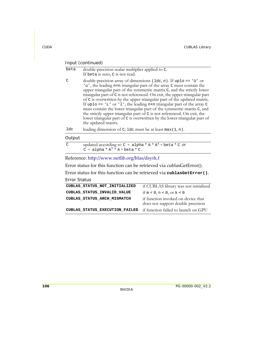| beta | double-precision scalar multiplier applied to C.<br>If beta is zero, C is not read.                                                                                                                                                                                                                                                                                                                                                                                                                                                                                                                                                                                                                                            |
|------|--------------------------------------------------------------------------------------------------------------------------------------------------------------------------------------------------------------------------------------------------------------------------------------------------------------------------------------------------------------------------------------------------------------------------------------------------------------------------------------------------------------------------------------------------------------------------------------------------------------------------------------------------------------------------------------------------------------------------------|
| C    | double-precision array of dimensions $(\text{Idc}, n)$ . If uplo == 'U' or<br>'u', the leading n×n triangular part of the array C must contain the<br>upper triangular part of the symmetric matrix C, and the strictly lower<br>triangular part of C is not referenced. On exit, the upper triangular part<br>of C is overwritten by the upper triangular part of the updated matrix.<br>If uplo == $'L'$ or $'l'$ , the leading n×n triangular part of the array $C$<br>must contain the lower triangular part of the symmetric matrix C, and<br>the strictly upper triangular part of C is not referenced. On exit, the<br>lower triangular part of C is overwritten by the lower triangular part of<br>the updated matrix. |
| ldc  | leading dimension of $C$ ; 1dc must be at least max $(1, n)$ .                                                                                                                                                                                                                                                                                                                                                                                                                                                                                                                                                                                                                                                                 |
|      |                                                                                                                                                                                                                                                                                                                                                                                                                                                                                                                                                                                                                                                                                                                                |

#### Output

| С | updated according to $C = \text{alpha} * A * A^{T} + \text{beta} * C$ or |
|---|--------------------------------------------------------------------------|
|   | $C = alpha * AT * A + beta * C.$                                         |

#### Reference: http://www.netlib.org/blas/dsyrk.f

Error status for this function can be retrieved via cublasGetError().

Error status for this function can be retrieved via **cublasGetError()**.

| CUBLAS STATUS NOT INITIALIZED  | if CUBLAS library was not initialized                                   |
|--------------------------------|-------------------------------------------------------------------------|
| CUBLAS STATUS INVALID VALUE    | if $m < 0$ , $n < 0$ , or $k < 0$                                       |
| CUBLAS STATUS ARCH MISMATCH    | if function invoked on device that<br>does not support double precision |
| CUBLAS STATUS EXECUTION FAILED | if function failed to launch on GPU                                     |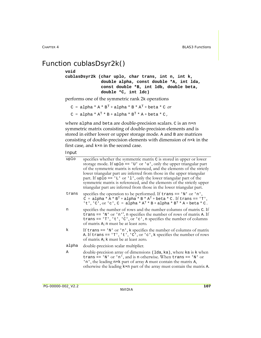## <span id="page-114-0"></span>Function cublasDsyr2k()

#### **void**

**cublasDsyr2k (char uplo, char trans, int n, int k, double alpha, const double \*A, int lda, const double \*B, int ldb, double beta, double \*C, int ldc)**

performs one of the symmetric rank 2k operations

 $C = \text{alpha} * A * B^{T} + \text{alpha} * B * A^{T} + \text{beta} * C \text{ or }$ 

```
C = alpha * A<sup>T</sup> * B + alpha * B<sup>T</sup> * A + beta * C,
```
where alpha and beta are double-precision scalars. C is an n×n symmetric matrix consisting of double-precision elements and is stored in either lower or upper storage mode. A and B are matrices consisting of double-precision elements with dimension of  $n \times k$  in the first case, and k×n in the second case.

| uplo  | specifies whether the symmetric matrix C is stored in upper or lower<br>storage mode. If $uplo == 'U'$ or 'u', only the upper triangular part<br>of the symmetric matrix is referenced, and the elements of the strictly<br>lower triangular part are inferred from those in the upper triangular<br>part. If uplo == $'L'$ or $'l'$ , only the lower triangular part of the<br>symmetric matrix is referenced, and the elements of the strictly upper<br>triangular part are inferred from those in the lower triangular part. |
|-------|---------------------------------------------------------------------------------------------------------------------------------------------------------------------------------------------------------------------------------------------------------------------------------------------------------------------------------------------------------------------------------------------------------------------------------------------------------------------------------------------------------------------------------|
| trans | specifies the operation to be performed. If trans == 'N' or 'n',<br>$\bar{C}$ = alpha * $\bar{A}$ * $B^T$ + alpha * $B$ * $A^T$ + beta * $C$ . If trans == 'T',<br>'t', 'C', or 'c', C = alpha * $A^T$ * B + alpha * $B^T$ * A + beta * C.                                                                                                                                                                                                                                                                                      |
| n     | specifies the number of rows and the number columns of matrix C. If<br>trans == $'N'$ or $'n'$ , n specifies the number of rows of matrix A. If<br>trans == $T$ , $t$ , $C$ , $\alpha$ $c$ , $n$ specifies the number of columns<br>of matrix A; n must be at least zero.                                                                                                                                                                                                                                                       |
| k     | If trans $== 'N'$ or 'n', k specifies the number of columns of matrix<br>A. If trans == $T$ , $t$ , $c$ , $c$ , $c$ , $t$ , $k$ specifies the number of rows<br>of matrix A; k must be at least zero.                                                                                                                                                                                                                                                                                                                           |
| alpha | double-precision scalar multiplier.                                                                                                                                                                                                                                                                                                                                                                                                                                                                                             |
| Α     | double-precision array of dimensions (1da, ka), where ka is k when<br>trans == 'N' or 'n', and is n otherwise. When trans == 'N' or<br>'n', the leading n×k part of array A must contain the matrix A,<br>otherwise the leading kxn part of the array must contain the matrix A.                                                                                                                                                                                                                                                |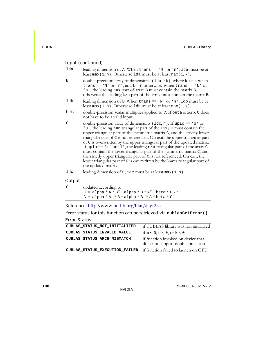| lda           | leading dimension of A. When $trans == 'N'$ or 'n', 1da must be at<br>least max(1, n). Otherwise 1da must be at least max(1, k).                                                                                                                                                                                                                                                                                                                                                                                                                                                                                                                                                                                              |
|---------------|-------------------------------------------------------------------------------------------------------------------------------------------------------------------------------------------------------------------------------------------------------------------------------------------------------------------------------------------------------------------------------------------------------------------------------------------------------------------------------------------------------------------------------------------------------------------------------------------------------------------------------------------------------------------------------------------------------------------------------|
| B             | double-precision array of dimensions (1da, kb), where kb = k when<br>trans == 'N' or 'n', and $k = n$ otherwise. When trans == 'N' or<br>'n', the leading nxk part of array B must contain the matrix B,<br>otherwise the leading kxn part of the array must contain the matrix B.                                                                                                                                                                                                                                                                                                                                                                                                                                            |
| ldb           | leading dimension of B. When $trans = -'N'$ or 'n', 1db must be at<br>least max(1, n). Otherwise 1db must be at least max(1, k).                                                                                                                                                                                                                                                                                                                                                                                                                                                                                                                                                                                              |
| beta          | double-precision scalar multiplier applied to C. If beta is zero, C does<br>not have to be a valid input.                                                                                                                                                                                                                                                                                                                                                                                                                                                                                                                                                                                                                     |
| $\mathcal{C}$ | double-precision array of dimensions $(\text{1dc}, n)$ . If uplo == 'U' or<br>'u', the leading nxn triangular part of the array C must contain the<br>upper triangular part of the symmetric matrix C, and the strictly lower<br>triangular part of C is not referenced. On exit, the upper triangular part<br>of C is overwritten by the upper triangular part of the updated matrix.<br>If uplo == $'L'$ or $l'$ , the leading nxn triangular part of the array $C$<br>must contain the lower triangular part of the symmetric matrix C, and<br>the strictly upper triangular part of C is not referenced. On exit, the<br>lower triangular part of C is overwritten by the lower triangular part of<br>the updated matrix. |
| ldc           | leading dimension of $C$ ; ide must be at least max $(1, n)$ .                                                                                                                                                                                                                                                                                                                                                                                                                                                                                                                                                                                                                                                                |

#### Output

| C | updated according to                                |
|---|-----------------------------------------------------|
|   | $C = alpha * A * BT + alpha * B * AT + beta * C 0r$ |
|   | $C = alpha * AT * B + alpha * BT * A + beta * C.$   |

Reference: http://www.netlib.org/blas/dsyr2k.f

Error status for this function can be retrieved via **cublasGetError()**.

| CUBLAS STATUS NOT INITIALIZED  | if CUBLAS library was not initialized                                   |
|--------------------------------|-------------------------------------------------------------------------|
| CUBLAS STATUS INVALID VALUE    | if $m < 0$ , $n < 0$ , or $k < 0$                                       |
| CUBLAS STATUS ARCH MISMATCH    | if function invoked on device that<br>does not support double precision |
| CUBLAS STATUS EXECUTION FAILED | if function failed to launch on GPU                                     |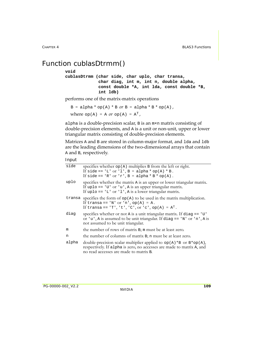## <span id="page-116-0"></span>Function cublasDtrmm()

#### **void**

**cublasDtrmm (char side, char uplo, char transa, char diag, int m, int n, double alpha, const double \*A, int lda, const double \*B, int ldb)**

performs one of the matrix‐matrix operations

 $B = alpha * op(A) * B or B = alpha * B * op(A)$ , where  $op(A) = A$  or  $op(A) = A<sup>T</sup>$ ,

alpha is a double‐precision scalar, B is an m×n matrix consisting of double‐precision elements, and A is a unit or non‐unit, upper or lower triangular matrix consisting of double‐precision elements.

Matrices A and B are stored in column-major format, and 1 da and 1 db are the leading dimensions of the two‐dimensional arrays that contain A and B, respectively.

| specifies whether $op(A)$ multiplies B from the left or right.                                                                                                                                        |
|-------------------------------------------------------------------------------------------------------------------------------------------------------------------------------------------------------|
| If side == 'L' or 'l', B = alpha * op(A) * B.                                                                                                                                                         |
| If side == 'R' or 'r', B = alpha * B * op(A).                                                                                                                                                         |
| specifies whether the matrix A is an upper or lower triangular matrix.<br>If uplo == $'U'$ or $'u'$ , A is an upper triangular matrix.<br>If uplo == $'L'$ or $'l'$ , A is a lower triangular matrix. |
| specifies the form of $op(A)$ to be used in the matrix multiplication.<br>If transa == 'N' or 'n', op(A) = A.<br>If transa == 'T', 't', 'C', or 'c', op(A) = $AT$ .                                   |
| specifies whether or not A is a unit triangular matrix. If diag $== 'U'$<br>or 'u', A is assumed to be unit triangular. If diag == 'N' or 'n', A is<br>not assumed to be unit triangular.             |
| the number of rows of matrix B; m must be at least zero.                                                                                                                                              |
| the number of columns of matrix B; n must be at least zero.                                                                                                                                           |
| double-precision scalar multiplier applied to $op(A)*B$ or $B*op(A)$ ,<br>respectively. If a 1pha is zero, no accesses are made to matrix A, and<br>no read accesses are made to matrix B.            |
|                                                                                                                                                                                                       |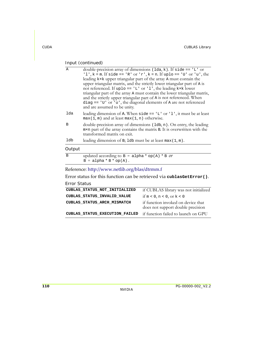| A           | double-precision array of dimensions ( $1da, k$ ). If side == $'L'$ or<br>'1', $k = m$ . If side == 'R' or 'r', $k = n$ . If uplo == 'U' or 'u', the<br>leading k×k upper triangular part of the array A must contain the<br>upper triangular matrix, and the strictly lower triangular part of A is<br>not referenced. If uplo == $'L'$ or $l'$ , the leading k×k lower<br>triangular part of the array A must contain the lower triangular matrix,<br>and the strictly upper triangular part of A is not referenced. When<br>diag == $'U'$ or $'u'$ , the diagonal elements of A are not referenced<br>and are assumed to be unity. |
|-------------|---------------------------------------------------------------------------------------------------------------------------------------------------------------------------------------------------------------------------------------------------------------------------------------------------------------------------------------------------------------------------------------------------------------------------------------------------------------------------------------------------------------------------------------------------------------------------------------------------------------------------------------|
| lda         | leading dimension of A. When $\text{side} == 'L'$ or '1', it must be at least<br>$max(1, m)$ and at least $max(1, n)$ otherwise.                                                                                                                                                                                                                                                                                                                                                                                                                                                                                                      |
| B           | double-precision array of dimensions (1db, n). On entry, the leading<br>m×n part of the array contains the matrix B. It is overwritten with the<br>transformed matrix on exit.                                                                                                                                                                                                                                                                                                                                                                                                                                                        |
| ldb         | leading dimension of B; 1db must be at least $max(1, m)$ .                                                                                                                                                                                                                                                                                                                                                                                                                                                                                                                                                                            |
| Output      |                                                                                                                                                                                                                                                                                                                                                                                                                                                                                                                                                                                                                                       |
| $\mathbf B$ | updated according to $B = a1$ pha * op(A) * B or<br>$B = alpha * B * op(A).$                                                                                                                                                                                                                                                                                                                                                                                                                                                                                                                                                          |
|             | Reference: http://www.netlib.org/blas/dtrmm.f                                                                                                                                                                                                                                                                                                                                                                                                                                                                                                                                                                                         |

Error status for this function can be retrieved via **cublasGetError()**.

| CUBLAS STATUS NOT INITIALIZED  | if CUBLAS library was not initialized                                   |
|--------------------------------|-------------------------------------------------------------------------|
| CUBLAS STATUS INVALID VALUE    | if $m < 0$ , $n < 0$ , or $k < 0$                                       |
| CUBLAS STATUS ARCH MISMATCH    | if function invoked on device that<br>does not support double precision |
| CUBLAS_STATUS_EXECUTION_FAILED | if function failed to launch on GPU                                     |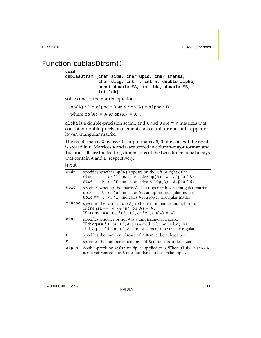## <span id="page-118-0"></span>Function cublasDtrsm()

#### **void**

**cublasDtrsm (char side, char uplo, char transa, char diag, int m, int n, double alpha, const double \*A, int lda, double \*B, int ldb)**

solves one of the matrix equations

 $op(A) * X = alpha * B \text{ or } X * op(A) = alpha * B$ , where  $op(A) = A$  or  $op(A) = A<sup>T</sup>$ ,

alpha is a double-precision scalar, and X and B are m×n matrices that consist of double‐precision elements. A is a unit or non‐unit, upper or lower, triangular matrix.

The result matrix X overwrites input matrix B; that is, on exit the result is stored in B. Matrices A and B are stored in column‐major format, and lda and ldb are the leading dimensions of the two-dimensional arrays that contain A and B, respectively.

| side   | specifies whether op(A) appears on the left or right of x:<br>side == 'L' or 'l' indicates solve op(A) * $X = alpha * B$ ;<br>side == 'R' or 'r' indicates solve $X * op(A) = alpha * B$ .                |
|--------|-----------------------------------------------------------------------------------------------------------------------------------------------------------------------------------------------------------|
| uplo   | specifies whether the matrix A is an upper or lower triangular matrix:<br>uplo == 'U' or 'u' indicates A is an upper triangular matrix;<br>$uplo == 'L'$ or '1' indicates A is a lower triangular matrix. |
| transa | specifies the form of $op(A)$ to be used in matrix multiplication.<br>If transa == 'N' or 'n', op(A) = A.<br>If transa == 'T', 't', 'C', or 'c', op(A) = $A^T$ .                                          |
| diag   | specifies whether or not A is a unit triangular matrix.<br>If diag == $'U'$ or $'u'$ , A is assumed to be unit triangular.<br>If diag == $'N'$ or $'n'$ , A is not assumed to be unit triangular.         |
| m      | specifies the number of rows of B; m must be at least zero.                                                                                                                                               |
| n      | specifies the number of columns of B; n must be at least zero.                                                                                                                                            |
| alpha  | double-precision scalar multiplier applied to B. When alpha is zero, A<br>is not referenced and B does not have to be a valid input.                                                                      |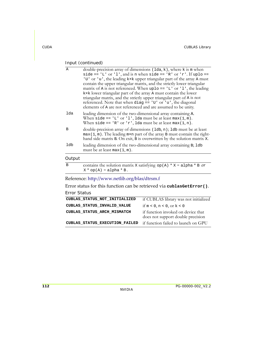| A      | double-precision array of dimensions $(\text{lda}, k)$ , where k is m when<br>side == 'L' or 'l', and is n when side == 'R' or 'r'. If uplo ==<br>'U' or 'u', the leading kxk upper triangular part of the array A must<br>contain the upper triangular matrix, and the strictly lower triangular<br>matrix of A is not referenced. When uplo == $'L'$ or $'l'$ , the leading<br>kxk lower triangular part of the array A must contain the lower<br>triangular matrix, and the strictly upper triangular part of A is not<br>referenced. Note that when diag == 'U' or 'u', the diagonal<br>elements of A are not referenced and are assumed to be unity. |
|--------|-----------------------------------------------------------------------------------------------------------------------------------------------------------------------------------------------------------------------------------------------------------------------------------------------------------------------------------------------------------------------------------------------------------------------------------------------------------------------------------------------------------------------------------------------------------------------------------------------------------------------------------------------------------|
| lda    | leading dimension of the two-dimensional array containing A.<br>When side == $'L'$ or $'l',$ lda must be at least max(1, m).<br>When side == 'R' or 'r', lda must be at least $max(1, n)$ .                                                                                                                                                                                                                                                                                                                                                                                                                                                               |
| B      | double-precision array of dimensions (1db, n); 1db must be at least<br>$max(1, m)$ . The leading $max$ n part of the array B must contain the right-<br>hand side matrix B. On exit, B is overwritten by the solution matrix X.                                                                                                                                                                                                                                                                                                                                                                                                                           |
| ldb    | leading dimension of the two-dimensional array containing B; 1db<br>must be at least $max(1, m)$ .                                                                                                                                                                                                                                                                                                                                                                                                                                                                                                                                                        |
| Output |                                                                                                                                                                                                                                                                                                                                                                                                                                                                                                                                                                                                                                                           |

#### B contains the solution matrix X satisfying  $op(A) * X = alpha * B$  or  $X * op(A) = alpha * B.$

Reference: http://www.netlib.org/blas/dtrsm.f

Error status for this function can be retrieved via **cublasGetError()**.

| CUBLAS STATUS NOT INITIALIZED  | if CUBLAS library was not initialized                                   |
|--------------------------------|-------------------------------------------------------------------------|
| CUBLAS STATUS INVALID VALUE    | if $m < 0$ , $n < 0$ , or $k < 0$                                       |
| CUBLAS STATUS ARCH MISMATCH    | if function invoked on device that<br>does not support double precision |
| CUBLAS STATUS EXECUTION FAILED | if function failed to launch on GPU                                     |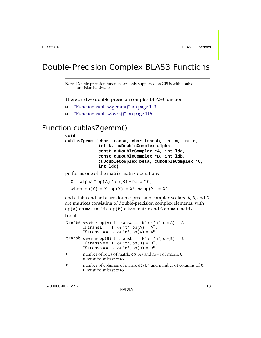## Double-Precision Complex BLAS3 Functions

**Note:** Double-precision functions are only supported on GPUs with doubleprecision hardware.

There are two double‐precision complex BLAS3 functions:

- "Function [cublasZgemm\(\)"](#page-120-0) on page 113
- "Function [cublasZsyrk\(\)"](#page-122-0) on page 115

## <span id="page-120-0"></span>Function cublasZgemm()

#### **void**

```
cublasZgemm (char transa, char transb, int m, int n,
              int k, cuDoubleComplex alpha,
              const cuDoubleComplex *A, int lda,
              const cuDoubleComplex *B, int ldb,
              cuDoubleComplex beta, cuDoubleComplex *C,
              int ldc)
```
performs one of the matrix‐matrix operations

 $C = alpha * op(A) * op(B) + beta * C,$ where  $op(X) = X$ ,  $op(X) = X<sup>T</sup>$ ,  $or$   $op(X) = X<sup>H</sup>$ ;

and alpha and beta are double‐precision complex scalars. A, B, and C are matrices consisting of double‐precision complex elements, with  $op(A)$  an  $m \times k$  matrix,  $op(B)$  a k×n matrix and C an  $m \times n$  matrix.

|   | transa specifies op(A). If transa == 'N' or 'n', op(A) = A.<br>If transa == 'T' or 't', op(A) = $AT$ .<br>If transa == 'C' or 'c', op(A) = $A^H$ .      |
|---|---------------------------------------------------------------------------------------------------------------------------------------------------------|
|   | transb specifies $op(B)$ . If transb == 'N' or 'n', $op(B) = B$ .<br>If transb == 'T' or 't', op(B) = $BT$ .<br>If transb == 'C' or 'c', $op(B) = BH$ . |
| m | number of rows of matrix $op(A)$ and rows of matrix C;<br>m must be at least zero.                                                                      |
| n | number of columns of matrix $op(B)$ and number of columns of C;<br>n must be at least zero.                                                             |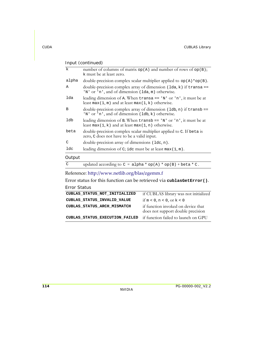| $\mathbf k$ | number of columns of matrix op(A) and number of rows of op(B);<br>k must be at least zero.                                     |
|-------------|--------------------------------------------------------------------------------------------------------------------------------|
| alpha       | double-precision complex scalar multiplier applied to $op(A) * op(B)$ .                                                        |
| Α           | double-precision complex array of dimension $(\text{lda}, k)$ if transa ==<br>'N' or 'n', and of dimension (lda, m) otherwise. |
| lda         | leading dimension of A. When transa $== 'N'$ or 'n', it must be at<br>least max(1, m) and at least max(1, k) otherwise.        |
| В           | double-precision complex array of dimension (1db, n) if transb ==<br>'N' or 'n', and of dimension (1db, k) otherwise.          |
| ldb         | leading dimension of B. When $transb == 'N'$ or 'n', it must be at<br>least max(1, k) and at least max(1, n) otherwise.        |
| beta        | double-precision complex scalar multiplier applied to C. If beta is<br>zero, C does not have to be a valid input.              |
| C           | double-precision array of dimensions (ldc, n).                                                                                 |
| ldc         | leading dimension of C; idc must be at least $max(1, m)$ .                                                                     |
| ~ · ·       |                                                                                                                                |

#### Output

|  | updated according to $C = alpha * op(A) * op(B) + beta * C$ . |
|--|---------------------------------------------------------------|
|--|---------------------------------------------------------------|

Reference: http://www.netlib.org/blas/zgemm.f

Error status for this function can be retrieved via **cublasGetError()**.

| CUBLAS STATUS NOT INITIALIZED  | if CUBLAS library was not initialized                                   |
|--------------------------------|-------------------------------------------------------------------------|
| CUBLAS STATUS INVALID VALUE    | if $m < 0$ , $n < 0$ , or $k < 0$                                       |
| CUBLAS STATUS ARCH MISMATCH    | if function invoked on device that<br>does not support double precision |
| CUBLAS STATUS EXECUTION FAILED | if function failed to launch on GPU                                     |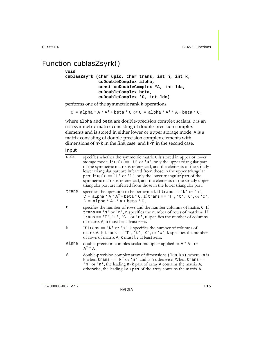## <span id="page-122-0"></span>Function cublasZsyrk()

#### **void**

```
cublasZsyrk (char uplo, char trans, int n, int k,
              cuDoubleComplex alpha,
              const cuDoubleComplex *A, int lda,
              cuDoubleComplex beta,
              cuDoubleComplex *C, int ldc)
```
performs one of the symmetric rank k operations

```
C = alpha * A * A<sup>T</sup> + beta * C or C = alpha * A<sup>T</sup> * A + beta * C,
```
where alpha and beta are double-precision complex scalars. C is an n×n symmetric matrix consisting of double‐precision complex elements and is stored in either lower or upper storage mode. A is a matrix consisting of double‐precision complex elements with dimensions of n×k in the first case, and k×n in the second case.

#### Input

| uplo  | specifies whether the symmetric matrix C is stored in upper or lower<br>storage mode. If $uplo == 'U'$ or 'u', only the upper triangular part<br>of the symmetric matrix is referenced, and the elements of the strictly<br>lower triangular part are inferred from those in the upper triangular<br>part. If uplo == $'L'$ or $'l'$ , only the lower triangular part of the<br>symmetric matrix is referenced, and the elements of the strictly upper<br>triangular part are inferred from those in the lower triangular part. |
|-------|---------------------------------------------------------------------------------------------------------------------------------------------------------------------------------------------------------------------------------------------------------------------------------------------------------------------------------------------------------------------------------------------------------------------------------------------------------------------------------------------------------------------------------|
| trans | specifies the operation to be performed. If $trans == 'N'$ or 'n',<br>$C = alpha * A * AT + beta * C$ . If trans == 'T', 't', 'C', or 'c',<br>$C = alpha * AT * A + beta * C.$                                                                                                                                                                                                                                                                                                                                                  |
| n     | specifies the number of rows and the number columns of matrix C. If<br>trans == $'N'$ or $'n'$ , n specifies the number of rows of matrix A. If<br>trans == $T$ , $t$ , $c$ , $c$ , $c$ , $r$ , $c$ , $n$ specifies the number of columns<br>of matrix A; n must be at least zero.                                                                                                                                                                                                                                              |
| k     | If trans $== 'N'$ or 'n', k specifies the number of columns of<br>matrix A. If trans == $T$ ', 't', 'C', or 'c', k specifies the number<br>of rows of matrix A; k must be at least zero.                                                                                                                                                                                                                                                                                                                                        |
| alpha | double-precision complex scalar multiplier applied to $A^* A^T$ or<br>$A^T$ * A.                                                                                                                                                                                                                                                                                                                                                                                                                                                |
| Α     | double-precision complex array of dimensions (1da, ka), where ka is<br>k when trans == 'N' or 'n', and is n otherwise. When trans ==<br>'N' or 'n', the leading n×k part of array A contains the matrix A;                                                                                                                                                                                                                                                                                                                      |

otherwise, the leading k×n part of the array contains the matrix A.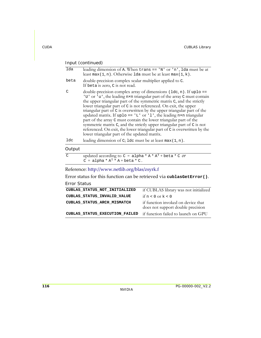| lda           | leading dimension of A. When $trans == 'N'$ or 'n', 1da must be at<br>least $max(1, n)$ . Otherwise 1da must be at least $max(1, k)$ .                                                                                                                                                                                                                                                                                                                                                                                                                                                                                                                                                                                                 |
|---------------|----------------------------------------------------------------------------------------------------------------------------------------------------------------------------------------------------------------------------------------------------------------------------------------------------------------------------------------------------------------------------------------------------------------------------------------------------------------------------------------------------------------------------------------------------------------------------------------------------------------------------------------------------------------------------------------------------------------------------------------|
| beta          | double-precision complex scalar multiplier applied to C.<br>If beta is zero, C is not read.                                                                                                                                                                                                                                                                                                                                                                                                                                                                                                                                                                                                                                            |
| $\mathcal{C}$ | double-precision complex array of dimensions $(\text{1dc}, n)$ . If uplo ==<br>'U' or 'u', the leading nxn triangular part of the array C must contain<br>the upper triangular part of the symmetric matrix C, and the strictly<br>lower triangular part of C is not referenced. On exit, the upper<br>triangular part of C is overwritten by the upper triangular part of the<br>updated matrix. If up $\log 10 = -1$ or $1$ , the leading nxn triangular<br>part of the array C must contain the lower triangular part of the<br>symmetric matrix C, and the strictly upper triangular part of C is not<br>referenced. On exit, the lower triangular part of C is overwritten by the<br>lower triangular part of the updated matrix. |
| ldc           | leading dimension of C; 1dc must be at least $max(1, n)$ .                                                                                                                                                                                                                                                                                                                                                                                                                                                                                                                                                                                                                                                                             |
| Output        |                                                                                                                                                                                                                                                                                                                                                                                                                                                                                                                                                                                                                                                                                                                                        |
| $\mathcal{C}$ | updated according to $C = alpha * A * AT + beta * C$ or<br>$C = alpha * AT * A + beta * C.$                                                                                                                                                                                                                                                                                                                                                                                                                                                                                                                                                                                                                                            |
|               |                                                                                                                                                                                                                                                                                                                                                                                                                                                                                                                                                                                                                                                                                                                                        |

### Reference: http://www.netlib.org/blas/zsyrk.f

Error status for this function can be retrieved via **cublasGetError()**.

| CUBLAS STATUS NOT INITIALIZED  | if CUBLAS library was not initialized                                   |
|--------------------------------|-------------------------------------------------------------------------|
| CUBLAS STATUS INVALID VALUE    | if $n < 0$ or $k < 0$                                                   |
| CUBLAS STATUS ARCH MISMATCH    | if function invoked on device that<br>does not support double precision |
| CUBLAS STATUS EXECUTION FAILED | if function failed to launch on GPU                                     |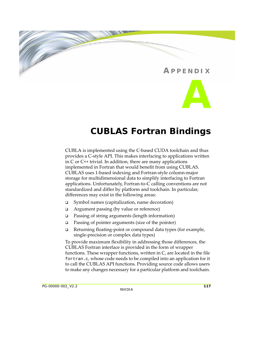# **A PPENDIX A**

## **CUBLAS Fortran Bindings**

CUBLA is implemented using the C‐based CUDA toolchain and thus provides a C‐style API. This makes interfacing to applications written in C or C++ trivial. In addition, there are many applications implemented in Fortran that would benefit from using CUBLAS. CUBLAS uses 1‐based indexing and Fortran‐style column‐major storage for multidimensional data to simplify interfacing to Fortran applications. Unfortunately, Fortran‐to‐C calling conventions are not standardized and differ by platform and toolchain. In particular, differences may exist in the following areas:

- Symbol names (capitalization, name decoration)
- Argument passing (by value or reference)
- Passing of string arguments (length information)
- **Passing of pointer arguments (size of the pointer)**
- □ Returning floating-point or compound data types (for example, single‐precision or complex data types)

To provide maximum flexibility in addressing those differences, the CUBLAS Fortran interface is provided in the form of wrapper functions. These wrapper functions, written in C, are located in the file fortran.c, whose code needs to be compiled into an application for it to call the CUBLAS API functions. Providing source code allows users to make any changes necessary for a particular platform and toolchain.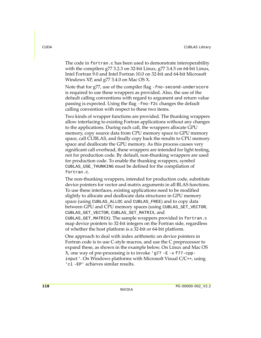The code in fortran.c has been used to demonstrate interoperability with the compilers g77 3.2.3 on 32‐bit Linux, g77 3.4.5 on 64‐bit Linux, Intel Fortran 9.0 and Intel Fortran 10.0 on 32‐bit and 64‐bit Microsoft Windows XP, and g77 3.4.0 on Mac OS X.

Note that for g77, use of the compiler flag -fno-second-underscore is required to use these wrappers as provided. Also, the use of the default calling conventions with regard to argument and return value passing is expected. Using the flag -fno-f2c changes the default calling convention with respect to these two items.

Two kinds of wrapper functions are provided. The thunking wrappers allow interfacing to existing Fortran applications without any changes to the applications. During each call, the wrappers allocate GPU memory, copy source data from CPU memory space to GPU memory space, call CUBLAS, and finally copy back the results to CPU memory space and deallocate the GPU memory. As this process causes very significant call overhead, these wrappers are intended for light testing, not for production code. By default, non‐thunking wrappers are used for production code. To enable the thunking wrappers, symbol CUBLAS\_USE\_THUNKING must be defined for the compilation of fortran.c.

The non‐thunking wrappers, intended for production code, substitute device pointers for vector and matrix arguments in all BLAS functions. To use these interfaces, existing applications need to be modified slightly to allocate and deallocate data structures in GPU memory space (using CUBLAS\_ALLOC and CUBLAS\_FREE) and to copy data between GPU and CPU memory spaces (using CUBLAS\_SET\_VECTOR, CUBLAS\_GET\_VECTOR, CUBLAS\_SET\_MATRIX, and CUBLAS\_GET\_MATRIX). The sample wrappers provided in fortran.c map device pointers to 32‐bit integers on the Fortran side, regardless of whether the host platform is a 32‐bit or 64‐bit platform.

One approach to deal with index arithmetic on device pointers in Fortran code is to use C‐style macros, and use the C preprocessor to expand these, as shown in the example below. On Linux and Mac OS  $X$ , one way of pre-processing is to invoke 'g77 -E -x f77-cppinput'. On Windows platforms with Microsoft Visual C/C++, using 'cl -EP' achieves similar results.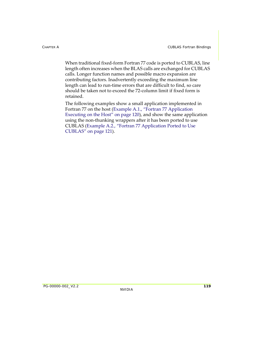When traditional fixed-form Fortran 77 code is ported to CUBLAS, line length often increases when the BLAS calls are exchanged for CUBLAS calls. Longer function names and possible macro expansion are contributing factors. Inadvertently exceeding the maximum line length can lead to run-time errors that are difficult to find, so care should be taken not to exceed the 72‐column limit if fixed form is retained.

The following examples show a small application implemented in Fortran 77 on the host ([Example A.1.,](#page-127-0) "Fortran 77 Application [Executing](#page-127-0) on the Host" on page 120), and show the same application using the non‐thunking wrappers after it has been ported to use CUBLAS [\(Example A.2.,](#page-128-0) "Fortran 77 Application Ported to Use [CUBLAS"](#page-128-0) on page 121).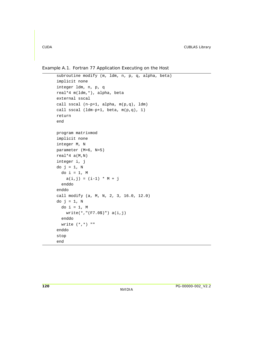<span id="page-127-0"></span>Example A.1. Fortran 77 Application Executing on the Host

```
 subroutine modify (m, ldm, n, p, q, alpha, beta)
 implicit none
 integer ldm, n, p, q
 real*4 m(ldm,*), alpha, beta
 external sscal
 call sscal (n-p+1, alpha, m(p,q), ldm)
 call sscal (ldm-p+1, beta, m(p,q), 1)
 return
 end
 program matrixmod
 implicit none
 integer M, N
 parameter (M=6, N=5)
real *4 a(M,N)
 integer i, j
do j = 1, N
  do i = 1, M
    a(i,j) = (i-1) * M + j enddo
 enddo
 call modify (a, M, N, 2, 3, 16.0, 12.0)
do j = 1, N
  do i = 1, M
     write(*,"(F7.0$)") a(i,j)
   enddo
  write (*, *) ""
 enddo
 stop
 end
```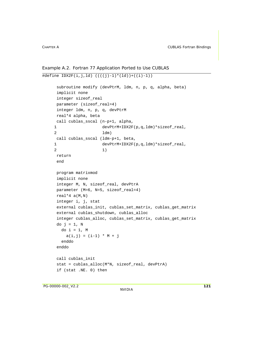```
Example A.2. Fortran 77 Application Ported to Use CUBLAS
```

```
\overline{\text{#define IDX2F(i,j,ld)} ((((j)-1)*(ld))+((i)-1))} subroutine modify (devPtrM, ldm, n, p, q, alpha, beta)
      implicit none
      integer sizeof_real
      parameter (sizeof_real=4)
      integer ldm, n, p, q, devPtrM
      real*4 alpha, beta
      call cublas_sscal (n-p+1, alpha, 
    1 devPtrM+IDX2F(p,q,ldm)*sizeof_real,
     2 ldm)
      call cublas_sscal (ldm-p+1, beta, 
    1 devPtrM+IDX2F(p,q,ldm)*sizeof_real,
 2 1)
      return
      end
      program matrixmod
      implicit none
      integer M, N, sizeof_real, devPtrA
      parameter (M=6, N=5, sizeof_real=4)
     real *4 a(M,N)
      integer i, j, stat
     external cublas init, cublas set matrix, cublas get matrix
      external cublas_shutdown, cublas_alloc
      integer cublas_alloc, cublas_set_matrix, cublas_get_matrix 
     do j = 1, N
       do i = 1, M
         a(i,j) = (i-1) * M + j enddo
      enddo
      call cublas_init
      stat = cublas_alloc(M*N, sizeof_real, devPtrA)
      if (stat .NE. 0) then
```